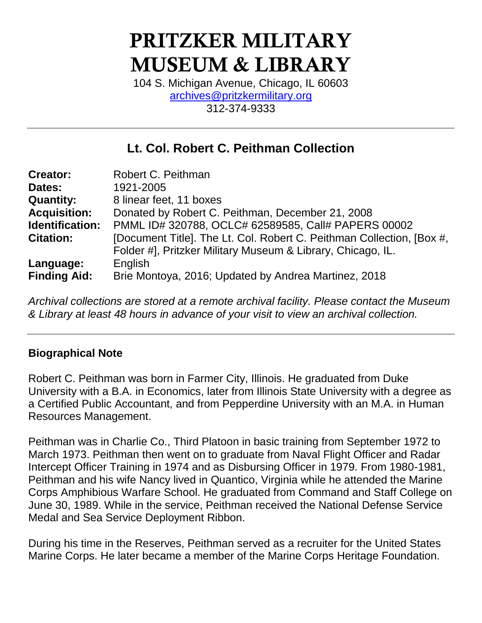# PRITZKER MILITARY MUSEUM & LIBRARY

104 S. Michigan Avenue, Chicago, IL 60603 [archives@pritzkermilitary.org](mailto:archives@pritzkermilitary.org) 312-374-9333

# **Lt. Col. Robert C. Peithman Collection**

| <b>Creator:</b>     | Robert C. Peithman                                                    |
|---------------------|-----------------------------------------------------------------------|
| Dates:              | 1921-2005                                                             |
| <b>Quantity:</b>    | 8 linear feet, 11 boxes                                               |
| <b>Acquisition:</b> | Donated by Robert C. Peithman, December 21, 2008                      |
| Identification:     | PMML ID# 320788, OCLC# 62589585, Call# PAPERS 00002                   |
| <b>Citation:</b>    | [Document Title]. The Lt. Col. Robert C. Peithman Collection, [Box #, |
|                     | Folder #], Pritzker Military Museum & Library, Chicago, IL.           |
| Language:           | English                                                               |
| <b>Finding Aid:</b> | Brie Montoya, 2016; Updated by Andrea Martinez, 2018                  |

*Archival collections are stored at a remote archival facility. Please contact the Museum & Library at least 48 hours in advance of your visit to view an archival collection.*

#### **Biographical Note**

Robert C. Peithman was born in Farmer City, Illinois. He graduated from Duke University with a B.A. in Economics, later from Illinois State University with a degree as a Certified Public Accountant, and from Pepperdine University with an M.A. in Human Resources Management.

Peithman was in Charlie Co., Third Platoon in basic training from September 1972 to March 1973. Peithman then went on to graduate from Naval Flight Officer and Radar Intercept Officer Training in 1974 and as Disbursing Officer in 1979. From 1980-1981, Peithman and his wife Nancy lived in Quantico, Virginia while he attended the Marine Corps Amphibious Warfare School. He graduated from Command and Staff College on June 30, 1989. While in the service, Peithman received the National Defense Service Medal and Sea Service Deployment Ribbon.

During his time in the Reserves, Peithman served as a recruiter for the United States Marine Corps. He later became a member of the Marine Corps Heritage Foundation.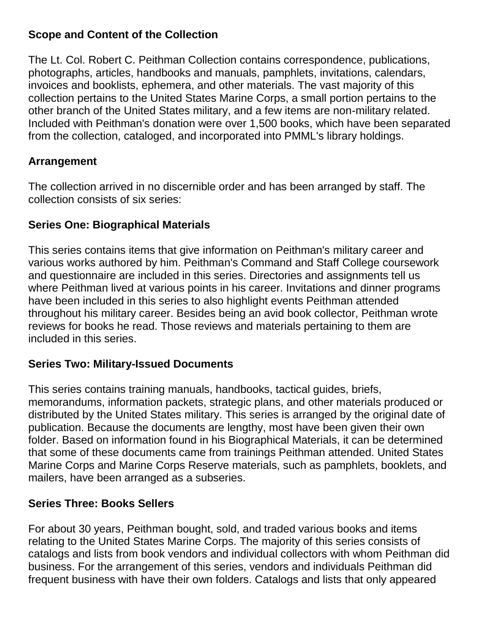#### **Scope and Content of the Collection**

The Lt. Col. Robert C. Peithman Collection contains correspondence, publications, photographs, articles, handbooks and manuals, pamphlets, invitations, calendars, invoices and booklists, ephemera, and other materials. The vast majority of this collection pertains to the United States Marine Corps, a small portion pertains to the other branch of the United States military, and a few items are non-military related. Included with Peithman's donation were over 1,500 books, which have been separated from the collection, cataloged, and incorporated into PMML's library holdings.

## **Arrangement**

The collection arrived in no discernible order and has been arranged by staff. The collection consists of six series:

#### **Series One: Biographical Materials**

This series contains items that give information on Peithman's military career and various works authored by him. Peithman's Command and Staff College coursework and questionnaire are included in this series. Directories and assignments tell us where Peithman lived at various points in his career. Invitations and dinner programs have been included in this series to also highlight events Peithman attended throughout his military career. Besides being an avid book collector, Peithman wrote reviews for books he read. Those reviews and materials pertaining to them are included in this series.

#### **Series Two: Military-Issued Documents**

This series contains training manuals, handbooks, tactical guides, briefs, memorandums, information packets, strategic plans, and other materials produced or distributed by the United States military. This series is arranged by the original date of publication. Because the documents are lengthy, most have been given their own folder. Based on information found in his Biographical Materials, it can be determined that some of these documents came from trainings Peithman attended. United States Marine Corps and Marine Corps Reserve materials, such as pamphlets, booklets, and mailers, have been arranged as a subseries.

#### **Series Three: Books Sellers**

For about 30 years, Peithman bought, sold, and traded various books and items relating to the United States Marine Corps. The majority of this series consists of catalogs and lists from book vendors and individual collectors with whom Peithman did business. For the arrangement of this series, vendors and individuals Peithman did frequent business with have their own folders. Catalogs and lists that only appeared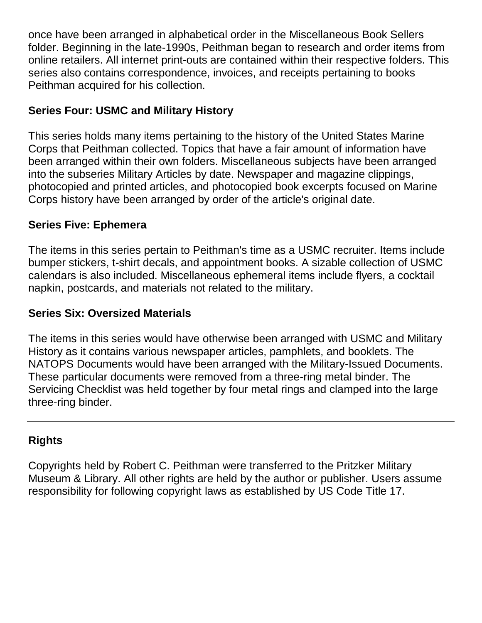once have been arranged in alphabetical order in the Miscellaneous Book Sellers folder. Beginning in the late-1990s, Peithman began to research and order items from online retailers. All internet print-outs are contained within their respective folders. This series also contains correspondence, invoices, and receipts pertaining to books Peithman acquired for his collection.

### **Series Four: USMC and Military History**

This series holds many items pertaining to the history of the United States Marine Corps that Peithman collected. Topics that have a fair amount of information have been arranged within their own folders. Miscellaneous subjects have been arranged into the subseries Military Articles by date. Newspaper and magazine clippings, photocopied and printed articles, and photocopied book excerpts focused on Marine Corps history have been arranged by order of the article's original date.

#### **Series Five: Ephemera**

The items in this series pertain to Peithman's time as a USMC recruiter. Items include bumper stickers, t-shirt decals, and appointment books. A sizable collection of USMC calendars is also included. Miscellaneous ephemeral items include flyers, a cocktail napkin, postcards, and materials not related to the military.

#### **Series Six: Oversized Materials**

The items in this series would have otherwise been arranged with USMC and Military History as it contains various newspaper articles, pamphlets, and booklets. The NATOPS Documents would have been arranged with the Military-Issued Documents. These particular documents were removed from a three-ring metal binder. The Servicing Checklist was held together by four metal rings and clamped into the large three-ring binder.

## **Rights**

Copyrights held by Robert C. Peithman were transferred to the Pritzker Military Museum & Library. All other rights are held by the author or publisher. Users assume responsibility for following copyright laws as established by US Code Title 17.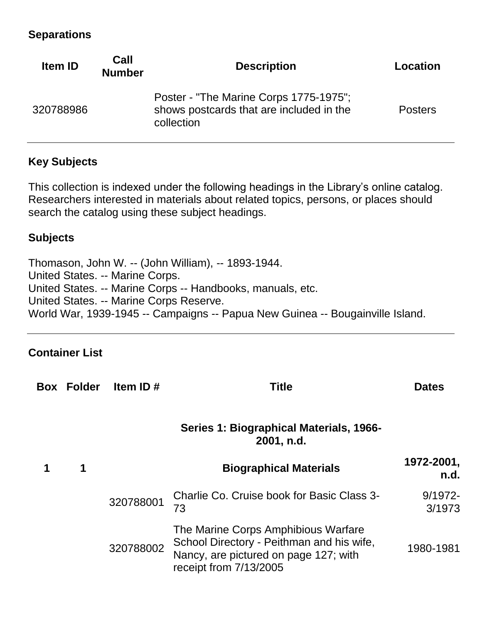#### **Separations**

| <b>Item ID</b> | Call<br><b>Number</b> | <b>Description</b>                                                                               | Location       |
|----------------|-----------------------|--------------------------------------------------------------------------------------------------|----------------|
| 320788986      |                       | Poster - "The Marine Corps 1775-1975";<br>shows postcards that are included in the<br>collection | <b>Posters</b> |

### **Key Subjects**

This collection is indexed under the following headings in the Library's online catalog. Researchers interested in materials about related topics, persons, or places should search the catalog using these subject headings.

#### **Subjects**

Thomason, John W. -- (John William), -- 1893-1944. United States. -- Marine Corps. United States. -- Marine Corps -- Handbooks, manuals, etc. United States. -- Marine Corps Reserve. World War, 1939-1945 -- Campaigns -- Papua New Guinea -- Bougainville Island.

## **Container List**

| <b>Box Folder</b> | Item ID#  | <b>Title</b>                                                                                                                                        | <b>Dates</b>         |
|-------------------|-----------|-----------------------------------------------------------------------------------------------------------------------------------------------------|----------------------|
|                   |           | Series 1: Biographical Materials, 1966-<br>2001, n.d.                                                                                               |                      |
| 1                 |           | <b>Biographical Materials</b>                                                                                                                       | 1972-2001,<br>n.d.   |
|                   | 320788001 | Charlie Co. Cruise book for Basic Class 3-<br>73                                                                                                    | $9/1972 -$<br>3/1973 |
|                   | 320788002 | The Marine Corps Amphibious Warfare<br>School Directory - Peithman and his wife,<br>Nancy, are pictured on page 127; with<br>receipt from 7/13/2005 | 1980-1981            |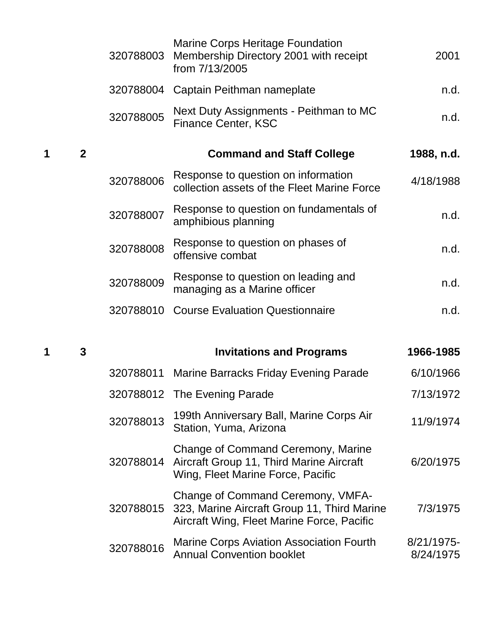|   |              | 320788003 | Marine Corps Heritage Foundation<br>Membership Directory 2001 with receipt<br>from 7/13/2005                                   | 2001       |
|---|--------------|-----------|--------------------------------------------------------------------------------------------------------------------------------|------------|
|   |              |           | 320788004 Captain Peithman nameplate                                                                                           | n.d.       |
|   |              | 320788005 | Next Duty Assignments - Peithman to MC<br><b>Finance Center, KSC</b>                                                           | n.d.       |
| 1 | $\mathbf{2}$ |           | <b>Command and Staff College</b>                                                                                               | 1988, n.d. |
|   |              | 320788006 | Response to question on information<br>collection assets of the Fleet Marine Force                                             | 4/18/1988  |
|   |              | 320788007 | Response to question on fundamentals of<br>amphibious planning                                                                 | n.d.       |
|   |              | 320788008 | Response to question on phases of<br>offensive combat                                                                          | n.d.       |
|   |              | 320788009 | Response to question on leading and<br>managing as a Marine officer                                                            | n.d.       |
|   |              | 320788010 | <b>Course Evaluation Questionnaire</b>                                                                                         | n.d.       |
| 1 | 3            |           | <b>Invitations and Programs</b>                                                                                                | 1966-1985  |
|   |              |           | 320788011 Marine Barracks Friday Evening Parade                                                                                | 6/10/1966  |
|   |              |           | 320788012 The Evening Parade                                                                                                   | 7/13/1972  |
|   |              | 320788013 | 199th Anniversary Ball, Marine Corps Air<br>Station, Yuma, Arizona                                                             | 11/9/1974  |
|   |              |           | Change of Command Ceremony, Marine<br>320788014 Aircraft Group 11, Third Marine Aircraft<br>Wing, Fleet Marine Force, Pacific  | 6/20/1975  |
|   |              | 320788015 | Change of Command Ceremony, VMFA-<br>323, Marine Aircraft Group 11, Third Marine<br>Aircraft Wing, Fleet Marine Force, Pacific | 7/3/1975   |
|   |              |           | <b>Marine Corps Aviation Association Fourth</b>                                                                                | 8/21/1975- |

320788016 Marine Corps Aviation Association Fourth Annual Convention booklet

8/24/1975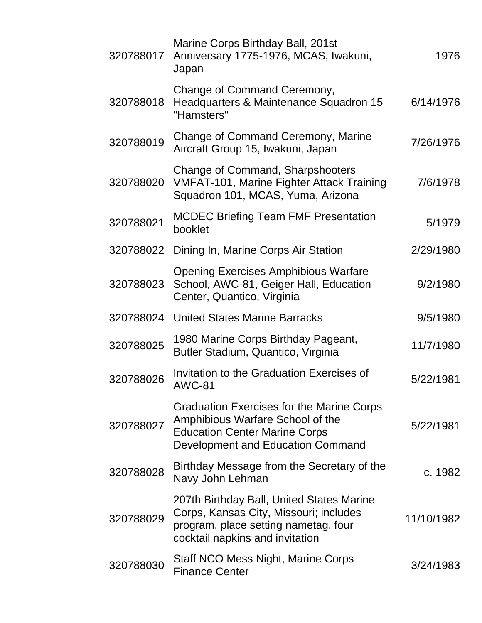| 320788017 | Marine Corps Birthday Ball, 201st<br>Anniversary 1775-1976, MCAS, Iwakuni,<br>Japan                                                                            | 1976       |
|-----------|----------------------------------------------------------------------------------------------------------------------------------------------------------------|------------|
| 320788018 | Change of Command Ceremony,<br>Headquarters & Maintenance Squadron 15<br>"Hamsters"                                                                            | 6/14/1976  |
| 320788019 | Change of Command Ceremony, Marine<br>Aircraft Group 15, Iwakuni, Japan                                                                                        | 7/26/1976  |
| 320788020 | <b>Change of Command, Sharpshooters</b><br><b>VMFAT-101, Marine Fighter Attack Training</b><br>Squadron 101, MCAS, Yuma, Arizona                               | 7/6/1978   |
| 320788021 | <b>MCDEC Briefing Team FMF Presentation</b><br>booklet                                                                                                         | 5/1979     |
| 320788022 | Dining In, Marine Corps Air Station                                                                                                                            | 2/29/1980  |
| 320788023 | <b>Opening Exercises Amphibious Warfare</b><br>School, AWC-81, Geiger Hall, Education<br>Center, Quantico, Virginia                                            | 9/2/1980   |
| 320788024 | <b>United States Marine Barracks</b>                                                                                                                           | 9/5/1980   |
| 320788025 | 1980 Marine Corps Birthday Pageant,<br>Butler Stadium, Quantico, Virginia                                                                                      | 11/7/1980  |
| 320788026 | Invitation to the Graduation Exercises of<br>AWC-81                                                                                                            | 5/22/1981  |
| 320788027 | Graduation Exercises for the Marine Corps<br>Amphibious Warfare School of the<br><b>Education Center Marine Corps</b><br>Development and Education Command     | 5/22/1981  |
| 320788028 | Birthday Message from the Secretary of the<br>Navy John Lehman                                                                                                 | c. 1982    |
| 320788029 | 207th Birthday Ball, United States Marine<br>Corps, Kansas City, Missouri; includes<br>program, place setting nametag, four<br>cocktail napkins and invitation | 11/10/1982 |
| 320788030 | Staff NCO Mess Night, Marine Corps<br><b>Finance Center</b>                                                                                                    | 3/24/1983  |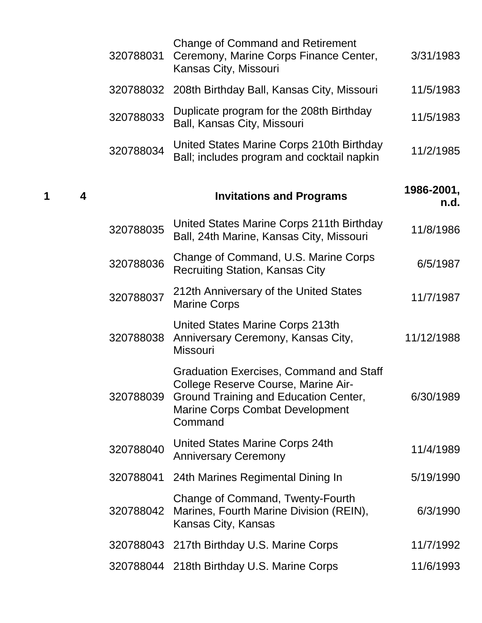|   |   | 320788031 | Change of Command and Retirement<br>Ceremony, Marine Corps Finance Center,<br>Kansas City, Missouri                                                                                           | 3/31/1983          |
|---|---|-----------|-----------------------------------------------------------------------------------------------------------------------------------------------------------------------------------------------|--------------------|
|   |   | 320788032 | 208th Birthday Ball, Kansas City, Missouri                                                                                                                                                    | 11/5/1983          |
|   |   | 320788033 | Duplicate program for the 208th Birthday<br>Ball, Kansas City, Missouri                                                                                                                       | 11/5/1983          |
|   |   | 320788034 | United States Marine Corps 210th Birthday<br>Ball; includes program and cocktail napkin                                                                                                       | 11/2/1985          |
| 1 | 4 |           | <b>Invitations and Programs</b>                                                                                                                                                               | 1986-2001,<br>n.d. |
|   |   | 320788035 | United States Marine Corps 211th Birthday<br>Ball, 24th Marine, Kansas City, Missouri                                                                                                         | 11/8/1986          |
|   |   | 320788036 | Change of Command, U.S. Marine Corps<br><b>Recruiting Station, Kansas City</b>                                                                                                                | 6/5/1987           |
|   |   | 320788037 | 212th Anniversary of the United States<br><b>Marine Corps</b>                                                                                                                                 | 11/7/1987          |
|   |   | 320788038 | United States Marine Corps 213th<br>Anniversary Ceremony, Kansas City,<br><b>Missouri</b>                                                                                                     | 11/12/1988         |
|   |   |           | <b>Graduation Exercises, Command and Staff</b><br>College Reserve Course, Marine Air-<br>320788039 Ground Training and Education Center,<br><b>Marine Corps Combat Development</b><br>Command | 6/30/1989          |
|   |   | 320788040 | United States Marine Corps 24th<br><b>Anniversary Ceremony</b>                                                                                                                                | 11/4/1989          |
|   |   |           | 320788041 24th Marines Regimental Dining In                                                                                                                                                   | 5/19/1990          |
|   |   | 320788042 | Change of Command, Twenty-Fourth<br>Marines, Fourth Marine Division (REIN),<br>Kansas City, Kansas                                                                                            | 6/3/1990           |
|   |   |           | 320788043 217th Birthday U.S. Marine Corps                                                                                                                                                    | 11/7/1992          |
|   |   |           | 320788044 218th Birthday U.S. Marine Corps                                                                                                                                                    | 11/6/1993          |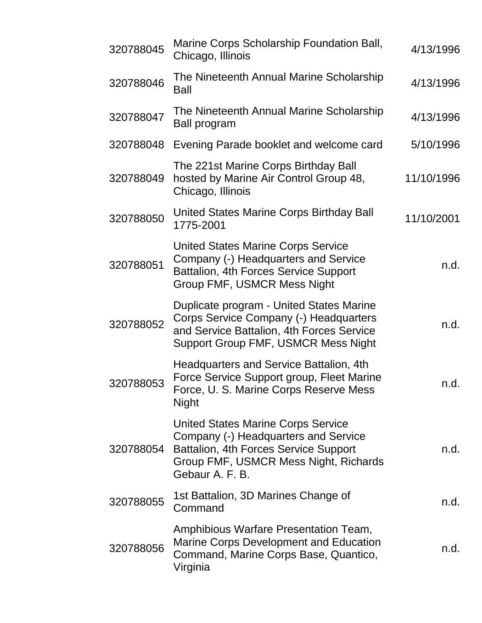| 320788045 | Marine Corps Scholarship Foundation Ball,<br>Chicago, Illinois                                                                                                                         | 4/13/1996  |
|-----------|----------------------------------------------------------------------------------------------------------------------------------------------------------------------------------------|------------|
| 320788046 | The Nineteenth Annual Marine Scholarship<br><b>Ball</b>                                                                                                                                | 4/13/1996  |
| 320788047 | The Nineteenth Annual Marine Scholarship<br>Ball program                                                                                                                               | 4/13/1996  |
| 320788048 | Evening Parade booklet and welcome card                                                                                                                                                | 5/10/1996  |
| 320788049 | The 221st Marine Corps Birthday Ball<br>hosted by Marine Air Control Group 48,<br>Chicago, Illinois                                                                                    | 11/10/1996 |
| 320788050 | United States Marine Corps Birthday Ball<br>1775-2001                                                                                                                                  | 11/10/2001 |
| 320788051 | <b>United States Marine Corps Service</b><br>Company (-) Headquarters and Service<br>Battalion, 4th Forces Service Support<br>Group FMF, USMCR Mess Night                              | n.d.       |
| 320788052 | Duplicate program - United States Marine<br>Corps Service Company (-) Headquarters<br>and Service Battalion, 4th Forces Service<br>Support Group FMF, USMCR Mess Night                 | n.d.       |
| 320788053 | Headquarters and Service Battalion, 4th<br>Force Service Support group, Fleet Marine<br>Force, U. S. Marine Corps Reserve Mess<br><b>Night</b>                                         | n.d.       |
| 320788054 | <b>United States Marine Corps Service</b><br>Company (-) Headquarters and Service<br>Battalion, 4th Forces Service Support<br>Group FMF, USMCR Mess Night, Richards<br>Gebaur A. F. B. | n.d.       |
| 320788055 | 1st Battalion, 3D Marines Change of<br>Command                                                                                                                                         | n.d.       |
| 320788056 | Amphibious Warfare Presentation Team,<br>Marine Corps Development and Education<br>Command, Marine Corps Base, Quantico,<br>Virginia                                                   | n.d.       |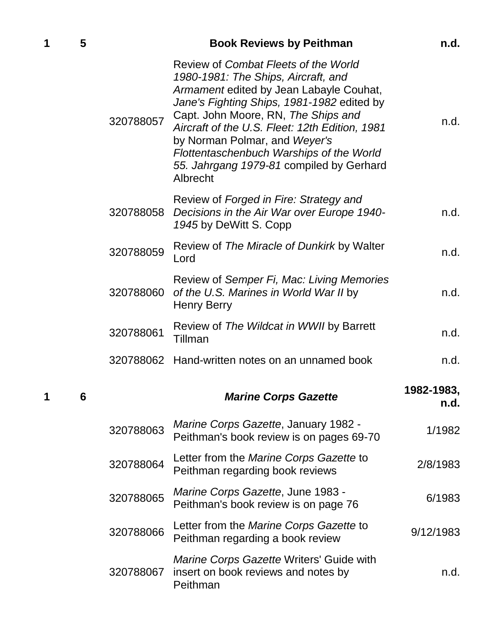| 1 | 5 |           | <b>Book Reviews by Peithman</b>                                                                                                                                                                                                                                                                                                                                                                    | n.d.               |
|---|---|-----------|----------------------------------------------------------------------------------------------------------------------------------------------------------------------------------------------------------------------------------------------------------------------------------------------------------------------------------------------------------------------------------------------------|--------------------|
|   |   | 320788057 | Review of Combat Fleets of the World<br>1980-1981: The Ships, Aircraft, and<br>Armament edited by Jean Labayle Couhat,<br>Jane's Fighting Ships, 1981-1982 edited by<br>Capt. John Moore, RN, The Ships and<br>Aircraft of the U.S. Fleet: 12th Edition, 1981<br>by Norman Polmar, and Weyer's<br>Flottentaschenbuch Warships of the World<br>55. Jahrgang 1979-81 compiled by Gerhard<br>Albrecht | n.d.               |
|   |   | 320788058 | Review of Forged in Fire: Strategy and<br>Decisions in the Air War over Europe 1940-<br>1945 by DeWitt S. Copp                                                                                                                                                                                                                                                                                     | n.d.               |
|   |   | 320788059 | Review of The Miracle of Dunkirk by Walter<br>Lord                                                                                                                                                                                                                                                                                                                                                 | n.d.               |
|   |   | 320788060 | Review of Semper Fi, Mac: Living Memories<br>of the U.S. Marines in World War II by<br>Henry Berry                                                                                                                                                                                                                                                                                                 | n.d.               |
|   |   | 320788061 | Review of The Wildcat in WWII by Barrett<br>Tillman                                                                                                                                                                                                                                                                                                                                                | n.d.               |
|   |   |           | 320788062 Hand-written notes on an unnamed book                                                                                                                                                                                                                                                                                                                                                    | n.d.               |
| 1 | 6 |           | <b>Marine Corps Gazette</b>                                                                                                                                                                                                                                                                                                                                                                        | 1982-1983,<br>n.d. |
|   |   | 320788063 | Marine Corps Gazette, January 1982 -<br>Peithman's book review is on pages 69-70                                                                                                                                                                                                                                                                                                                   | 1/1982             |
|   |   | 320788064 | Letter from the Marine Corps Gazette to<br>Peithman regarding book reviews                                                                                                                                                                                                                                                                                                                         | 2/8/1983           |
|   |   | 320788065 | Marine Corps Gazette, June 1983 -<br>Peithman's book review is on page 76                                                                                                                                                                                                                                                                                                                          | 6/1983             |
|   |   | 320788066 | Letter from the <i>Marine Corps Gazette</i> to<br>Peithman regarding a book review                                                                                                                                                                                                                                                                                                                 | 9/12/1983          |

320788067 *Marine Corps Gazette* Writers' Guide with insert on book reviews and notes by Peithman n.d.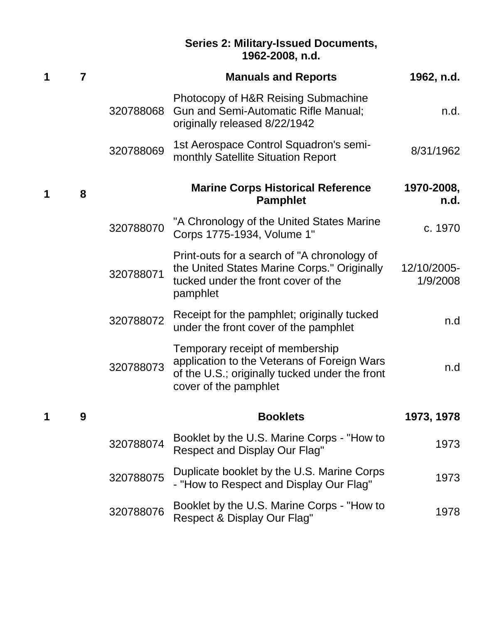#### **Series 2: Military-Issued Documents, 1962-2008, n.d.**

| 1 | 7 |           | <b>Manuals and Reports</b>                                                                                                                                | 1962, n.d.              |
|---|---|-----------|-----------------------------------------------------------------------------------------------------------------------------------------------------------|-------------------------|
|   |   | 320788068 | Photocopy of H&R Reising Submachine<br><b>Gun and Semi-Automatic Rifle Manual;</b><br>originally released 8/22/1942                                       | n.d.                    |
|   |   | 320788069 | 1st Aerospace Control Squadron's semi-<br>monthly Satellite Situation Report                                                                              | 8/31/1962               |
|   | 8 |           | <b>Marine Corps Historical Reference</b><br><b>Pamphlet</b>                                                                                               | 1970-2008,<br>n.d.      |
|   |   | 320788070 | "A Chronology of the United States Marine<br>Corps 1775-1934, Volume 1"                                                                                   | c. 1970                 |
|   |   | 320788071 | Print-outs for a search of "A chronology of<br>the United States Marine Corps." Originally<br>tucked under the front cover of the<br>pamphlet             | 12/10/2005-<br>1/9/2008 |
|   |   | 320788072 | Receipt for the pamphlet; originally tucked<br>under the front cover of the pamphlet                                                                      | n.d                     |
|   |   | 320788073 | Temporary receipt of membership<br>application to the Veterans of Foreign Wars<br>of the U.S.; originally tucked under the front<br>cover of the pamphlet | n.d                     |
|   | 9 |           | <b>Booklets</b>                                                                                                                                           | 1973, 1978              |
|   |   | 320788074 | Booklet by the U.S. Marine Corps - "How to<br>Respect and Display Our Flag"                                                                               | 1973                    |
|   |   | 320788075 | Duplicate booklet by the U.S. Marine Corps<br>- "How to Respect and Display Our Flag"                                                                     | 1973                    |
|   |   | 320788076 | Booklet by the U.S. Marine Corps - "How to<br>Respect & Display Our Flag"                                                                                 | 1978                    |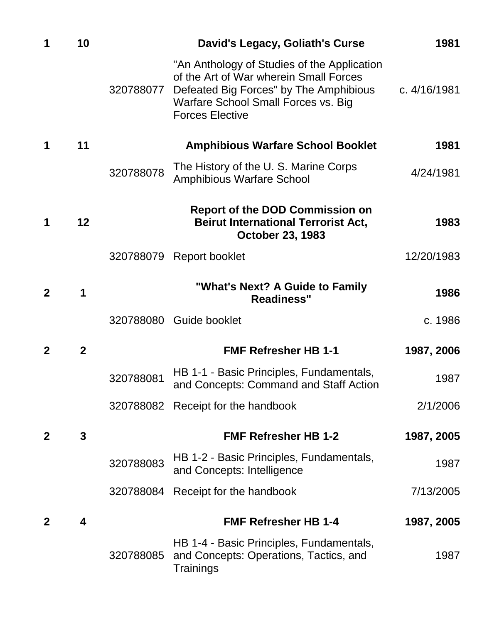| 1                | 10           |           | David's Legacy, Goliath's Curse                                                                                                                                                                  | 1981         |
|------------------|--------------|-----------|--------------------------------------------------------------------------------------------------------------------------------------------------------------------------------------------------|--------------|
|                  |              | 320788077 | "An Anthology of Studies of the Application<br>of the Art of War wherein Small Forces<br>Defeated Big Forces" by The Amphibious<br>Warfare School Small Forces vs. Big<br><b>Forces Elective</b> | c. 4/16/1981 |
| 1                | 11           |           | <b>Amphibious Warfare School Booklet</b>                                                                                                                                                         | 1981         |
|                  |              | 320788078 | The History of the U.S. Marine Corps<br><b>Amphibious Warfare School</b>                                                                                                                         | 4/24/1981    |
| 1                | 12           |           | <b>Report of the DOD Commission on</b><br><b>Beirut International Terrorist Act,</b><br><b>October 23, 1983</b>                                                                                  | 1983         |
|                  |              |           | 320788079 Report booklet                                                                                                                                                                         | 12/20/1983   |
| $\mathbf{2}$     | 1            |           | "What's Next? A Guide to Family<br><b>Readiness"</b>                                                                                                                                             | 1986         |
|                  |              |           | 320788080 Guide booklet                                                                                                                                                                          | c. 1986      |
| $\mathbf{2}$     | $\mathbf{2}$ |           | <b>FMF Refresher HB 1-1</b>                                                                                                                                                                      | 1987, 2006   |
|                  |              | 320788081 | HB 1-1 - Basic Principles, Fundamentals,<br>and Concepts: Command and Staff Action                                                                                                               | 1987         |
|                  |              |           | 320788082 Receipt for the handbook                                                                                                                                                               | 2/1/2006     |
| $\boldsymbol{2}$ | 3            |           | <b>FMF Refresher HB 1-2</b>                                                                                                                                                                      | 1987, 2005   |
|                  |              | 320788083 | HB 1-2 - Basic Principles, Fundamentals,<br>and Concepts: Intelligence                                                                                                                           | 1987         |
|                  |              |           | 320788084 Receipt for the handbook                                                                                                                                                               | 7/13/2005    |
| $\mathbf{2}$     | 4            |           | <b>FMF Refresher HB 1-4</b>                                                                                                                                                                      | 1987, 2005   |
|                  |              | 320788085 | HB 1-4 - Basic Principles, Fundamentals,<br>and Concepts: Operations, Tactics, and<br>Trainings                                                                                                  | 1987         |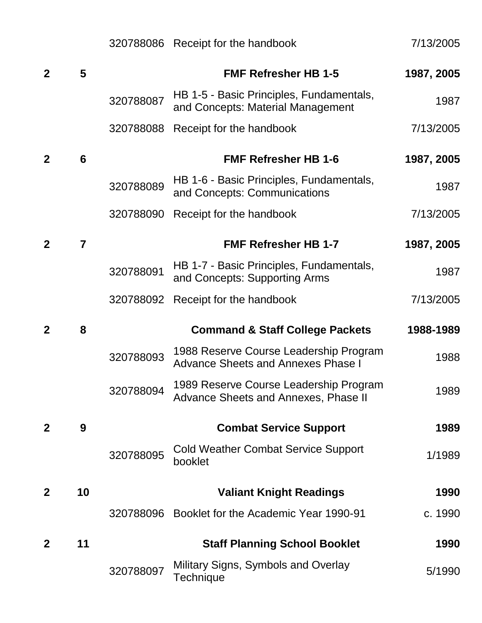|                |    |           | 320788086 Receipt for the handbook                                                  | 7/13/2005  |
|----------------|----|-----------|-------------------------------------------------------------------------------------|------------|
| $\overline{2}$ | 5  |           | <b>FMF Refresher HB 1-5</b>                                                         | 1987, 2005 |
|                |    | 320788087 | HB 1-5 - Basic Principles, Fundamentals,<br>and Concepts: Material Management       | 1987       |
|                |    | 320788088 | Receipt for the handbook                                                            | 7/13/2005  |
| $\overline{2}$ | 6  |           | <b>FMF Refresher HB 1-6</b>                                                         | 1987, 2005 |
|                |    | 320788089 | HB 1-6 - Basic Principles, Fundamentals,<br>and Concepts: Communications            | 1987       |
|                |    | 320788090 | Receipt for the handbook                                                            | 7/13/2005  |
| $\mathbf 2$    | 7  |           | <b>FMF Refresher HB 1-7</b>                                                         | 1987, 2005 |
|                |    | 320788091 | HB 1-7 - Basic Principles, Fundamentals,<br>and Concepts: Supporting Arms           | 1987       |
|                |    | 320788092 | Receipt for the handbook                                                            | 7/13/2005  |
|                |    |           |                                                                                     |            |
| $\mathbf 2$    | 8  |           | <b>Command &amp; Staff College Packets</b>                                          | 1988-1989  |
|                |    | 320788093 | 1988 Reserve Course Leadership Program<br><b>Advance Sheets and Annexes Phase I</b> | 1988       |
|                |    | 320788094 | 1989 Reserve Course Leadership Program<br>Advance Sheets and Annexes, Phase II      | 1989       |
| $\mathbf 2$    | 9  |           | <b>Combat Service Support</b>                                                       | 1989       |
|                |    | 320788095 | <b>Cold Weather Combat Service Support</b><br>booklet                               | 1/1989     |
| $\mathbf{2}$   | 10 |           | <b>Valiant Knight Readings</b>                                                      | 1990       |
|                |    |           | 320788096 Booklet for the Academic Year 1990-91                                     | c. 1990    |
| $\mathbf 2$    | 11 |           | <b>Staff Planning School Booklet</b>                                                | 1990       |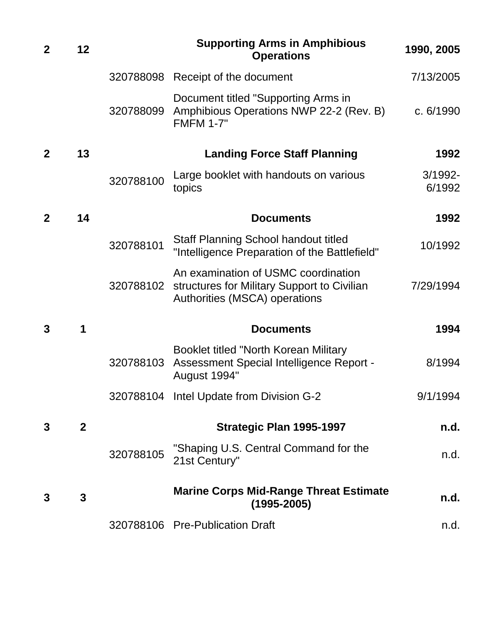| $\mathbf 2$    | 12             |           | <b>Supporting Arms in Amphibious</b><br><b>Operations</b>                                                           | 1990, 2005           |
|----------------|----------------|-----------|---------------------------------------------------------------------------------------------------------------------|----------------------|
|                |                |           | 320788098 Receipt of the document                                                                                   | 7/13/2005            |
|                |                | 320788099 | Document titled "Supporting Arms in<br>Amphibious Operations NWP 22-2 (Rev. B)<br><b>FMFM 1-7"</b>                  | c. 6/1990            |
| $\mathbf 2$    | 13             |           | <b>Landing Force Staff Planning</b>                                                                                 | 1992                 |
|                |                | 320788100 | Large booklet with handouts on various<br>topics                                                                    | $3/1992 -$<br>6/1992 |
| $\overline{2}$ | 14             |           | <b>Documents</b>                                                                                                    | 1992                 |
|                |                | 320788101 | <b>Staff Planning School handout titled</b><br>"Intelligence Preparation of the Battlefield"                        | 10/1992              |
|                |                | 320788102 | An examination of USMC coordination<br>structures for Military Support to Civilian<br>Authorities (MSCA) operations | 7/29/1994            |
| 3              | 1              |           | <b>Documents</b>                                                                                                    | 1994                 |
|                |                | 320788103 | Booklet titled "North Korean Military<br>Assessment Special Intelligence Report -<br>August 1994"                   | 8/1994               |
|                |                |           | 320788104 Intel Update from Division G-2                                                                            | 9/1/1994             |
| 3              | $\overline{2}$ |           | Strategic Plan 1995-1997                                                                                            | n.d.                 |
|                |                | 320788105 | "Shaping U.S. Central Command for the<br>21st Century"                                                              | n.d.                 |
| 3              | 3              |           | <b>Marine Corps Mid-Range Threat Estimate</b><br>$(1995 - 2005)$                                                    | n.d.                 |
|                |                |           | 320788106 Pre-Publication Draft                                                                                     | n.d.                 |
|                |                |           |                                                                                                                     |                      |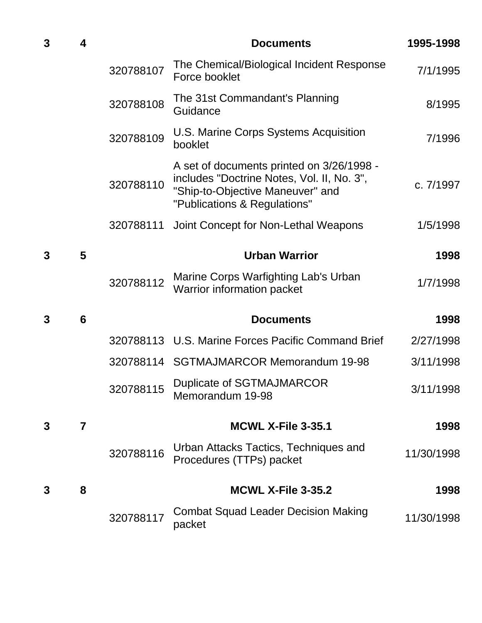| $\mathbf{3}$ | 4 |           | <b>Documents</b>                                                                                                                                              | 1995-1998  |
|--------------|---|-----------|---------------------------------------------------------------------------------------------------------------------------------------------------------------|------------|
|              |   | 320788107 | The Chemical/Biological Incident Response<br>Force booklet                                                                                                    | 7/1/1995   |
|              |   | 320788108 | The 31st Commandant's Planning<br>Guidance                                                                                                                    | 8/1995     |
|              |   | 320788109 | U.S. Marine Corps Systems Acquisition<br>booklet                                                                                                              | 7/1996     |
|              |   | 320788110 | A set of documents printed on $3/26/1998$ -<br>includes "Doctrine Notes, Vol. II, No. 3",<br>"Ship-to-Objective Maneuver" and<br>"Publications & Regulations" | c. 7/1997  |
|              |   | 320788111 | Joint Concept for Non-Lethal Weapons                                                                                                                          | 1/5/1998   |
| $\mathbf{3}$ | 5 |           | <b>Urban Warrior</b>                                                                                                                                          | 1998       |
|              |   | 320788112 | Marine Corps Warfighting Lab's Urban<br><b>Warrior information packet</b>                                                                                     | 1/7/1998   |
| 3            | 6 |           | <b>Documents</b>                                                                                                                                              | 1998       |
|              |   |           | 320788113 U.S. Marine Forces Pacific Command Brief                                                                                                            | 2/27/1998  |
|              |   |           | 320788114 SGTMAJMARCOR Memorandum 19-98                                                                                                                       | 3/11/1998  |
|              |   |           | 320788115 Duplicate of SGTMAJMARCOR<br>Memorandum 19-98                                                                                                       | 3/11/1998  |
| 3            | 7 |           | <b>MCWL X-File 3-35.1</b>                                                                                                                                     | 1998       |
|              |   | 320788116 | Urban Attacks Tactics, Techniques and<br>Procedures (TTPs) packet                                                                                             | 11/30/1998 |
| 3            | 8 |           | <b>MCWL X-File 3-35.2</b>                                                                                                                                     | 1998       |
|              |   | 320788117 | <b>Combat Squad Leader Decision Making</b><br>packet                                                                                                          | 11/30/1998 |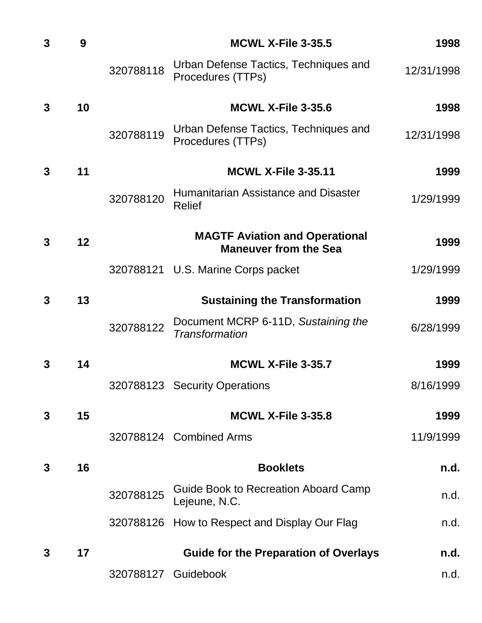| $\mathbf{3}$ | 9  |           | <b>MCWL X-File 3-35.5</b>                                             | 1998       |
|--------------|----|-----------|-----------------------------------------------------------------------|------------|
|              |    | 320788118 | Urban Defense Tactics, Techniques and<br>Procedures (TTPs)            | 12/31/1998 |
| 3            | 10 |           | <b>MCWL X-File 3-35.6</b>                                             | 1998       |
|              |    | 320788119 | Urban Defense Tactics, Techniques and<br>Procedures (TTPs)            | 12/31/1998 |
| 3            | 11 |           | <b>MCWL X-File 3-35.11</b>                                            | 1999       |
|              |    | 320788120 | Humanitarian Assistance and Disaster<br><b>Relief</b>                 | 1/29/1999  |
| $\mathbf{3}$ | 12 |           | <b>MAGTF Aviation and Operational</b><br><b>Maneuver from the Sea</b> | 1999       |
|              |    |           | 320788121 U.S. Marine Corps packet                                    | 1/29/1999  |
| $\mathbf{3}$ | 13 |           | <b>Sustaining the Transformation</b>                                  | 1999       |
|              |    | 320788122 | Document MCRP 6-11D, Sustaining the<br><b>Transformation</b>          | 6/28/1999  |
| 3            | 14 |           | <b>MCWL X-File 3-35.7</b>                                             | 1999       |
|              |    |           | 320788123 Security Operations                                         | 8/16/1999  |
| 3            | 15 |           | <b>MCWL X-File 3-35.8</b>                                             | 1999       |
|              |    |           | 320788124 Combined Arms                                               | 11/9/1999  |
| 3            | 16 |           | <b>Booklets</b>                                                       | n.d.       |
|              |    | 320788125 | Guide Book to Recreation Aboard Camp<br>Lejeune, N.C.                 | n.d.       |
|              |    |           | 320788126 How to Respect and Display Our Flag                         | n.d.       |
| 3            | 17 |           | <b>Guide for the Preparation of Overlays</b>                          | n.d.       |
|              |    |           | 320788127 Guidebook                                                   | n.d.       |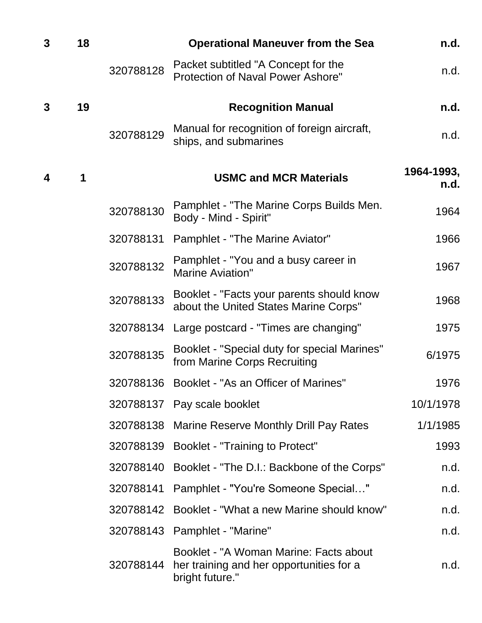| $\mathbf{3}$<br>18 |    |           | <b>Operational Maneuver from the Sea</b>                                                              | n.d.               |
|--------------------|----|-----------|-------------------------------------------------------------------------------------------------------|--------------------|
|                    |    | 320788128 | Packet subtitled "A Concept for the<br>Protection of Naval Power Ashore"                              | n.d.               |
| 3                  | 19 |           | <b>Recognition Manual</b>                                                                             | n.d.               |
|                    |    | 320788129 | Manual for recognition of foreign aircraft,<br>ships, and submarines                                  | n.d.               |
| $\boldsymbol{4}$   | 1  |           | <b>USMC and MCR Materials</b>                                                                         | 1964-1993,<br>n.d. |
|                    |    | 320788130 | Pamphlet - "The Marine Corps Builds Men.<br>Body - Mind - Spirit"                                     | 1964               |
|                    |    | 320788131 | Pamphlet - "The Marine Aviator"                                                                       | 1966               |
|                    |    | 320788132 | Pamphlet - "You and a busy career in<br><b>Marine Aviation"</b>                                       | 1967               |
|                    |    | 320788133 | Booklet - "Facts your parents should know<br>about the United States Marine Corps"                    | 1968               |
|                    |    | 320788134 | Large postcard - "Times are changing"                                                                 | 1975               |
|                    |    | 320788135 | Booklet - "Special duty for special Marines"<br>from Marine Corps Recruiting                          | 6/1975             |
|                    |    | 320788136 | Booklet - "As an Officer of Marines"                                                                  | 1976               |
|                    |    |           | 320788137 Pay scale booklet                                                                           | 10/1/1978          |
|                    |    |           | 320788138 Marine Reserve Monthly Drill Pay Rates                                                      | 1/1/1985           |
|                    |    |           | 320788139 Booklet - "Training to Protect"                                                             | 1993               |
|                    |    | 320788140 | Booklet - "The D.I.: Backbone of the Corps"                                                           | n.d.               |
|                    |    |           | 320788141 Pamphlet - "You're Someone Special"                                                         | n.d.               |
|                    |    | 320788142 | Booklet - "What a new Marine should know"                                                             | n.d.               |
|                    |    |           | 320788143 Pamphlet - "Marine"                                                                         | n.d.               |
|                    |    | 320788144 | Booklet - "A Woman Marine: Facts about<br>her training and her opportunities for a<br>bright future." | n.d.               |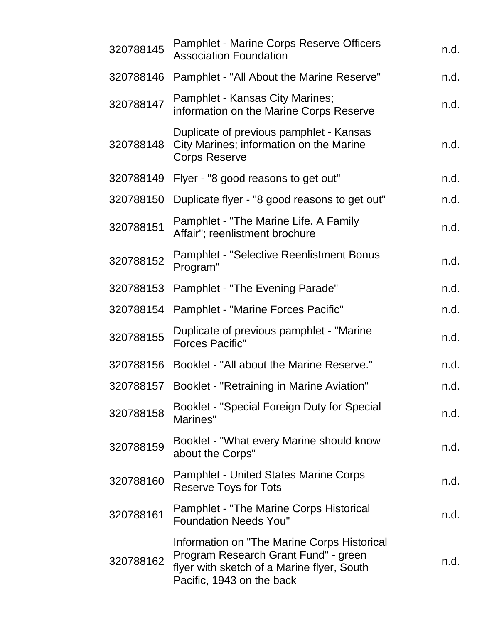| 320788145 | <b>Pamphlet - Marine Corps Reserve Officers</b><br><b>Association Foundation</b>                                                                               | n.d. |
|-----------|----------------------------------------------------------------------------------------------------------------------------------------------------------------|------|
| 320788146 | Pamphlet - "All About the Marine Reserve"                                                                                                                      | n.d. |
| 320788147 | Pamphlet - Kansas City Marines;<br>information on the Marine Corps Reserve                                                                                     | n.d. |
| 320788148 | Duplicate of previous pamphlet - Kansas<br>City Marines; information on the Marine<br><b>Corps Reserve</b>                                                     | n.d. |
| 320788149 | Flyer - "8 good reasons to get out"                                                                                                                            | n.d. |
| 320788150 | Duplicate flyer - "8 good reasons to get out"                                                                                                                  | n.d. |
| 320788151 | Pamphlet - "The Marine Life. A Family<br>Affair"; reenlistment brochure                                                                                        | n.d. |
| 320788152 | <b>Pamphlet - "Selective Reenlistment Bonus</b><br>Program"                                                                                                    | n.d. |
| 320788153 | Pamphlet - "The Evening Parade"                                                                                                                                | n.d. |
| 320788154 | <b>Pamphlet - "Marine Forces Pacific"</b>                                                                                                                      | n.d. |
| 320788155 | Duplicate of previous pamphlet - "Marine<br><b>Forces Pacific"</b>                                                                                             | n.d. |
| 320788156 | Booklet - "All about the Marine Reserve."                                                                                                                      | n.d. |
| 320788157 | Booklet - "Retraining in Marine Aviation"                                                                                                                      | n.d. |
| 320788158 | Booklet - "Special Foreign Duty for Special<br>Marines"                                                                                                        | n.d. |
| 320788159 | Booklet - "What every Marine should know<br>about the Corps"                                                                                                   | n.d. |
| 320788160 | <b>Pamphlet - United States Marine Corps</b><br><b>Reserve Toys for Tots</b>                                                                                   | n.d. |
| 320788161 | Pamphlet - "The Marine Corps Historical<br><b>Foundation Needs You"</b>                                                                                        | n.d. |
| 320788162 | Information on "The Marine Corps Historical<br>Program Research Grant Fund" - green<br>flyer with sketch of a Marine flyer, South<br>Pacific, 1943 on the back | n.d. |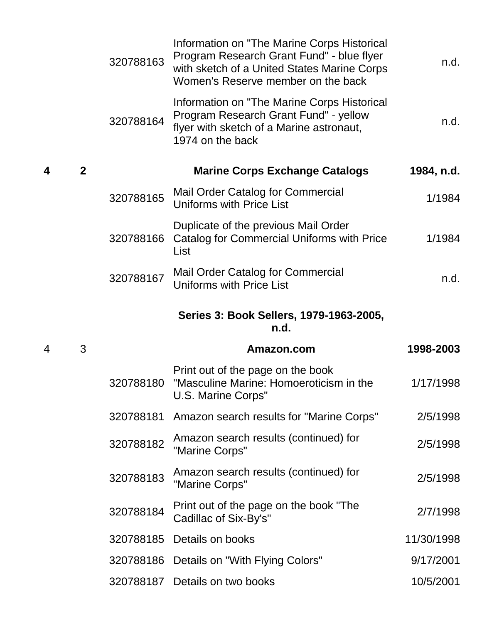|                  |                | 320788163 | Information on "The Marine Corps Historical<br>Program Research Grant Fund" - blue flyer<br>with sketch of a United States Marine Corps<br>Women's Reserve member on the back | n.d.       |
|------------------|----------------|-----------|-------------------------------------------------------------------------------------------------------------------------------------------------------------------------------|------------|
|                  |                | 320788164 | Information on "The Marine Corps Historical<br>Program Research Grant Fund" - yellow<br>flyer with sketch of a Marine astronaut,<br>1974 on the back                          | n.d.       |
| $\boldsymbol{4}$ | $\overline{2}$ |           | <b>Marine Corps Exchange Catalogs</b>                                                                                                                                         | 1984, n.d. |
|                  |                | 320788165 | Mail Order Catalog for Commercial<br>Uniforms with Price List                                                                                                                 | 1/1984     |
|                  |                | 320788166 | Duplicate of the previous Mail Order<br><b>Catalog for Commercial Uniforms with Price</b><br>List                                                                             | 1/1984     |
|                  |                | 320788167 | Mail Order Catalog for Commercial<br><b>Uniforms with Price List</b>                                                                                                          | n.d.       |
|                  |                |           | Series 3: Book Sellers, 1979-1963-2005,<br>n.d.                                                                                                                               |            |
|                  |                |           |                                                                                                                                                                               |            |
| 4                | 3              |           | Amazon.com                                                                                                                                                                    | 1998-2003  |
|                  |                | 320788180 | Print out of the page on the book<br>"Masculine Marine: Homoeroticism in the<br>U.S. Marine Corps"                                                                            | 1/17/1998  |
|                  |                | 320788181 | Amazon search results for "Marine Corps"                                                                                                                                      | 2/5/1998   |
|                  |                | 320788182 | Amazon search results (continued) for<br>"Marine Corps"                                                                                                                       | 2/5/1998   |
|                  |                | 320788183 | Amazon search results (continued) for<br>"Marine Corps"                                                                                                                       | 2/5/1998   |
|                  |                | 320788184 | Print out of the page on the book "The<br>Cadillac of Six-By's"                                                                                                               | 2/7/1998   |
|                  |                | 320788185 | Details on books                                                                                                                                                              | 11/30/1998 |
|                  |                | 320788186 | Details on "With Flying Colors"                                                                                                                                               | 9/17/2001  |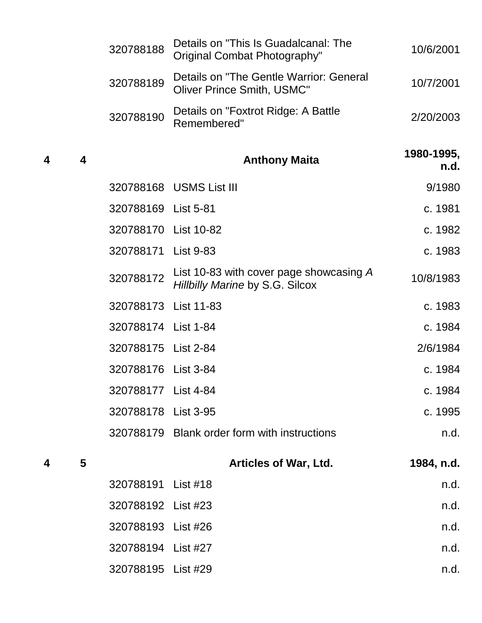|   |   | 320788188            | Details on "This Is Guadalcanal: The<br>Original Combat Photography"         | 10/6/2001          |
|---|---|----------------------|------------------------------------------------------------------------------|--------------------|
|   |   | 320788189            | Details on "The Gentle Warrior: General<br><b>Oliver Prince Smith, USMC"</b> | 10/7/2001          |
|   |   | 320788190            | Details on "Foxtrot Ridge: A Battle<br>Remembered"                           | 2/20/2003          |
| 4 | 4 |                      | <b>Anthony Maita</b>                                                         | 1980-1995,<br>n.d. |
|   |   |                      | 320788168 USMS List III                                                      | 9/1980             |
|   |   | 320788169 List 5-81  |                                                                              | c. 1981            |
|   |   | 320788170 List 10-82 |                                                                              | c. 1982            |
|   |   | 320788171 List 9-83  |                                                                              | c. 1983            |
|   |   | 320788172            | List 10-83 with cover page showcasing A<br>Hillbilly Marine by S.G. Silcox   | 10/8/1983          |
|   |   | 320788173 List 11-83 |                                                                              | c. 1983            |
|   |   | 320788174 List 1-84  |                                                                              | c. 1984            |
|   |   | 320788175 List 2-84  |                                                                              | 2/6/1984           |
|   |   | 320788176 List 3-84  |                                                                              | c. 1984            |
|   |   | 320788177 List 4-84  |                                                                              | c. 1984            |
|   |   | 320788178 List 3-95  |                                                                              | c. 1995            |
|   |   |                      | 320788179 Blank order form with instructions                                 | n.d.               |
| 4 | 5 |                      | <b>Articles of War, Ltd.</b>                                                 | 1984, n.d.         |
|   |   | 320788191            | List $#18$                                                                   | n.d.               |
|   |   | 320788192 List #23   |                                                                              | n.d.               |
|   |   | 320788193 List #26   |                                                                              | n.d.               |
|   |   | 320788194 List #27   |                                                                              | n.d.               |
|   |   |                      |                                                                              |                    |

List #29 n.d.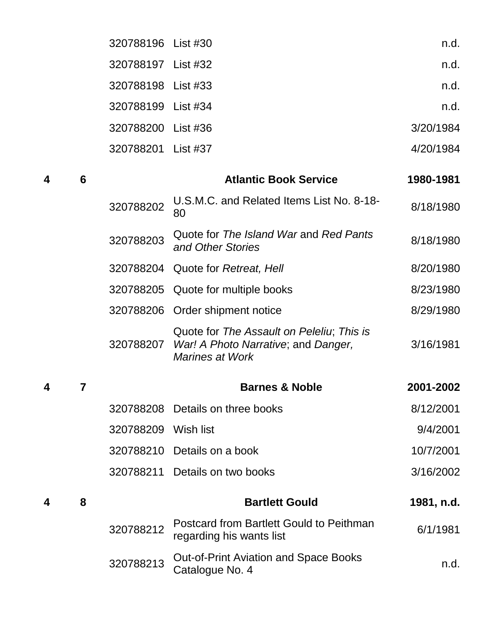|   |   | 320788196           | List #30                                                                                                   | n.d.       |
|---|---|---------------------|------------------------------------------------------------------------------------------------------------|------------|
|   |   | 320788197           | List #32                                                                                                   | n.d.       |
|   |   | 320788198 List #33  |                                                                                                            | n.d.       |
|   |   | 320788199           | List #34                                                                                                   | n.d.       |
|   |   | 320788200           | List $#36$                                                                                                 | 3/20/1984  |
|   |   | 320788201           | List $#37$                                                                                                 | 4/20/1984  |
| 4 | 6 |                     | <b>Atlantic Book Service</b>                                                                               | 1980-1981  |
|   |   | 320788202           | U.S.M.C. and Related Items List No. 8-18-<br>80                                                            | 8/18/1980  |
|   |   | 320788203           | Quote for The Island War and Red Pants<br>and Other Stories                                                | 8/18/1980  |
|   |   | 320788204           | Quote for Retreat, Hell                                                                                    | 8/20/1980  |
|   |   | 320788205           | Quote for multiple books                                                                                   | 8/23/1980  |
|   |   | 320788206           | Order shipment notice                                                                                      | 8/29/1980  |
|   |   | 320788207           | Quote for The Assault on Peleliu; This is<br>War! A Photo Narrative; and Danger,<br><b>Marines at Work</b> | 3/16/1981  |
| 4 | 7 |                     | <b>Barnes &amp; Noble</b>                                                                                  | 2001-2002  |
|   |   |                     | 320788208 Details on three books                                                                           | 8/12/2001  |
|   |   | 320788209 Wish list |                                                                                                            | 9/4/2001   |
|   |   |                     | 320788210 Details on a book                                                                                | 10/7/2001  |
|   |   | 320788211           | Details on two books                                                                                       | 3/16/2002  |
| 4 | 8 |                     | <b>Bartlett Gould</b>                                                                                      | 1981, n.d. |
|   |   | 320788212           | <b>Postcard from Bartlett Gould to Peithman</b><br>regarding his wants list                                | 6/1/1981   |
|   |   | 320788213           | <b>Out-of-Print Aviation and Space Books</b><br>Catalogue No. 4                                            | n.d.       |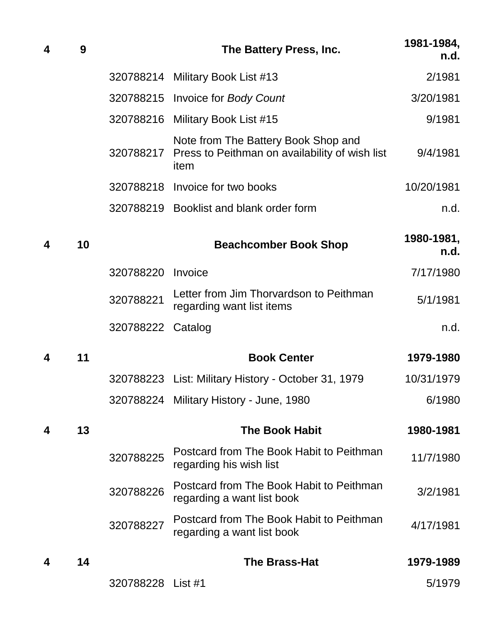| 4 | 9  |           | The Battery Press, Inc.                                                                       | 1981-1984,<br>n.d. |
|---|----|-----------|-----------------------------------------------------------------------------------------------|--------------------|
|   |    |           | 320788214 Military Book List #13                                                              | 2/1981             |
|   |    |           | 320788215 Invoice for Body Count                                                              | 3/20/1981          |
|   |    |           | 320788216 Military Book List #15                                                              | 9/1981             |
|   |    | 320788217 | Note from The Battery Book Shop and<br>Press to Peithman on availability of wish list<br>item | 9/4/1981           |
|   |    |           | 320788218 Invoice for two books                                                               | 10/20/1981         |
|   |    |           | 320788219 Booklist and blank order form                                                       | n.d.               |
| 4 | 10 |           | <b>Beachcomber Book Shop</b>                                                                  | 1980-1981,<br>n.d. |
|   |    | 320788220 | Invoice                                                                                       | 7/17/1980          |
|   |    | 320788221 | Letter from Jim Thorvardson to Peithman<br>regarding want list items                          | 5/1/1981           |
|   |    | 320788222 | Catalog                                                                                       | n.d.               |
| 4 | 11 |           | <b>Book Center</b>                                                                            | 1979-1980          |
|   |    |           | 320788223 List: Military History - October 31, 1979                                           | 10/31/1979         |
|   |    |           | 320788224 Military History - June, 1980                                                       | 6/1980             |
| 4 | 13 |           | <b>The Book Habit</b>                                                                         | 1980-1981          |
|   |    | 320788225 | Postcard from The Book Habit to Peithman<br>regarding his wish list                           | 11/7/1980          |
|   |    | 320788226 | Postcard from The Book Habit to Peithman<br>regarding a want list book                        | 3/2/1981           |
|   |    | 320788227 | Postcard from The Book Habit to Peithman<br>regarding a want list book                        | 4/17/1981          |
| 4 | 14 |           | <b>The Brass-Hat</b>                                                                          | 1979-1989          |
|   |    | 320788228 | List #1                                                                                       | 5/1979             |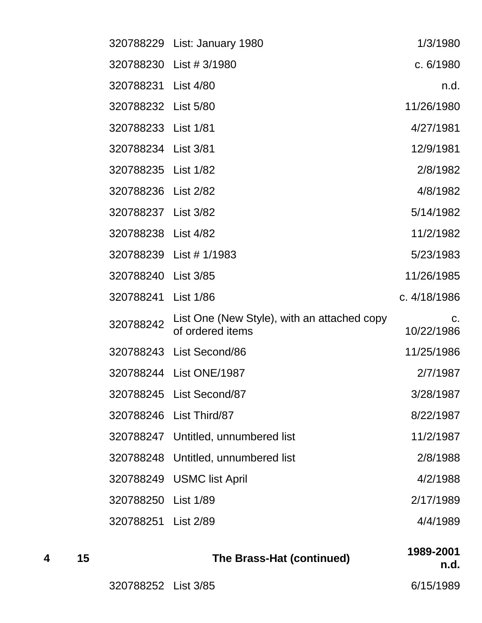|                     | 320788229 List: January 1980                                    | 1/3/1980         |
|---------------------|-----------------------------------------------------------------|------------------|
|                     | 320788230 List #3/1980                                          | c. 6/1980        |
| 320788231 List 4/80 |                                                                 | n.d.             |
| 320788232 List 5/80 |                                                                 | 11/26/1980       |
| 320788233 List 1/81 |                                                                 | 4/27/1981        |
| 320788234 List 3/81 |                                                                 | 12/9/1981        |
| 320788235 List 1/82 |                                                                 | 2/8/1982         |
| 320788236 List 2/82 |                                                                 | 4/8/1982         |
| 320788237 List 3/82 |                                                                 | 5/14/1982        |
| 320788238 List 4/82 |                                                                 | 11/2/1982        |
| 320788239           | List # 1/1983                                                   | 5/23/1983        |
| 320788240 List 3/85 |                                                                 | 11/26/1985       |
| 320788241           | List 1/86                                                       | c. 4/18/1986     |
| 320788242           | List One (New Style), with an attached copy<br>of ordered items | C.<br>10/22/1986 |
|                     | 320788243 List Second/86                                        | 11/25/1986       |
|                     | 320788244 List ONE/1987                                         | 2/7/1987         |
|                     | 320788245 List Second/87                                        | 3/28/1987        |
|                     | 320788246 List Third/87                                         | 8/22/1987        |
| 320788247           | Untitled, unnumbered list                                       | 11/2/1987        |
| 320788248           | Untitled, unnumbered list                                       | 2/8/1988         |
| 320788249           | <b>USMC</b> list April                                          | 4/2/1988         |
| 320788250           | List 1/89                                                       | 2/17/1989        |
| 320788251           | <b>List 2/89</b>                                                | 4/4/1989         |

 **<sup>15</sup> The Brass-Hat (continued) 1989-2001 n.d.** List 3/85 6/15/1989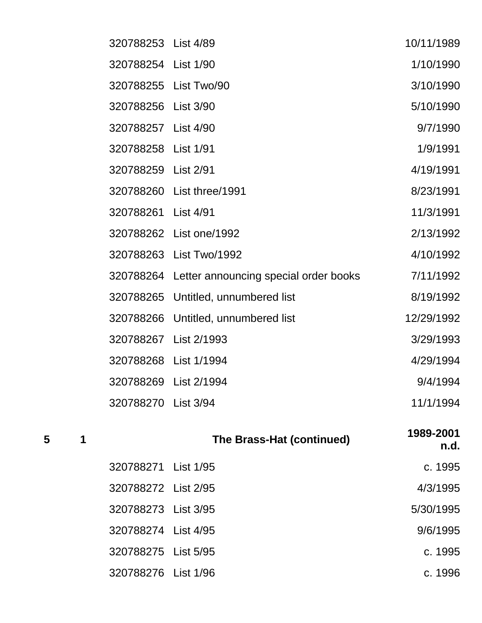| 320788253 List 4/89   |                                       | 10/11/1989 |
|-----------------------|---------------------------------------|------------|
| 320788254 List 1/90   |                                       | 1/10/1990  |
|                       | 320788255 List Two/90                 | 3/10/1990  |
| 320788256             | <b>List 3/90</b>                      | 5/10/1990  |
| 320788257             | <b>List 4/90</b>                      | 9/7/1990   |
| 320788258             | <b>List 1/91</b>                      | 1/9/1991   |
| 320788259             | <b>List 2/91</b>                      | 4/19/1991  |
| 320788260             | List three/1991                       | 8/23/1991  |
| 320788261             | <b>List 4/91</b>                      | 11/3/1991  |
| 320788262             | List one/1992                         | 2/13/1992  |
| 320788263             | List Two/1992                         | 4/10/1992  |
| 320788264             | Letter announcing special order books | 7/11/1992  |
| 320788265             | Untitled, unnumbered list             | 8/19/1992  |
| 320788266             | Untitled, unnumbered list             | 12/29/1992 |
| 320788267             | List 2/1993                           | 3/29/1993  |
| 320788268             | List 1/1994                           | 4/29/1994  |
| 320788269 List 2/1994 |                                       | 9/4/1994   |
| 320788270             | <b>List 3/94</b>                      | 11/1/1994  |

 **<sup>1</sup> The Brass-Hat (continued) 1989-2001 n.d.**

| c. 1995   | 320788271 List 1/95 |
|-----------|---------------------|
| 4/3/1995  | 320788272 List 2/95 |
| 5/30/1995 | 320788273 List 3/95 |
| 9/6/1995  | 320788274 List 4/95 |
| c. 1995   | 320788275 List 5/95 |
| c. 1996   | 320788276 List 1/96 |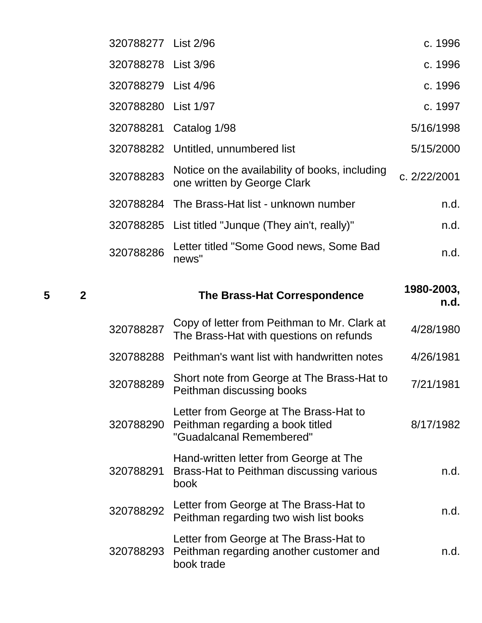| 320788277 List 2/96 |                                                                               | c. 1996      |
|---------------------|-------------------------------------------------------------------------------|--------------|
| 320788278 List 3/96 |                                                                               | c. 1996      |
| 320788279 List 4/96 |                                                                               | c. 1996      |
| 320788280 List 1/97 |                                                                               | c. 1997      |
|                     | 320788281 Catalog 1/98                                                        | 5/16/1998    |
|                     | 320788282 Untitled, unnumbered list                                           | 5/15/2000    |
| 320788283           | Notice on the availability of books, including<br>one written by George Clark | c. 2/22/2001 |
| 320788284           | The Brass-Hat list - unknown number                                           | n.d.         |
|                     | 320788285 List titled "Junque (They ain't, really)"                           | n.d.         |
| 320788286           | Letter titled "Some Good news, Some Bad<br>news"                              | n.d.         |

| 2 |           | The Brass-Hat Correspondence                                                                           | 1980-2003,<br>n.d. |
|---|-----------|--------------------------------------------------------------------------------------------------------|--------------------|
|   | 320788287 | Copy of letter from Peithman to Mr. Clark at<br>The Brass-Hat with questions on refunds                | 4/28/1980          |
|   | 320788288 | Peithman's want list with handwritten notes                                                            | 4/26/1981          |
|   | 320788289 | Short note from George at The Brass-Hat to<br>Peithman discussing books                                | 7/21/1981          |
|   | 320788290 | Letter from George at The Brass-Hat to<br>Peithman regarding a book titled<br>"Guadalcanal Remembered" | 8/17/1982          |
|   | 320788291 | Hand-written letter from George at The<br>Brass-Hat to Peithman discussing various<br>book             | n.d.               |
|   | 320788292 | Letter from George at The Brass-Hat to<br>Peithman regarding two wish list books                       | n.d.               |
|   | 320788293 | Letter from George at The Brass-Hat to<br>Peithman regarding another customer and<br>book trade        | n.d.               |
|   |           |                                                                                                        |                    |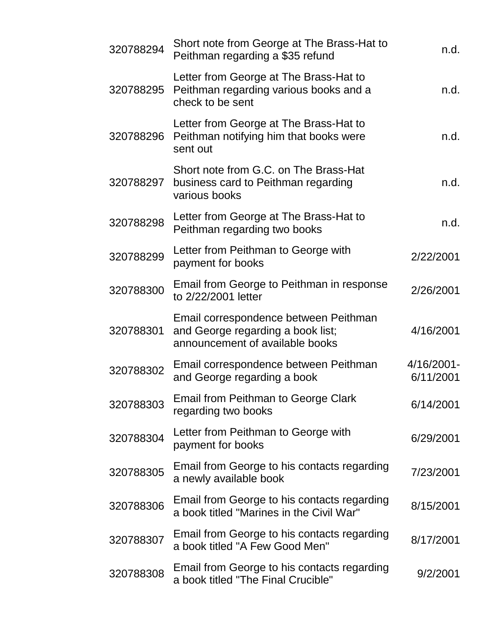| n.d.                    | Short note from George at The Brass-Hat to<br>Peithman regarding a \$35 refund                                | 320788294 |
|-------------------------|---------------------------------------------------------------------------------------------------------------|-----------|
| n.d.                    | Letter from George at The Brass-Hat to<br>Peithman regarding various books and a<br>check to be sent          | 320788295 |
| n.d.                    | Letter from George at The Brass-Hat to<br>Peithman notifying him that books were<br>sent out                  | 320788296 |
| n.d.                    | Short note from G.C. on The Brass-Hat<br>business card to Peithman regarding<br>various books                 | 320788297 |
| n.d.                    | Letter from George at The Brass-Hat to<br>Peithman regarding two books                                        | 320788298 |
| 2/22/2001               | Letter from Peithman to George with<br>payment for books                                                      | 320788299 |
| 2/26/2001               | Email from George to Peithman in response<br>to 2/22/2001 letter                                              | 320788300 |
| 4/16/2001               | Email correspondence between Peithman<br>and George regarding a book list;<br>announcement of available books | 320788301 |
| 4/16/2001-<br>6/11/2001 | Email correspondence between Peithman<br>and George regarding a book                                          | 320788302 |
| 6/14/2001               | <b>Email from Peithman to George Clark</b><br>regarding two books                                             | 320788303 |
| 6/29/2001               | Letter from Peithman to George with<br>payment for books                                                      | 320788304 |
| 7/23/2001               | Email from George to his contacts regarding<br>a newly available book                                         | 320788305 |
| 8/15/2001               | Email from George to his contacts regarding<br>a book titled "Marines in the Civil War"                       | 320788306 |
| 8/17/2001               | Email from George to his contacts regarding<br>a book titled "A Few Good Men"                                 | 320788307 |
| 9/2/2001                | Email from George to his contacts regarding<br>a book titled "The Final Crucible"                             | 320788308 |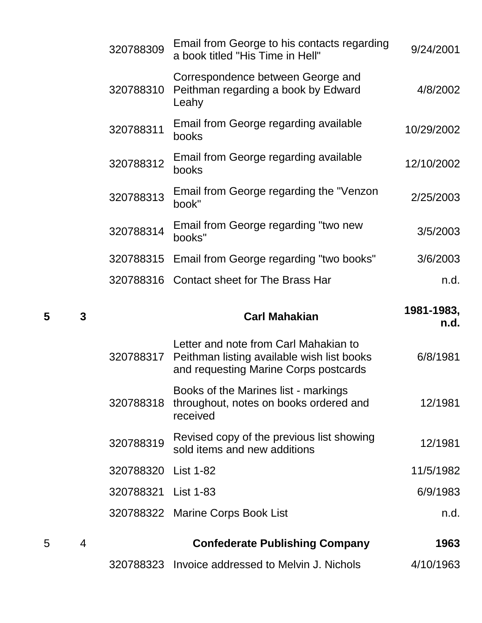| 320788309 | Email from George to his contacts regarding<br>a book titled "His Time in Hell"   | 9/24/2001  |
|-----------|-----------------------------------------------------------------------------------|------------|
| 320788310 | Correspondence between George and<br>Peithman regarding a book by Edward<br>Leahy | 4/8/2002   |
| 320788311 | Email from George regarding available<br>books                                    | 10/29/2002 |
| 320788312 | Email from George regarding available<br>books                                    | 12/10/2002 |
| 320788313 | Email from George regarding the "Venzon"<br>book"                                 | 2/25/2003  |
| 320788314 | Email from George regarding "two new<br>books"                                    | 3/5/2003   |
| 320788315 | Email from George regarding "two books"                                           | 3/6/2003   |
|           | 320788316 Contact sheet for The Brass Har                                         | n.d.       |
|           |                                                                                   |            |

| 5 | 3              |                     | <b>Carl Mahakian</b>                                                                                                                   | 1981-1983,<br>n.d. |
|---|----------------|---------------------|----------------------------------------------------------------------------------------------------------------------------------------|--------------------|
|   |                |                     | Letter and note from Carl Mahakian to<br>320788317 Peithman listing available wish list books<br>and requesting Marine Corps postcards | 6/8/1981           |
|   |                | 320788318           | Books of the Marines list - markings<br>throughout, notes on books ordered and<br>received                                             | 12/1981            |
|   |                | 320788319           | Revised copy of the previous list showing<br>sold items and new additions                                                              | 12/1981            |
|   |                | 320788320 List 1-82 |                                                                                                                                        | 11/5/1982          |
|   |                | 320788321 List 1-83 |                                                                                                                                        | 6/9/1983           |
|   |                |                     | 320788322 Marine Corps Book List                                                                                                       | n.d.               |
| 5 | $\overline{4}$ |                     | <b>Confederate Publishing Company</b>                                                                                                  | 1963               |
|   |                |                     | 320788323 Invoice addressed to Melvin J. Nichols                                                                                       | 4/10/1963          |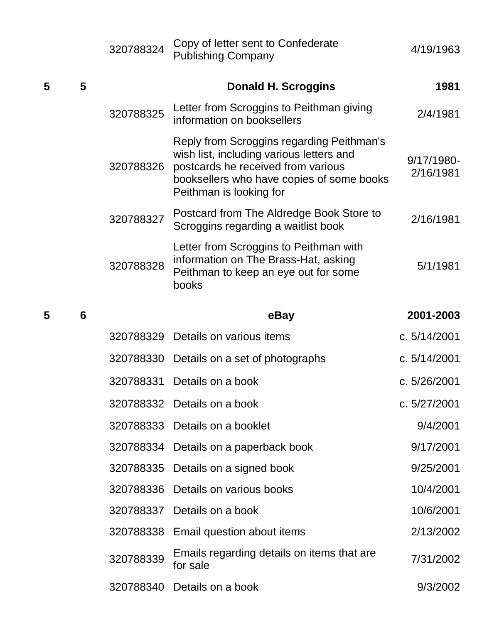|   |   | 320788324 | Copy of letter sent to Confederate<br><b>Publishing Company</b>                                                                                                                                     | 4/19/1963               |
|---|---|-----------|-----------------------------------------------------------------------------------------------------------------------------------------------------------------------------------------------------|-------------------------|
| 5 | 5 |           | <b>Donald H. Scroggins</b>                                                                                                                                                                          | 1981                    |
|   |   | 320788325 | Letter from Scroggins to Peithman giving<br>information on booksellers                                                                                                                              | 2/4/1981                |
|   |   | 320788326 | Reply from Scroggins regarding Peithman's<br>wish list, including various letters and<br>postcards he received from various<br>booksellers who have copies of some books<br>Peithman is looking for | 9/17/1980-<br>2/16/1981 |
|   |   | 320788327 | Postcard from The Aldredge Book Store to<br>Scroggins regarding a waitlist book                                                                                                                     | 2/16/1981               |
|   |   | 320788328 | Letter from Scroggins to Peithman with<br>information on The Brass-Hat, asking<br>Peithman to keep an eye out for some<br>books                                                                     | 5/1/1981                |
| 5 | 6 |           | eBay                                                                                                                                                                                                | 2001-2003               |
|   |   | 320788329 | Details on various items                                                                                                                                                                            | c. 5/14/2001            |
|   |   |           | 320788330 Details on a set of photographs                                                                                                                                                           | c. 5/14/2001            |
|   |   | 320788331 | Details on a book                                                                                                                                                                                   | c. 5/26/2001            |
|   |   | 320788332 | Details on a book                                                                                                                                                                                   | c. 5/27/2001            |
|   |   | 320788333 | Details on a booklet                                                                                                                                                                                | 9/4/2001                |
|   |   | 320788334 | Details on a paperback book                                                                                                                                                                         | 9/17/2001               |
|   |   | 320788335 | Details on a signed book                                                                                                                                                                            | 9/25/2001               |
|   |   | 320788336 | Details on various books                                                                                                                                                                            | 10/4/2001               |
|   |   | 320788337 | Details on a book                                                                                                                                                                                   | 10/6/2001               |
|   |   | 320788338 | Email question about items                                                                                                                                                                          | 2/13/2002               |
|   |   | 320788339 | Emails regarding details on items that are<br>for sale                                                                                                                                              | 7/31/2002               |
|   |   | 320788340 | Details on a book                                                                                                                                                                                   | 9/3/2002                |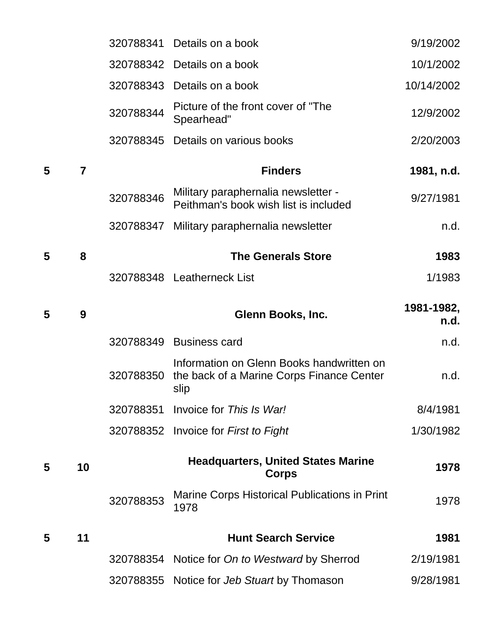|   |                |           | 320788341 Details on a book                                                                    | 9/19/2002          |
|---|----------------|-----------|------------------------------------------------------------------------------------------------|--------------------|
|   |                |           | 320788342 Details on a book                                                                    | 10/1/2002          |
|   |                |           | 320788343 Details on a book                                                                    | 10/14/2002         |
|   |                | 320788344 | Picture of the front cover of "The<br>Spearhead"                                               | 12/9/2002          |
|   |                |           | 320788345 Details on various books                                                             | 2/20/2003          |
| 5 | $\overline{7}$ |           | <b>Finders</b>                                                                                 | 1981, n.d.         |
|   |                | 320788346 | Military paraphernalia newsletter -<br>Peithman's book wish list is included                   | 9/27/1981          |
|   |                |           | 320788347 Military paraphernalia newsletter                                                    | n.d.               |
| 5 | 8              |           | <b>The Generals Store</b>                                                                      | 1983               |
|   |                |           | 320788348 Leatherneck List                                                                     | 1/1983             |
| 5 | 9              |           | Glenn Books, Inc.                                                                              | 1981-1982,<br>n.d. |
|   |                |           |                                                                                                |                    |
|   |                |           | 320788349 Business card                                                                        | n.d.               |
|   |                | 320788350 | Information on Glenn Books handwritten on<br>the back of a Marine Corps Finance Center<br>slip | n.d.               |
|   |                | 320788351 | Invoice for This Is War!                                                                       | 8/4/1981           |
|   |                |           | 320788352 Invoice for First to Fight                                                           | 1/30/1982          |
| 5 | 10             |           | <b>Headquarters, United States Marine</b><br><b>Corps</b>                                      | 1978               |
|   |                | 320788353 | Marine Corps Historical Publications in Print<br>1978                                          | 1978               |
| 5 | 11             |           | <b>Hunt Search Service</b>                                                                     | 1981               |
|   |                | 320788354 | Notice for On to Westward by Sherrod                                                           | 2/19/1981          |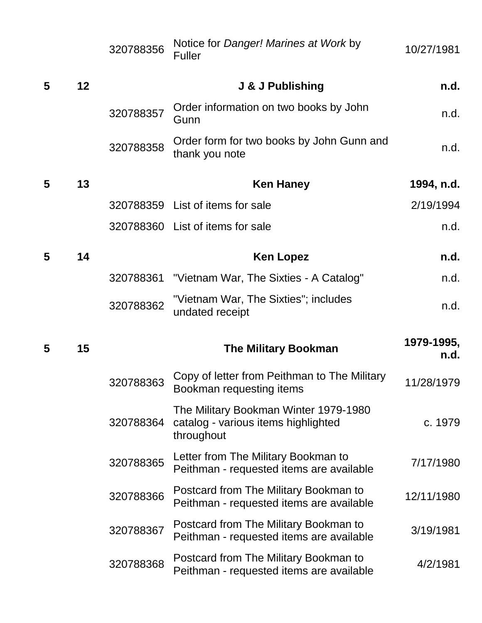|   |    | 320788356 | Notice for Danger! Marines at Work by<br><b>Fuller</b>                                     | 10/27/1981         |
|---|----|-----------|--------------------------------------------------------------------------------------------|--------------------|
| 5 | 12 |           | J & J Publishing                                                                           | n.d.               |
|   |    | 320788357 | Order information on two books by John<br>Gunn                                             | n.d.               |
|   |    | 320788358 | Order form for two books by John Gunn and<br>thank you note                                | n.d.               |
| 5 | 13 |           | <b>Ken Haney</b>                                                                           | 1994, n.d.         |
|   |    |           | 320788359 List of items for sale                                                           | 2/19/1994          |
|   |    |           | 320788360 List of items for sale                                                           | n.d.               |
| 5 | 14 |           | <b>Ken Lopez</b>                                                                           | n.d.               |
|   |    | 320788361 | "Vietnam War, The Sixties - A Catalog"                                                     | n.d.               |
|   |    | 320788362 | "Vietnam War, The Sixties"; includes<br>undated receipt                                    | n.d.               |
| 5 | 15 |           | <b>The Military Bookman</b>                                                                | 1979-1995,<br>n.d. |
|   |    | 320788363 | Copy of letter from Peithman to The Military<br>Bookman requesting items                   | 11/28/1979         |
|   |    | 320788364 | The Military Bookman Winter 1979-1980<br>catalog - various items highlighted<br>throughout | c. 1979            |
|   |    | 320788365 | Letter from The Military Bookman to<br>Peithman - requested items are available            | 7/17/1980          |
|   |    | 320788366 | Postcard from The Military Bookman to<br>Peithman - requested items are available          | 12/11/1980         |
|   |    | 320788367 | Postcard from The Military Bookman to<br>Peithman - requested items are available          | 3/19/1981          |
|   |    | 320788368 | Postcard from The Military Bookman to<br>Peithman - requested items are available          | 4/2/1981           |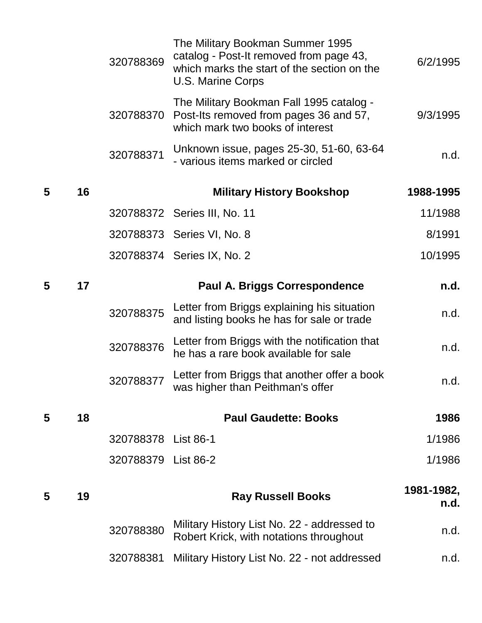|    | 320788369           | The Military Bookman Summer 1995<br>catalog - Post-It removed from page 43,<br>which marks the start of the section on the<br>U.S. Marine Corps | 6/2/1995                                                                                 |
|----|---------------------|-------------------------------------------------------------------------------------------------------------------------------------------------|------------------------------------------------------------------------------------------|
|    | 320788370           | The Military Bookman Fall 1995 catalog -<br>Post-Its removed from pages 36 and 57,<br>which mark two books of interest                          | 9/3/1995                                                                                 |
|    | 320788371           | Unknown issue, pages 25-30, 51-60, 63-64<br>- various items marked or circled                                                                   | n.d.                                                                                     |
| 16 |                     | <b>Military History Bookshop</b>                                                                                                                | 1988-1995                                                                                |
|    |                     |                                                                                                                                                 | 11/1988                                                                                  |
|    |                     |                                                                                                                                                 | 8/1991                                                                                   |
|    |                     |                                                                                                                                                 | 10/1995                                                                                  |
| 17 |                     | <b>Paul A. Briggs Correspondence</b>                                                                                                            | n.d.                                                                                     |
|    |                     |                                                                                                                                                 |                                                                                          |
|    | 320788375           | Letter from Briggs explaining his situation<br>and listing books he has for sale or trade                                                       | n.d.                                                                                     |
|    | 320788376           | Letter from Briggs with the notification that<br>he has a rare book available for sale                                                          | n.d.                                                                                     |
|    | 320788377           | Letter from Briggs that another offer a book<br>was higher than Peithman's offer                                                                | n.d.                                                                                     |
| 18 |                     | <b>Paul Gaudette: Books</b>                                                                                                                     | 1986                                                                                     |
|    | 320788378 List 86-1 |                                                                                                                                                 | 1/1986                                                                                   |
|    | 320788379 List 86-2 |                                                                                                                                                 | 1/1986                                                                                   |
| 19 |                     | <b>Ray Russell Books</b>                                                                                                                        | 1981-1982,<br>n.d.                                                                       |
|    | 320788380           | Military History List No. 22 - addressed to<br>Robert Krick, with notations throughout                                                          | n.d.                                                                                     |
|    |                     |                                                                                                                                                 | 320788372 Series III, No. 11<br>320788373 Series VI, No. 8<br>320788374 Series IX, No. 2 |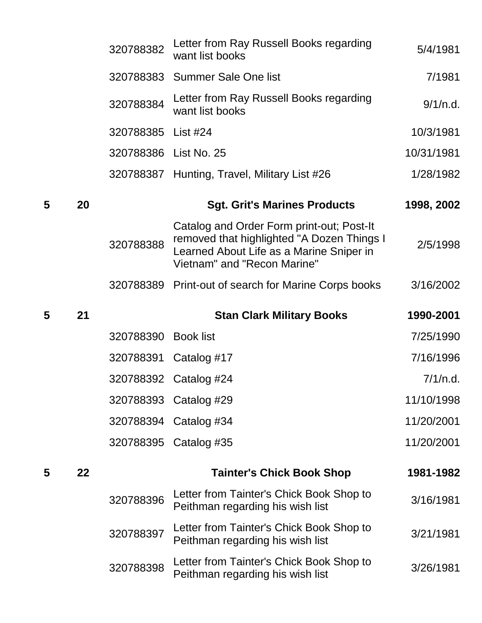|   |    | 320788382             | Letter from Ray Russell Books regarding<br>want list books                                                                                                         | 5/4/1981   |
|---|----|-----------------------|--------------------------------------------------------------------------------------------------------------------------------------------------------------------|------------|
|   |    |                       | 320788383 Summer Sale One list                                                                                                                                     | 7/1981     |
|   |    | 320788384             | Letter from Ray Russell Books regarding<br>want list books                                                                                                         | 9/1/n.d.   |
|   |    | 320788385             | List #24                                                                                                                                                           | 10/3/1981  |
|   |    | 320788386 List No. 25 |                                                                                                                                                                    | 10/31/1981 |
|   |    |                       | 320788387 Hunting, Travel, Military List #26                                                                                                                       | 1/28/1982  |
| 5 | 20 |                       | <b>Sgt. Grit's Marines Products</b>                                                                                                                                | 1998, 2002 |
|   |    | 320788388             | Catalog and Order Form print-out; Post-It<br>removed that highlighted "A Dozen Things I<br>Learned About Life as a Marine Sniper in<br>Vietnam" and "Recon Marine" | 2/5/1998   |
|   |    |                       | 320788389 Print-out of search for Marine Corps books                                                                                                               | 3/16/2002  |
|   |    |                       |                                                                                                                                                                    |            |
| 5 | 21 |                       | <b>Stan Clark Military Books</b>                                                                                                                                   | 1990-2001  |
|   |    | 320788390             | <b>Book list</b>                                                                                                                                                   | 7/25/1990  |
|   |    | 320788391             | Catalog #17                                                                                                                                                        | 7/16/1996  |
|   |    |                       | 320788392 Catalog #24                                                                                                                                              | 7/1/n.d.   |
|   |    | 320788393             | Catalog #29                                                                                                                                                        | 11/10/1998 |
|   |    |                       | 320788394 Catalog #34                                                                                                                                              | 11/20/2001 |
|   |    |                       | 320788395 Catalog #35                                                                                                                                              | 11/20/2001 |
| 5 | 22 |                       | <b>Tainter's Chick Book Shop</b>                                                                                                                                   | 1981-1982  |
|   |    | 320788396             | Letter from Tainter's Chick Book Shop to<br>Peithman regarding his wish list                                                                                       | 3/16/1981  |
|   |    | 320788397             | Letter from Tainter's Chick Book Shop to<br>Peithman regarding his wish list                                                                                       | 3/21/1981  |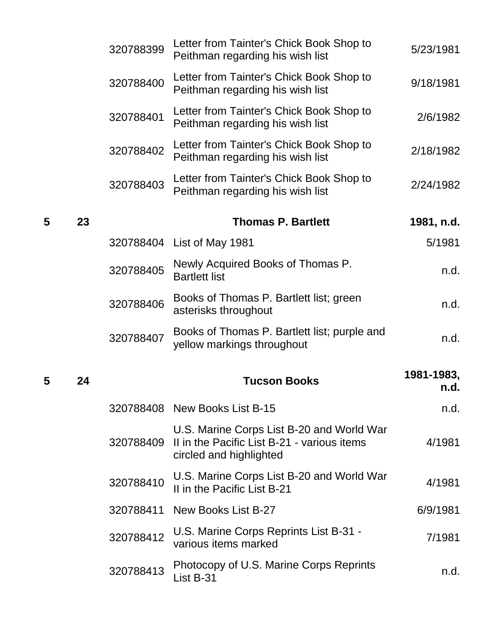|   |    | 320788399 | Letter from Tainter's Chick Book Shop to<br>Peithman regarding his wish list                                        | 5/23/1981          |
|---|----|-----------|---------------------------------------------------------------------------------------------------------------------|--------------------|
|   |    | 320788400 | Letter from Tainter's Chick Book Shop to<br>Peithman regarding his wish list                                        | 9/18/1981          |
|   |    | 320788401 | Letter from Tainter's Chick Book Shop to<br>Peithman regarding his wish list                                        | 2/6/1982           |
|   |    | 320788402 | Letter from Tainter's Chick Book Shop to<br>Peithman regarding his wish list                                        | 2/18/1982          |
|   |    | 320788403 | Letter from Tainter's Chick Book Shop to<br>Peithman regarding his wish list                                        | 2/24/1982          |
| 5 | 23 |           | <b>Thomas P. Bartlett</b>                                                                                           | 1981, n.d.         |
|   |    |           | 320788404 List of May 1981                                                                                          | 5/1981             |
|   |    | 320788405 | Newly Acquired Books of Thomas P.<br><b>Bartlett list</b>                                                           | n.d.               |
|   |    | 320788406 | Books of Thomas P. Bartlett list; green<br>asterisks throughout                                                     | n.d.               |
|   |    | 320788407 | Books of Thomas P. Bartlett list; purple and<br>yellow markings throughout                                          | n.d.               |
| 5 | 24 |           | <b>Tucson Books</b>                                                                                                 | 1981-1983,<br>n.d. |
|   |    |           | 320788408 New Books List B-15                                                                                       | n.d.               |
|   |    | 320788409 | U.S. Marine Corps List B-20 and World War<br>II in the Pacific List B-21 - various items<br>circled and highlighted | 4/1981             |
|   |    | 320788410 | U.S. Marine Corps List B-20 and World War<br>II in the Pacific List B-21                                            | 4/1981             |
|   |    | 320788411 | New Books List B-27                                                                                                 | 6/9/1981           |
|   |    | 320788412 | U.S. Marine Corps Reprints List B-31 -<br>various items marked                                                      | 7/1981             |
|   |    | 320788413 | Photocopy of U.S. Marine Corps Reprints<br>List B-31                                                                | n.d.               |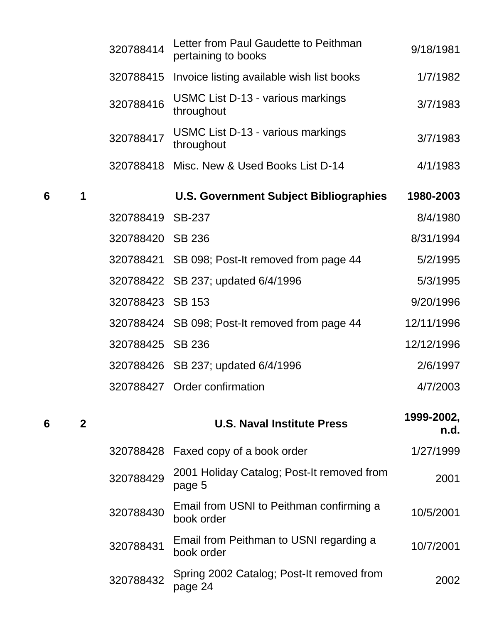|   |              | 320788414        | Letter from Paul Gaudette to Peithman<br>pertaining to books | 9/18/1981          |
|---|--------------|------------------|--------------------------------------------------------------|--------------------|
|   |              | 320788415        | Invoice listing available wish list books                    | 1/7/1982           |
|   |              | 320788416        | USMC List D-13 - various markings<br>throughout              | 3/7/1983           |
|   |              | 320788417        | USMC List D-13 - various markings<br>throughout              | 3/7/1983           |
|   |              |                  | 320788418 Misc. New & Used Books List D-14                   | 4/1/1983           |
| 6 | 1            |                  | <b>U.S. Government Subject Bibliographies</b>                | 1980-2003          |
|   |              | 320788419        | <b>SB-237</b>                                                | 8/4/1980           |
|   |              | 320788420 SB 236 |                                                              | 8/31/1994          |
|   |              |                  | 320788421 SB 098; Post-It removed from page 44               | 5/2/1995           |
|   |              |                  | 320788422 SB 237; updated 6/4/1996                           | 5/3/1995           |
|   |              | 320788423 SB 153 |                                                              | 9/20/1996          |
|   |              |                  | 320788424 SB 098; Post-It removed from page 44               | 12/11/1996         |
|   |              | 320788425 SB 236 |                                                              | 12/12/1996         |
|   |              |                  | 320788426 SB 237; updated 6/4/1996                           | 2/6/1997           |
|   |              |                  | 320788427 Order confirmation                                 | 4/7/2003           |
| 6 | $\mathbf{2}$ |                  | <b>U.S. Naval Institute Press</b>                            | 1999-2002,<br>n.d. |
|   |              |                  | 320788428 Faxed copy of a book order                         | 1/27/1999          |

| 320788429 | 2001 Holiday Catalog; Post-It removed from<br>page 5   | 2001      |
|-----------|--------------------------------------------------------|-----------|
| 320788430 | Email from USNI to Peithman confirming a<br>book order | 10/5/2001 |
| 320788431 | Email from Peithman to USNI regarding a<br>book order  | 10/7/2001 |
| 320788432 | Spring 2002 Catalog; Post-It removed from<br>page 24   | 2002      |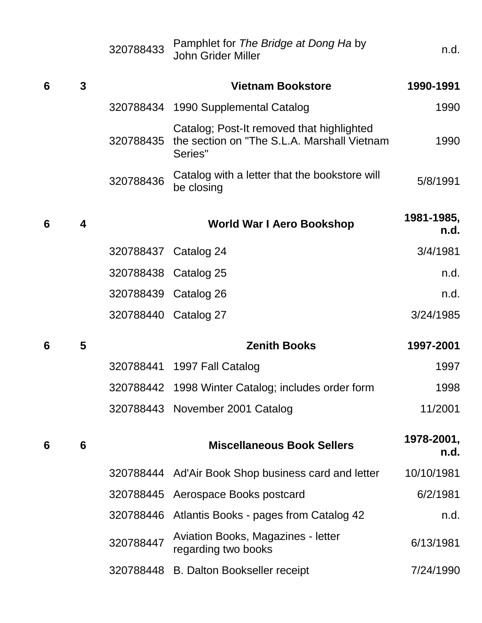|   |                         | 320788433            | Pamphlet for The Bridge at Dong Ha by<br><b>John Grider Miller</b>                                  | n.d.               |
|---|-------------------------|----------------------|-----------------------------------------------------------------------------------------------------|--------------------|
| 6 | $\mathbf{3}$            |                      | <b>Vietnam Bookstore</b>                                                                            | 1990-1991          |
|   |                         |                      | 320788434 1990 Supplemental Catalog                                                                 | 1990               |
|   |                         | 320788435            | Catalog; Post-It removed that highlighted<br>the section on "The S.L.A. Marshall Vietnam<br>Series" | 1990               |
|   |                         | 320788436            | Catalog with a letter that the bookstore will<br>be closing                                         | 5/8/1991           |
| 6 | $\overline{\mathbf{4}}$ |                      | <b>World War I Aero Bookshop</b>                                                                    | 1981-1985,<br>n.d. |
|   |                         | 320788437 Catalog 24 |                                                                                                     | 3/4/1981           |
|   |                         | 320788438 Catalog 25 |                                                                                                     | n.d.               |
|   |                         | 320788439 Catalog 26 |                                                                                                     | n.d.               |
|   |                         | 320788440 Catalog 27 |                                                                                                     | 3/24/1985          |
| 6 | 5                       |                      | <b>Zenith Books</b>                                                                                 | 1997-2001          |
|   |                         |                      | 320788441 1997 Fall Catalog                                                                         | 1997               |
|   |                         |                      | 320788442 1998 Winter Catalog; includes order form                                                  | 1998               |
|   |                         |                      | 320788443 November 2001 Catalog                                                                     | 11/2001            |
| 6 | $6\phantom{1}6$         |                      | <b>Miscellaneous Book Sellers</b>                                                                   | 1978-2001,<br>n.d. |
|   |                         |                      | 320788444 Ad'Air Book Shop business card and letter                                                 | 10/10/1981         |
|   |                         |                      | 320788445 Aerospace Books postcard                                                                  | 6/2/1981           |
|   |                         |                      | 320788446 Atlantis Books - pages from Catalog 42                                                    | n.d.               |
|   |                         | 320788447            | Aviation Books, Magazines - letter<br>regarding two books                                           | 6/13/1981          |
|   |                         |                      | 320788448 B. Dalton Bookseller receipt                                                              | 7/24/1990          |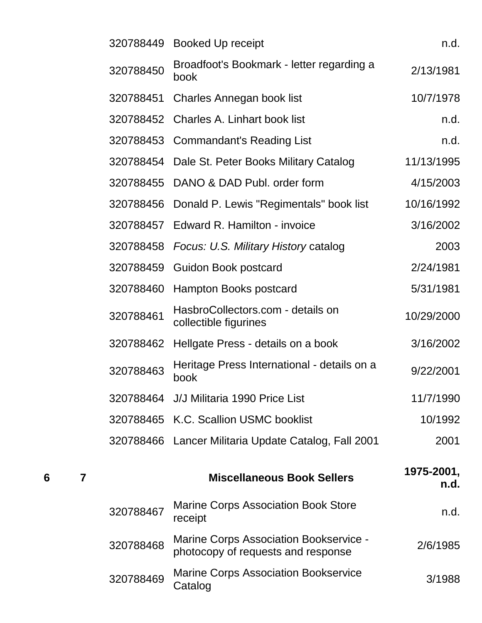|   |   | 320788449 | <b>Booked Up receipt</b>                                                     | n.d.               |
|---|---|-----------|------------------------------------------------------------------------------|--------------------|
|   |   | 320788450 | Broadfoot's Bookmark - letter regarding a<br>book                            | 2/13/1981          |
|   |   | 320788451 | Charles Annegan book list                                                    | 10/7/1978          |
|   |   | 320788452 | <b>Charles A. Linhart book list</b>                                          | n.d.               |
|   |   |           | 320788453 Commandant's Reading List                                          | n.d.               |
|   |   | 320788454 | Dale St. Peter Books Military Catalog                                        | 11/13/1995         |
|   |   |           | 320788455 DANO & DAD Publ. order form                                        | 4/15/2003          |
|   |   | 320788456 | Donald P. Lewis "Regimentals" book list                                      | 10/16/1992         |
|   |   | 320788457 | Edward R. Hamilton - invoice                                                 | 3/16/2002          |
|   |   | 320788458 | Focus: U.S. Military History catalog                                         | 2003               |
|   |   | 320788459 | <b>Guidon Book postcard</b>                                                  | 2/24/1981          |
|   |   | 320788460 | Hampton Books postcard                                                       | 5/31/1981          |
|   |   | 320788461 | HasbroCollectors.com - details on<br>collectible figurines                   | 10/29/2000         |
|   |   | 320788462 | Hellgate Press - details on a book                                           | 3/16/2002          |
|   |   | 320788463 | Heritage Press International - details on a<br>book                          | 9/22/2001          |
|   |   |           | 320788464 J/J Militaria 1990 Price List                                      | 11/7/1990          |
|   |   |           | 320788465 K.C. Scallion USMC booklist                                        | 10/1992            |
|   |   |           | 320788466 Lancer Militaria Update Catalog, Fall 2001                         | 2001               |
| 6 | 7 |           | <b>Miscellaneous Book Sellers</b>                                            | 1975-2001,<br>n.d. |
|   |   | 320788467 | <b>Marine Corps Association Book Store</b><br>receipt                        | n.d.               |
|   |   | 320788468 | Marine Corps Association Bookservice -<br>photocopy of requests and response | 2/6/1985           |
|   |   | 320788469 | <b>Marine Corps Association Bookservice</b><br>$C_{\Omega}$ tolog            | 3/1988             |

wanne Corps Association Bookservice 3/1988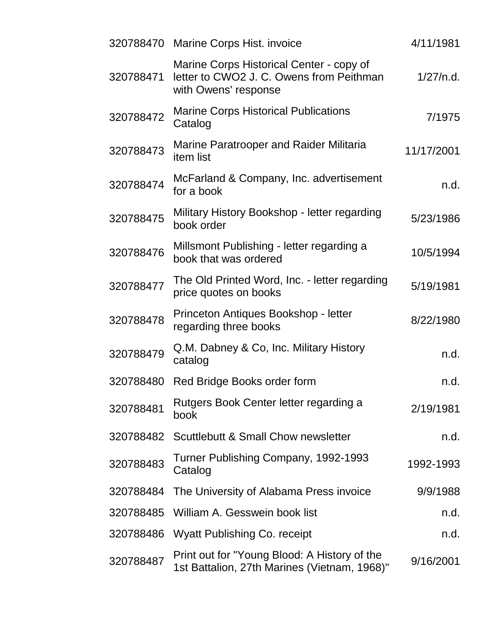|           | 320788470 Marine Corps Hist. invoice                                                                         | 4/11/1981  |
|-----------|--------------------------------------------------------------------------------------------------------------|------------|
| 320788471 | Marine Corps Historical Center - copy of<br>letter to CWO2 J. C. Owens from Peithman<br>with Owens' response | 1/27/n.d.  |
| 320788472 | <b>Marine Corps Historical Publications</b><br>Catalog                                                       | 7/1975     |
| 320788473 | Marine Paratrooper and Raider Militaria<br><i>item</i> list                                                  | 11/17/2001 |
| 320788474 | McFarland & Company, Inc. advertisement<br>for a book                                                        | n.d.       |
| 320788475 | Military History Bookshop - letter regarding<br>book order                                                   | 5/23/1986  |
| 320788476 | Millsmont Publishing - letter regarding a<br>book that was ordered                                           | 10/5/1994  |
| 320788477 | The Old Printed Word, Inc. - letter regarding<br>price quotes on books                                       | 5/19/1981  |
| 320788478 | Princeton Antiques Bookshop - letter<br>regarding three books                                                | 8/22/1980  |
| 320788479 | Q.M. Dabney & Co, Inc. Military History<br>catalog                                                           | n.d.       |
| 320788480 | Red Bridge Books order form                                                                                  | n.d.       |
| 320788481 | Rutgers Book Center letter regarding a<br>book                                                               | 2/19/1981  |
| 320788482 | <b>Scuttlebutt &amp; Small Chow newsletter</b>                                                               | n.d.       |
| 320788483 | Turner Publishing Company, 1992-1993<br>Catalog                                                              | 1992-1993  |
| 320788484 | The University of Alabama Press invoice                                                                      | 9/9/1988   |
| 320788485 | William A. Gesswein book list                                                                                | n.d.       |
| 320788486 | <b>Wyatt Publishing Co. receipt</b>                                                                          | n.d.       |
| 320788487 | Print out for "Young Blood: A History of the<br>1st Battalion, 27th Marines (Vietnam, 1968)"                 | 9/16/2001  |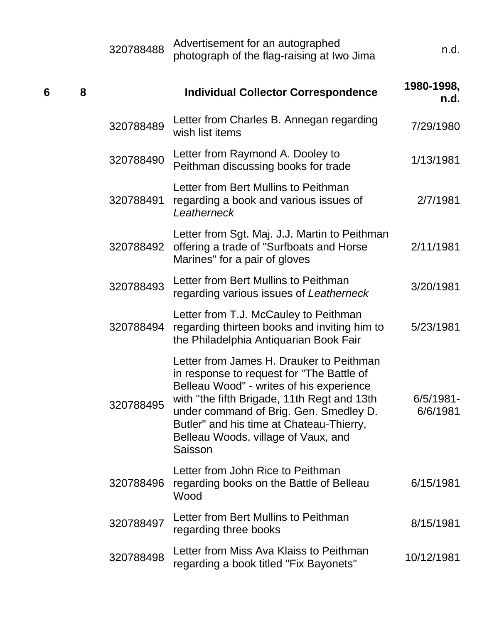|   |   | 320788488 | Advertisement for an autographed<br>photograph of the flag-raising at Iwo Jima                                                                                                                                                                                                                                           | n.d.                     |
|---|---|-----------|--------------------------------------------------------------------------------------------------------------------------------------------------------------------------------------------------------------------------------------------------------------------------------------------------------------------------|--------------------------|
| 6 | 8 |           | <b>Individual Collector Correspondence</b>                                                                                                                                                                                                                                                                               | 1980-1998,<br>n.d.       |
|   |   | 320788489 | Letter from Charles B. Annegan regarding<br>wish list items                                                                                                                                                                                                                                                              | 7/29/1980                |
|   |   | 320788490 | Letter from Raymond A. Dooley to<br>Peithman discussing books for trade                                                                                                                                                                                                                                                  | 1/13/1981                |
|   |   | 320788491 | Letter from Bert Mullins to Peithman<br>regarding a book and various issues of<br>Leatherneck                                                                                                                                                                                                                            | 2/7/1981                 |
|   |   | 320788492 | Letter from Sgt. Maj. J.J. Martin to Peithman<br>offering a trade of "Surfboats and Horse<br>Marines" for a pair of gloves                                                                                                                                                                                               | 2/11/1981                |
|   |   | 320788493 | Letter from Bert Mullins to Peithman<br>regarding various issues of Leatherneck                                                                                                                                                                                                                                          | 3/20/1981                |
|   |   | 320788494 | Letter from T.J. McCauley to Peithman<br>regarding thirteen books and inviting him to<br>the Philadelphia Antiquarian Book Fair                                                                                                                                                                                          | 5/23/1981                |
|   |   | 320788495 | Letter from James H. Drauker to Peithman<br>in response to request for "The Battle of<br>Belleau Wood" - writes of his experience<br>with "the fifth Brigade, 11th Regt and 13th<br>under command of Brig. Gen. Smedley D.<br>Butler" and his time at Chateau-Thierry,<br>Belleau Woods, village of Vaux, and<br>Saisson | $6/5/1981 -$<br>6/6/1981 |
|   |   | 320788496 | Letter from John Rice to Peithman<br>regarding books on the Battle of Belleau<br>Wood                                                                                                                                                                                                                                    | 6/15/1981                |
|   |   | 320788497 | Letter from Bert Mullins to Peithman<br>regarding three books                                                                                                                                                                                                                                                            | 8/15/1981                |
|   |   | 320788498 | Letter from Miss Ava Klaiss to Peithman<br>regarding a book titled "Fix Bayonets"                                                                                                                                                                                                                                        | 10/12/1981               |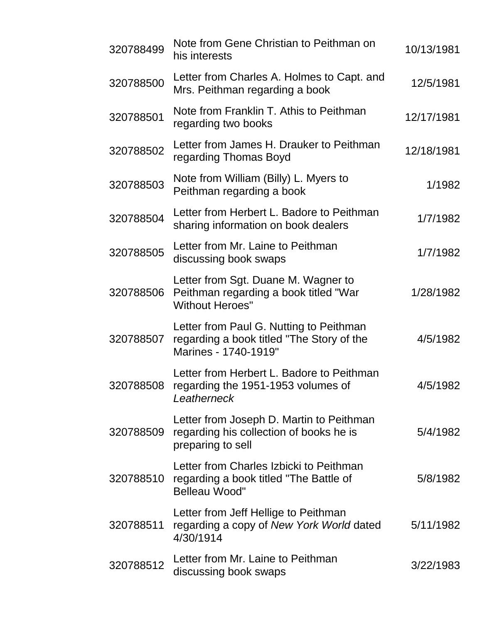| 320788499 | Note from Gene Christian to Peithman on<br>his interests                                                     | 10/13/1981 |
|-----------|--------------------------------------------------------------------------------------------------------------|------------|
| 320788500 | Letter from Charles A. Holmes to Capt. and<br>Mrs. Peithman regarding a book                                 | 12/5/1981  |
| 320788501 | Note from Franklin T. Athis to Peithman<br>regarding two books                                               | 12/17/1981 |
| 320788502 | Letter from James H. Drauker to Peithman<br>regarding Thomas Boyd                                            | 12/18/1981 |
| 320788503 | Note from William (Billy) L. Myers to<br>Peithman regarding a book                                           | 1/1982     |
| 320788504 | Letter from Herbert L. Badore to Peithman<br>sharing information on book dealers                             | 1/7/1982   |
| 320788505 | Letter from Mr. Laine to Peithman<br>discussing book swaps                                                   | 1/7/1982   |
| 320788506 | Letter from Sgt. Duane M. Wagner to<br>Peithman regarding a book titled "War<br><b>Without Heroes"</b>       | 1/28/1982  |
| 320788507 | Letter from Paul G. Nutting to Peithman<br>regarding a book titled "The Story of the<br>Marines - 1740-1919" | 4/5/1982   |
| 320788508 | Letter from Herbert L. Badore to Peithman<br>regarding the 1951-1953 volumes of<br>Leatherneck               | 4/5/1982   |
| 320788509 | Letter from Joseph D. Martin to Peithman<br>regarding his collection of books he is<br>preparing to sell     | 5/4/1982   |
| 320788510 | Letter from Charles Izbicki to Peithman<br>regarding a book titled "The Battle of<br><b>Belleau Wood"</b>    | 5/8/1982   |
| 320788511 | Letter from Jeff Hellige to Peithman<br>regarding a copy of New York World dated<br>4/30/1914                | 5/11/1982  |
| 320788512 | Letter from Mr. Laine to Peithman<br>discussing book swaps                                                   | 3/22/1983  |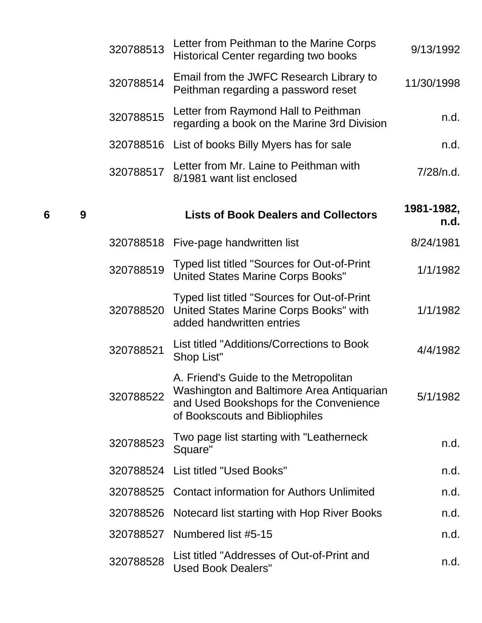|   |   | 320788513 | Letter from Peithman to the Marine Corps<br><b>Historical Center regarding two books</b>                                                                       | 9/13/1992          |
|---|---|-----------|----------------------------------------------------------------------------------------------------------------------------------------------------------------|--------------------|
|   |   | 320788514 | Email from the JWFC Research Library to<br>Peithman regarding a password reset                                                                                 | 11/30/1998         |
|   |   | 320788515 | Letter from Raymond Hall to Peithman<br>regarding a book on the Marine 3rd Division                                                                            | n.d.               |
|   |   | 320788516 | List of books Billy Myers has for sale                                                                                                                         | n.d.               |
|   |   | 320788517 | Letter from Mr. Laine to Peithman with<br>8/1981 want list enclosed                                                                                            | 7/28/n.d.          |
| 6 | 9 |           | <b>Lists of Book Dealers and Collectors</b>                                                                                                                    | 1981-1982,<br>n.d. |
|   |   | 320788518 | Five-page handwritten list                                                                                                                                     | 8/24/1981          |
|   |   | 320788519 | Typed list titled "Sources for Out-of-Print"<br><b>United States Marine Corps Books"</b>                                                                       | 1/1/1982           |
|   |   | 320788520 | Typed list titled "Sources for Out-of-Print<br>United States Marine Corps Books" with<br>added handwritten entries                                             | 1/1/1982           |
|   |   | 320788521 | List titled "Additions/Corrections to Book<br>Shop List"                                                                                                       | 4/4/1982           |
|   |   | 320788522 | A. Friend's Guide to the Metropolitan<br>Washington and Baltimore Area Antiquarian<br>and Used Bookshops for the Convenience<br>of Bookscouts and Bibliophiles | 5/1/1982           |
|   |   | 320788523 | Two page list starting with "Leatherneck<br>Square"                                                                                                            | n.d.               |
|   |   | 320788524 | List titled "Used Books"                                                                                                                                       | n.d.               |
|   |   | 320788525 | <b>Contact information for Authors Unlimited</b>                                                                                                               | n.d.               |
|   |   | 320788526 | Notecard list starting with Hop River Books                                                                                                                    | n.d.               |
|   |   | 320788527 | Numbered list #5-15                                                                                                                                            | n.d.               |
|   |   | 320788528 | List titled "Addresses of Out-of-Print and<br><b>Used Book Dealers"</b>                                                                                        | n.d.               |
|   |   |           |                                                                                                                                                                |                    |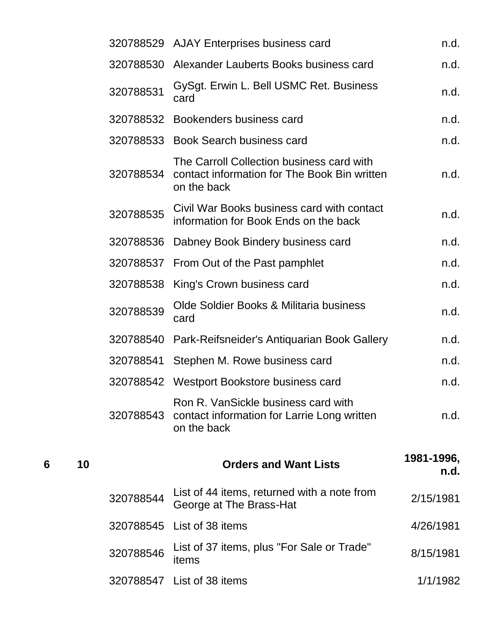|   |    |           | 320788529 AJAY Enterprises business card                                                                 | n.d.               |
|---|----|-----------|----------------------------------------------------------------------------------------------------------|--------------------|
|   |    |           | 320788530 Alexander Lauberts Books business card                                                         | n.d.               |
|   |    | 320788531 | GySgt. Erwin L. Bell USMC Ret. Business<br>card                                                          | n.d.               |
|   |    |           | 320788532 Bookenders business card                                                                       | n.d.               |
|   |    |           | 320788533 Book Search business card                                                                      | n.d.               |
|   |    | 320788534 | The Carroll Collection business card with<br>contact information for The Book Bin written<br>on the back | n.d.               |
|   |    | 320788535 | Civil War Books business card with contact<br>information for Book Ends on the back                      | n.d.               |
|   |    | 320788536 | Dabney Book Bindery business card                                                                        | n.d.               |
|   |    | 320788537 | From Out of the Past pamphlet                                                                            | n.d.               |
|   |    | 320788538 | King's Crown business card                                                                               | n.d.               |
|   |    | 320788539 | Olde Soldier Books & Militaria business<br>card                                                          | n.d.               |
|   |    | 320788540 | Park-Reifsneider's Antiquarian Book Gallery                                                              | n.d.               |
|   |    | 320788541 | Stephen M. Rowe business card                                                                            | n.d.               |
|   |    | 320788542 | Westport Bookstore business card                                                                         | n.d.               |
|   |    | 320788543 | Ron R. VanSickle business card with<br>contact information for Larrie Long written<br>on the back        | n.d.               |
| 6 | 10 |           | <b>Orders and Want Lists</b>                                                                             | 1981-1996,<br>n.d. |
|   |    | 320788544 | List of 44 items, returned with a note from<br>George at The Brass-Hat                                   | 2/15/1981          |
|   |    | 320788545 | List of 38 items                                                                                         | 4/26/1981          |
|   |    | 320788546 | List of 37 items, plus "For Sale or Trade"<br>items                                                      | 8/15/1981          |
|   |    |           | 320788547 List of 38 items                                                                               | 1/1/1982           |
|   |    |           |                                                                                                          |                    |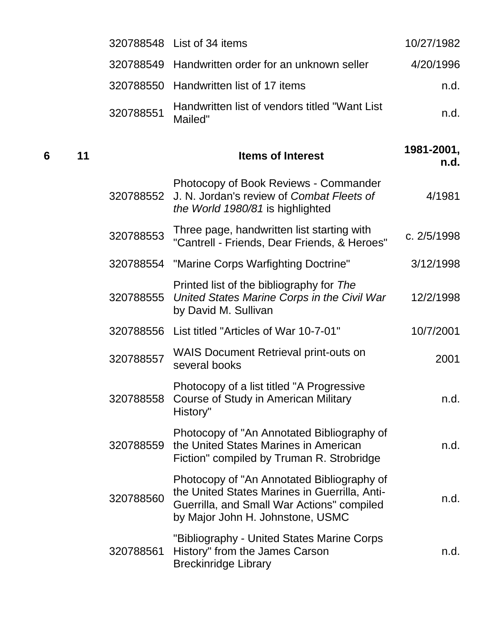|         |           | 320788548 List of 34 items                                                                                                                                                    | 10/27/1982         |
|---------|-----------|-------------------------------------------------------------------------------------------------------------------------------------------------------------------------------|--------------------|
|         | 320788549 | Handwritten order for an unknown seller                                                                                                                                       | 4/20/1996          |
|         | 320788550 | Handwritten list of 17 items                                                                                                                                                  | n.d.               |
|         | 320788551 | Handwritten list of vendors titled "Want List<br>Mailed"                                                                                                                      | n.d.               |
| 6<br>11 |           | <b>Items of Interest</b>                                                                                                                                                      | 1981-2001,<br>n.d. |
|         | 320788552 | Photocopy of Book Reviews - Commander<br>J. N. Jordan's review of Combat Fleets of<br>the World 1980/81 is highlighted                                                        | 4/1981             |
|         | 320788553 | Three page, handwritten list starting with<br>"Cantrell - Friends, Dear Friends, & Heroes"                                                                                    | c. 2/5/1998        |
|         | 320788554 | "Marine Corps Warfighting Doctrine"                                                                                                                                           | 3/12/1998          |
|         | 320788555 | Printed list of the bibliography for The<br>United States Marine Corps in the Civil War<br>by David M. Sullivan                                                               | 12/2/1998          |
|         | 320788556 | List titled "Articles of War 10-7-01"                                                                                                                                         | 10/7/2001          |
|         | 320788557 | <b>WAIS Document Retrieval print-outs on</b><br>several books                                                                                                                 | 2001               |
|         | 320788558 | Photocopy of a list titled "A Progressive<br>Course of Study in American Military<br>History"                                                                                 | n.d.               |
|         | 320788559 | Photocopy of "An Annotated Bibliography of<br>the United States Marines in American<br>Fiction" compiled by Truman R. Strobridge                                              | n.d.               |
|         | 320788560 | Photocopy of "An Annotated Bibliography of<br>the United States Marines in Guerrilla, Anti-<br>Guerrilla, and Small War Actions" compiled<br>by Major John H. Johnstone, USMC | n.d.               |
|         | 320788561 | "Bibliography - United States Marine Corps<br>History" from the James Carson<br><b>Breckinridge Library</b>                                                                   | n.d.               |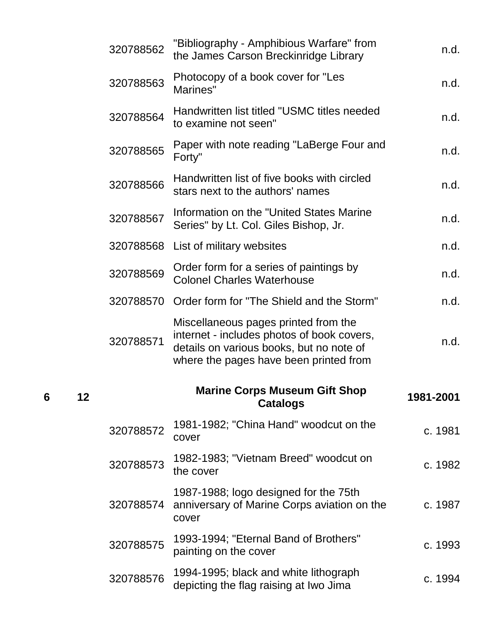|   |    | 320788562 | "Bibliography - Amphibious Warfare" from<br>the James Carson Breckinridge Library                                              | n.d.      |
|---|----|-----------|--------------------------------------------------------------------------------------------------------------------------------|-----------|
|   |    | 320788563 | Photocopy of a book cover for "Les<br>Marines"                                                                                 | n.d.      |
|   |    | 320788564 | Handwritten list titled "USMC titles needed<br>to examine not seen"                                                            | n.d.      |
|   |    | 320788565 | Paper with note reading "LaBerge Four and<br>Forty"                                                                            | n.d.      |
|   |    | 320788566 | Handwritten list of five books with circled<br>stars next to the authors' names                                                | n.d.      |
|   |    | 320788567 | Information on the "United States Marine<br>Series" by Lt. Col. Giles Bishop, Jr.                                              | n.d.      |
|   |    | 320788568 | List of military websites                                                                                                      | n.d.      |
|   |    | 320788569 | Order form for a series of paintings by<br><b>Colonel Charles Waterhouse</b>                                                   | n.d.      |
|   |    | 320788570 | Order form for "The Shield and the Storm"                                                                                      | n.d.      |
|   |    | 320788571 | Miscellaneous pages printed from the<br>internet - includes photos of book covers,<br>details on various books, but no note of | n.d.      |
|   |    |           | where the pages have been printed from                                                                                         |           |
| 6 | 12 |           | <b>Marine Corps Museum Gift Shop</b><br><b>Catalogs</b>                                                                        | 1981-2001 |
|   |    | 320788572 | 1981-1982; "China Hand" woodcut on the<br>cover                                                                                | c. 1981   |
|   |    | 320788573 | 1982-1983; "Vietnam Breed" woodcut on<br>the cover                                                                             | c. 1982   |
|   |    | 320788574 | 1987-1988; logo designed for the 75th<br>anniversary of Marine Corps aviation on the<br>cover                                  | c. 1987   |
|   |    | 320788575 | 1993-1994; "Eternal Band of Brothers"<br>painting on the cover                                                                 | c. 1993   |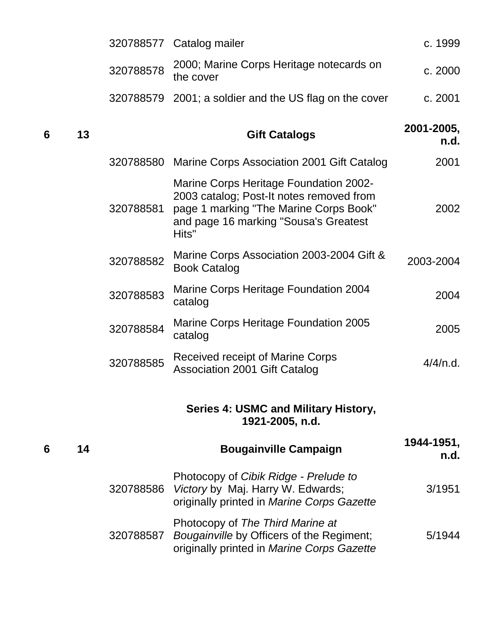|   |    | 320788577 | Catalog mailer                                                                                                                                                                        | c. 1999            |
|---|----|-----------|---------------------------------------------------------------------------------------------------------------------------------------------------------------------------------------|--------------------|
|   |    | 320788578 | 2000; Marine Corps Heritage notecards on<br>the cover                                                                                                                                 | c. 2000            |
|   |    |           | 320788579 2001; a soldier and the US flag on the cover                                                                                                                                | c. 2001            |
| 6 | 13 |           | <b>Gift Catalogs</b>                                                                                                                                                                  | 2001-2005,<br>n.d. |
|   |    | 320788580 | Marine Corps Association 2001 Gift Catalog                                                                                                                                            | 2001               |
|   |    | 320788581 | <b>Marine Corps Heritage Foundation 2002-</b><br>2003 catalog; Post-It notes removed from<br>page 1 marking "The Marine Corps Book"<br>and page 16 marking "Sousa's Greatest<br>Hits" | 2002               |
|   |    | 320788582 | Marine Corps Association 2003-2004 Gift &<br><b>Book Catalog</b>                                                                                                                      | 2003-2004          |
|   |    | 320788583 | Marine Corps Heritage Foundation 2004<br>catalog                                                                                                                                      | 2004               |
|   |    | 320788584 | Marine Corps Heritage Foundation 2005<br>catalog                                                                                                                                      | 2005               |
|   |    | 320788585 | <b>Received receipt of Marine Corps</b><br><b>Association 2001 Gift Catalog</b>                                                                                                       | 4/4/n.d.           |
|   |    |           | Series 4: USMC and Military History,<br>1921-2005, n.d.                                                                                                                               |                    |
| 6 | 14 |           | <b>Bougainville Campaign</b>                                                                                                                                                          | 1944-1951,<br>n.d. |
|   |    | 320788586 | Photocopy of Cibik Ridge - Prelude to<br>Victory by Maj. Harry W. Edwards;<br>originally printed in Marine Corps Gazette                                                              | 3/1951             |
|   |    | 320788587 | Photocopy of The Third Marine at<br>Bougainville by Officers of the Regiment;<br>originally printed in Marine Corps Gazette                                                           | 5/1944             |
|   |    |           |                                                                                                                                                                                       |                    |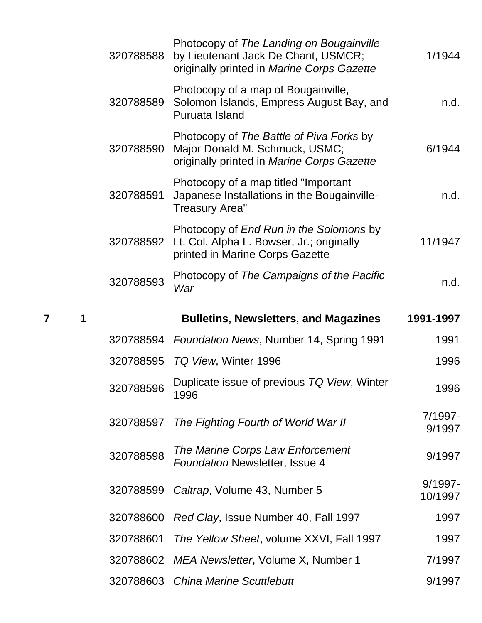| 1/1944             | Photocopy of The Landing on Bougainville<br>by Lieutenant Jack De Chant, USMCR;<br>originally printed in Marine Corps Gazette | 320788588 |
|--------------------|-------------------------------------------------------------------------------------------------------------------------------|-----------|
| n.d.               | Photocopy of a map of Bougainville,<br>Solomon Islands, Empress August Bay, and<br>Puruata Island                             | 320788589 |
| 6/1944             | Photocopy of The Battle of Piva Forks by<br>Major Donald M. Schmuck, USMC;<br>originally printed in Marine Corps Gazette      | 320788590 |
| n.d.               | Photocopy of a map titled "Important"<br>Japanese Installations in the Bougainville-<br><b>Treasury Area"</b>                 | 320788591 |
| 11/1947            | Photocopy of End Run in the Solomons by<br>Lt. Col. Alpha L. Bowser, Jr.; originally<br>printed in Marine Corps Gazette       | 320788592 |
| n.d.               | Photocopy of The Campaigns of the Pacific<br>War                                                                              | 320788593 |
|                    |                                                                                                                               |           |
| 1991-1997          | <b>Bulletins, Newsletters, and Magazines</b>                                                                                  |           |
| 1991               | <b>Foundation News, Number 14, Spring 1991</b>                                                                                | 320788594 |
| 1996               | 320788595 TQ View, Winter 1996                                                                                                |           |
| 1996               | Duplicate issue of previous TQ View, Winter<br>1996                                                                           | 320788596 |
| 7/1997-<br>9/1997  | The Fighting Fourth of World War II                                                                                           | 320788597 |
| 9/1997             | The Marine Corps Law Enforcement<br><b>Foundation Newsletter, Issue 4</b>                                                     | 320788598 |
| 9/1997-<br>10/1997 | Caltrap, Volume 43, Number 5                                                                                                  | 320788599 |
| 1997               | Red Clay, Issue Number 40, Fall 1997                                                                                          | 320788600 |
| 1997               | The Yellow Sheet, volume XXVI, Fall 1997                                                                                      | 320788601 |
| 7/1997             | MEA Newsletter, Volume X, Number 1                                                                                            | 320788602 |

**7 1 Bulletins, Newsletters, and Magazines 1991-1997**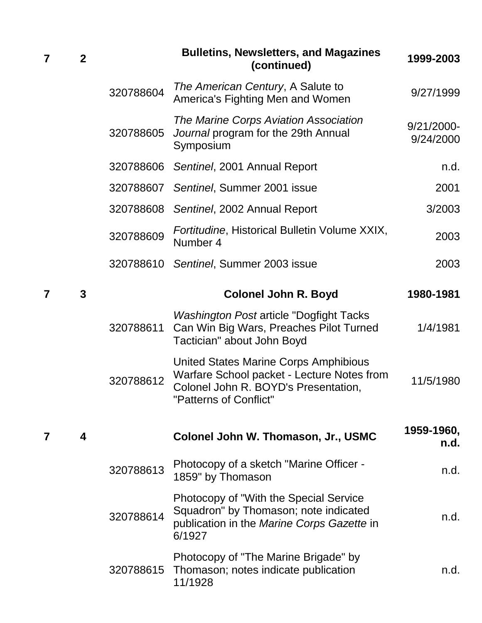| 7 | $\mathbf{2}$ |           | <b>Bulletins, Newsletters, and Magazines</b><br>(continued)                                                                                           | 1999-2003                  |
|---|--------------|-----------|-------------------------------------------------------------------------------------------------------------------------------------------------------|----------------------------|
|   |              | 320788604 | The American Century, A Salute to<br>America's Fighting Men and Women                                                                                 | 9/27/1999                  |
|   |              | 320788605 | The Marine Corps Aviation Association<br>Journal program for the 29th Annual<br>Symposium                                                             | $9/21/2000 -$<br>9/24/2000 |
|   |              | 320788606 | Sentinel, 2001 Annual Report                                                                                                                          | n.d.                       |
|   |              | 320788607 | Sentinel, Summer 2001 issue                                                                                                                           | 2001                       |
|   |              | 320788608 | Sentinel, 2002 Annual Report                                                                                                                          | 3/2003                     |
|   |              | 320788609 | Fortitudine, Historical Bulletin Volume XXIX,<br>Number 4                                                                                             | 2003                       |
|   |              | 320788610 | Sentinel, Summer 2003 issue                                                                                                                           | 2003                       |
| 7 | 3            |           | <b>Colonel John R. Boyd</b>                                                                                                                           | 1980-1981                  |
|   |              | 320788611 | <b>Washington Post article "Dogfight Tacks</b><br>Can Win Big Wars, Preaches Pilot Turned<br>Tactician" about John Boyd                               | 1/4/1981                   |
|   |              | 320788612 | United States Marine Corps Amphibious<br>Warfare School packet - Lecture Notes from<br>Colonel John R. BOYD's Presentation,<br>"Patterns of Conflict" | 11/5/1980                  |
|   | 4            |           | Colonel John W. Thomason, Jr., USMC                                                                                                                   | 1959-1960,<br>n.d.         |
|   |              | 320788613 | Photocopy of a sketch "Marine Officer -<br>1859" by Thomason                                                                                          | n.d.                       |
|   |              | 320788614 | Photocopy of "With the Special Service"<br>Squadron" by Thomason; note indicated<br>publication in the Marine Corps Gazette in<br>6/1927              | n.d.                       |
|   |              | 320788615 | Photocopy of "The Marine Brigade" by<br>Thomason; notes indicate publication<br>11/1928                                                               | n.d.                       |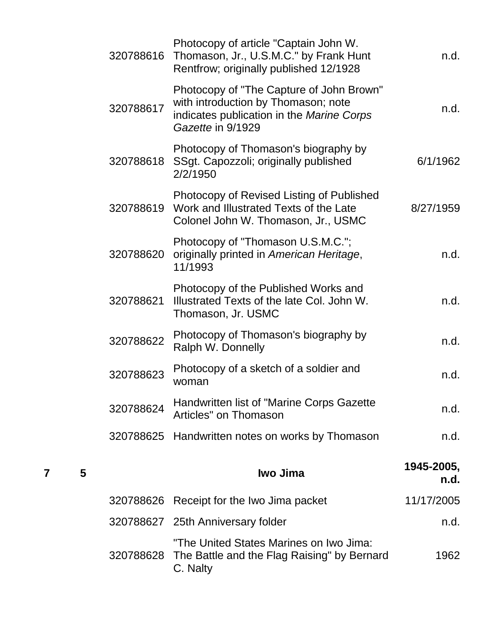| 320788616 | Photocopy of article "Captain John W.<br>Thomason, Jr., U.S.M.C." by Frank Hunt<br>Rentfrow; originally published 12/1928                         | n.d.       |
|-----------|---------------------------------------------------------------------------------------------------------------------------------------------------|------------|
| 320788617 | Photocopy of "The Capture of John Brown"<br>with introduction by Thomason; note<br>indicates publication in the Marine Corps<br>Gazette in 9/1929 | n.d.       |
| 320788618 | Photocopy of Thomason's biography by<br>SSgt. Capozzoli; originally published<br>2/2/1950                                                         | 6/1/1962   |
| 320788619 | Photocopy of Revised Listing of Published<br>Work and Illustrated Texts of the Late<br>Colonel John W. Thomason, Jr., USMC                        | 8/27/1959  |
| 320788620 | Photocopy of "Thomason U.S.M.C.";<br>originally printed in American Heritage,<br>11/1993                                                          | n.d.       |
| 320788621 | Photocopy of the Published Works and<br>Illustrated Texts of the late Col. John W.<br>Thomason, Jr. USMC                                          | n.d.       |
| 320788622 | Photocopy of Thomason's biography by<br>Ralph W. Donnelly                                                                                         | n.d.       |
| 320788623 | Photocopy of a sketch of a soldier and<br>woman                                                                                                   | n.d.       |
| 320788624 | Handwritten list of "Marine Corps Gazette<br>Articles" on Thomason                                                                                | n.d.       |
|           | 320788625 Handwritten notes on works by Thomason                                                                                                  | n.d.       |
|           | Iwo Jima                                                                                                                                          | 1945-2005, |
|           |                                                                                                                                                   | n.d.       |
|           | 320788626 Receipt for the Iwo Jima packet                                                                                                         | 11/17/2005 |
|           | 320788627 25th Anniversary folder                                                                                                                 | n.d.       |
| 320788628 | "The United States Marines on Iwo Jima:<br>The Battle and the Flag Raising" by Bernard<br>C. Nalty                                                | 1962       |

**<sup>7</sup> <sup>5</sup> Iwo Jima 1945-2005,**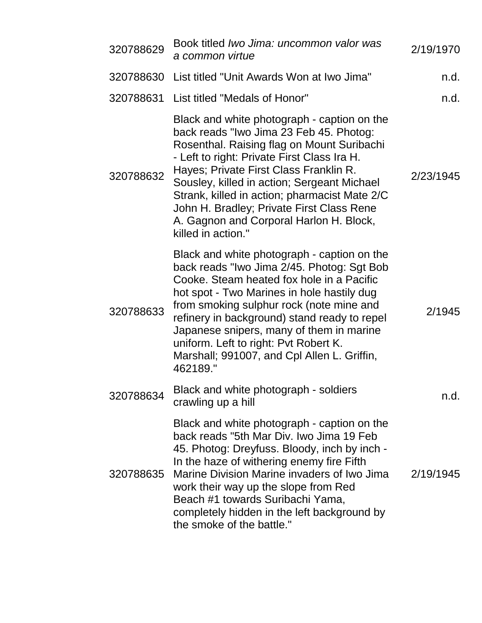| 320788629 | Book titled Iwo Jima: uncommon valor was<br>a common virtue                                                                                                                                                                                                                                                                                                                                                                                 | 2/19/1970 |
|-----------|---------------------------------------------------------------------------------------------------------------------------------------------------------------------------------------------------------------------------------------------------------------------------------------------------------------------------------------------------------------------------------------------------------------------------------------------|-----------|
| 320788630 | List titled "Unit Awards Won at Iwo Jima"                                                                                                                                                                                                                                                                                                                                                                                                   | n.d.      |
| 320788631 | List titled "Medals of Honor"                                                                                                                                                                                                                                                                                                                                                                                                               | n.d.      |
| 320788632 | Black and white photograph - caption on the<br>back reads "Iwo Jima 23 Feb 45. Photog:<br>Rosenthal. Raising flag on Mount Suribachi<br>- Left to right: Private First Class Ira H.<br>Hayes; Private First Class Franklin R.<br>Sousley, killed in action; Sergeant Michael<br>Strank, killed in action; pharmacist Mate 2/C<br>John H. Bradley; Private First Class Rene<br>A. Gagnon and Corporal Harlon H. Block,<br>killed in action." | 2/23/1945 |
| 320788633 | Black and white photograph - caption on the<br>back reads "Iwo Jima 2/45. Photog: Sgt Bob<br>Cooke. Steam heated fox hole in a Pacific<br>hot spot - Two Marines in hole hastily dug<br>from smoking sulphur rock (note mine and<br>refinery in background) stand ready to repel<br>Japanese snipers, many of them in marine<br>uniform. Left to right: Pvt Robert K.<br>Marshall; 991007, and Cpl Allen L. Griffin,<br>462189."            | 2/1945    |
| 320788634 | Black and white photograph - soldiers<br>crawling up a hill                                                                                                                                                                                                                                                                                                                                                                                 | n.d.      |
| 320788635 | Black and white photograph - caption on the<br>back reads "5th Mar Div. Iwo Jima 19 Feb<br>45. Photog: Dreyfuss. Bloody, inch by inch -<br>In the haze of withering enemy fire Fifth<br>Marine Division Marine invaders of Iwo Jima<br>work their way up the slope from Red<br>Beach #1 towards Suribachi Yama,<br>completely hidden in the left background by<br>the smoke of the battle."                                                 | 2/19/1945 |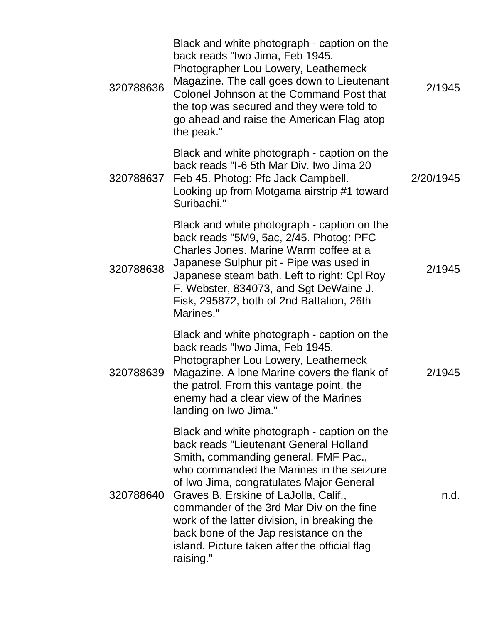| 320788636 | Black and white photograph - caption on the<br>back reads "Iwo Jima, Feb 1945.<br>Photographer Lou Lowery, Leatherneck<br>Magazine. The call goes down to Lieutenant<br>Colonel Johnson at the Command Post that<br>the top was secured and they were told to<br>go ahead and raise the American Flag atop<br>the peak."                                                                                                                                           | 2/1945    |
|-----------|--------------------------------------------------------------------------------------------------------------------------------------------------------------------------------------------------------------------------------------------------------------------------------------------------------------------------------------------------------------------------------------------------------------------------------------------------------------------|-----------|
| 320788637 | Black and white photograph - caption on the<br>back reads "I-6 5th Mar Div. Iwo Jima 20<br>Feb 45. Photog: Pfc Jack Campbell.<br>Looking up from Motgama airstrip #1 toward<br>Suribachi."                                                                                                                                                                                                                                                                         | 2/20/1945 |
| 320788638 | Black and white photograph - caption on the<br>back reads "5M9, 5ac, 2/45. Photog: PFC<br>Charles Jones. Marine Warm coffee at a<br>Japanese Sulphur pit - Pipe was used in<br>Japanese steam bath. Left to right: Cpl Roy<br>F. Webster, 834073, and Sgt DeWaine J.<br>Fisk, 295872, both of 2nd Battalion, 26th<br>Marines."                                                                                                                                     | 2/1945    |
| 320788639 | Black and white photograph - caption on the<br>back reads "Iwo Jima, Feb 1945.<br>Photographer Lou Lowery, Leatherneck<br>Magazine. A lone Marine covers the flank of<br>the patrol. From this vantage point, the<br>enemy had a clear view of the Marines<br>landing on Iwo Jima."                                                                                                                                                                                | 2/1945    |
| 320788640 | Black and white photograph - caption on the<br>back reads "Lieutenant General Holland<br>Smith, commanding general, FMF Pac.,<br>who commanded the Marines in the seizure<br>of Iwo Jima, congratulates Major General<br>Graves B. Erskine of LaJolla, Calif.,<br>commander of the 3rd Mar Div on the fine<br>work of the latter division, in breaking the<br>back bone of the Jap resistance on the<br>island. Picture taken after the official flag<br>raising." | n.d.      |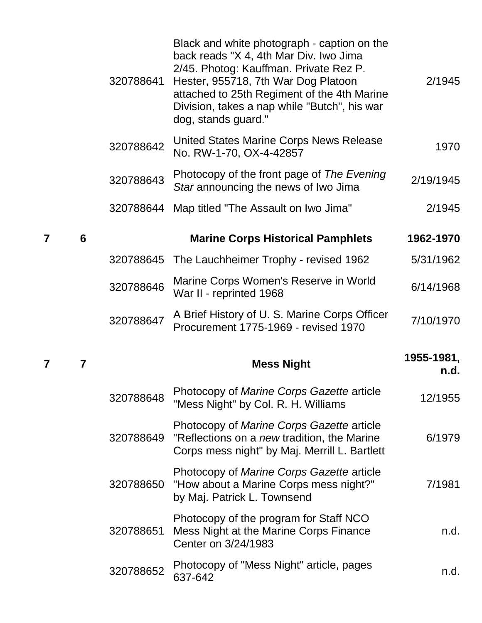|   |   | 320788641 | Black and white photograph - caption on the<br>back reads "X 4, 4th Mar Div. Iwo Jima<br>2/45. Photog: Kauffman. Private Rez P.<br>Hester, 955718, 7th War Dog Platoon<br>attached to 25th Regiment of the 4th Marine<br>Division, takes a nap while "Butch", his war<br>dog, stands guard." | 2/1945             |
|---|---|-----------|----------------------------------------------------------------------------------------------------------------------------------------------------------------------------------------------------------------------------------------------------------------------------------------------|--------------------|
|   |   | 320788642 | United States Marine Corps News Release<br>No. RW-1-70, OX-4-42857                                                                                                                                                                                                                           | 1970               |
|   |   | 320788643 | Photocopy of the front page of The Evening<br>Star announcing the news of Iwo Jima                                                                                                                                                                                                           | 2/19/1945          |
|   |   | 320788644 | Map titled "The Assault on Iwo Jima"                                                                                                                                                                                                                                                         | 2/1945             |
| 7 | 6 |           | <b>Marine Corps Historical Pamphlets</b>                                                                                                                                                                                                                                                     | 1962-1970          |
|   |   | 320788645 | The Lauchheimer Trophy - revised 1962                                                                                                                                                                                                                                                        | 5/31/1962          |
|   |   | 320788646 | Marine Corps Women's Reserve in World<br>War II - reprinted 1968                                                                                                                                                                                                                             | 6/14/1968          |
|   |   | 320788647 | A Brief History of U. S. Marine Corps Officer<br>Procurement 1775-1969 - revised 1970                                                                                                                                                                                                        | 7/10/1970          |
| 7 | 7 |           | <b>Mess Night</b>                                                                                                                                                                                                                                                                            | 1955-1981,<br>n.d. |
|   |   | 320788648 | Photocopy of Marine Corps Gazette article<br>"Mess Night" by Col. R. H. Williams                                                                                                                                                                                                             | 12/1955            |
|   |   | 320788649 | Photocopy of Marine Corps Gazette article<br>"Reflections on a new tradition, the Marine<br>Corps mess night" by Maj. Merrill L. Bartlett                                                                                                                                                    | 6/1979             |
|   |   | 320788650 | Photocopy of Marine Corps Gazette article<br>"How about a Marine Corps mess night?"<br>by Maj. Patrick L. Townsend                                                                                                                                                                           | 7/1981             |
|   |   | 320788651 | Photocopy of the program for Staff NCO<br>Mess Night at the Marine Corps Finance<br>Center on 3/24/1983                                                                                                                                                                                      | n.d.               |
|   |   |           | Photocopy of "Mess Night" article, pages                                                                                                                                                                                                                                                     |                    |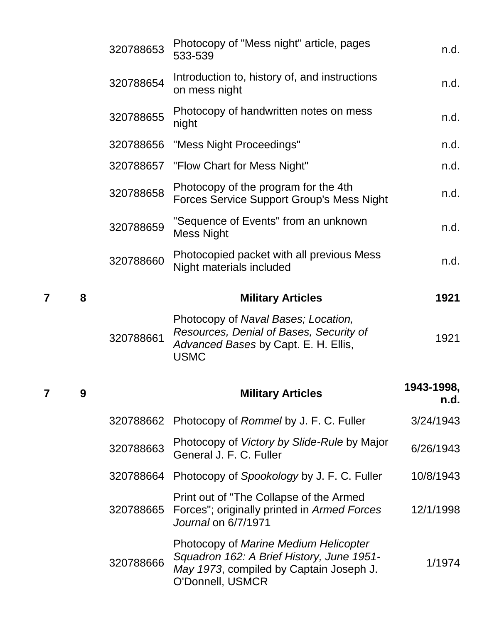|   |   | 320788653 | Photocopy of "Mess night" article, pages<br>533-539                                                                                   | n.d.               |
|---|---|-----------|---------------------------------------------------------------------------------------------------------------------------------------|--------------------|
|   |   | 320788654 | Introduction to, history of, and instructions<br>on mess night                                                                        | n.d.               |
|   |   | 320788655 | Photocopy of handwritten notes on mess<br>night                                                                                       | n.d.               |
|   |   | 320788656 | "Mess Night Proceedings"                                                                                                              | n.d.               |
|   |   | 320788657 | "Flow Chart for Mess Night"                                                                                                           | n.d.               |
|   |   | 320788658 | Photocopy of the program for the 4th<br><b>Forces Service Support Group's Mess Night</b>                                              | n.d.               |
|   |   | 320788659 | "Sequence of Events" from an unknown<br><b>Mess Night</b>                                                                             | n.d.               |
|   |   | 320788660 | Photocopied packet with all previous Mess<br>Night materials included                                                                 | n.d.               |
| 7 | 8 |           | <b>Military Articles</b>                                                                                                              | 1921               |
|   |   | 320788661 | Photocopy of Naval Bases; Location,<br>Resources, Denial of Bases, Security of<br>Advanced Bases by Capt. E. H. Ellis,<br><b>USMC</b> | 1921               |
| 7 | 9 |           | <b>Military Articles</b>                                                                                                              | 1943-1998,<br>n.d. |
|   |   | 320788662 | Photocopy of Rommel by J. F. C. Fuller                                                                                                | 3/24/1943          |
|   |   | 320788663 | Photocopy of <i>Victory by Slide-Rule</i> by Major<br>General J. F. C. Fuller                                                         | 6/26/1943          |
|   |   |           | 320788664 Photocopy of Spookology by J. F. C. Fuller                                                                                  | 10/8/1943          |
|   |   | 320788665 | Print out of "The Collapse of the Armed"<br>Forces"; originally printed in Armed Forces                                               | 12/1/1998          |
|   |   |           | Journal on 6/7/1971                                                                                                                   |                    |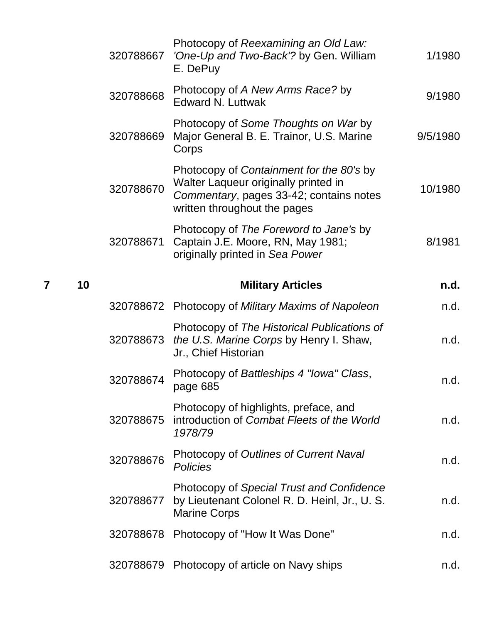| 320788667 | Photocopy of Reexamining an Old Law:<br>'One-Up and Two-Back'? by Gen. William<br>E. DePuy                                                                  | 1/1980   |
|-----------|-------------------------------------------------------------------------------------------------------------------------------------------------------------|----------|
| 320788668 | Photocopy of A New Arms Race? by<br><b>Edward N. Luttwak</b>                                                                                                | 9/1980   |
| 320788669 | Photocopy of Some Thoughts on War by<br>Major General B. E. Trainor, U.S. Marine<br>Corps                                                                   | 9/5/1980 |
| 320788670 | Photocopy of Containment for the 80's by<br>Walter Laqueur originally printed in<br>Commentary, pages 33-42; contains notes<br>written throughout the pages | 10/1980  |
| 320788671 | Photocopy of The Foreword to Jane's by<br>Captain J.E. Moore, RN, May 1981;<br>originally printed in Sea Power                                              | 8/1981   |
|           | <b>Military Articles</b>                                                                                                                                    | n.d.     |
|           | 320788672 Photocopy of Military Maxims of Napoleon                                                                                                          | n.d.     |
| 320788673 | Photocopy of The Historical Publications of<br>the U.S. Marine Corps by Henry I. Shaw,<br>Jr., Chief Historian                                              | n.d.     |
| 320788674 | Photocopy of Battleships 4 "Iowa" Class,<br>page 685                                                                                                        | n.d.     |
| 320788675 | Photocopy of highlights, preface, and<br>introduction of Combat Fleets of the World<br>1978/79                                                              | n.d.     |
| 320788676 | Photocopy of Outlines of Current Naval<br>Policies                                                                                                          | n.d.     |
| 320788677 | Photocopy of Special Trust and Confidence<br>by Lieutenant Colonel R. D. Heinl, Jr., U. S.<br><b>Marine Corps</b>                                           | n.d.     |
| 320788678 | Photocopy of "How It Was Done"                                                                                                                              | n.d.     |
| 320788679 | Photocopy of article on Navy ships                                                                                                                          | n.d.     |

**7 10 Military Articles n.d.**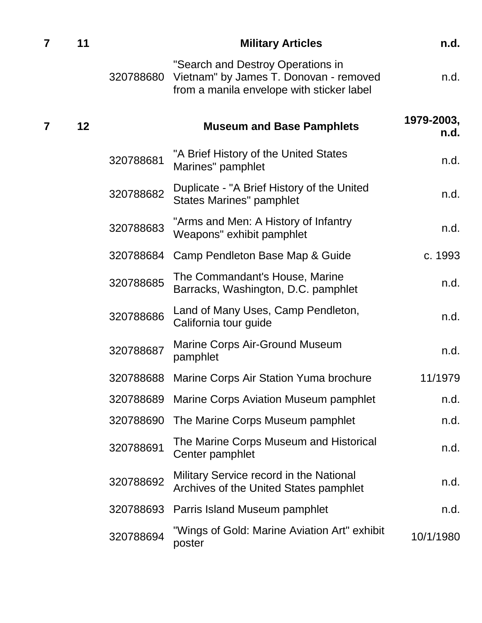| $\overline{7}$ | 11      |           | <b>Military Articles</b>                                                                                                 | n.d.               |
|----------------|---------|-----------|--------------------------------------------------------------------------------------------------------------------------|--------------------|
|                |         | 320788680 | "Search and Destroy Operations in<br>Vietnam" by James T. Donovan - removed<br>from a manila envelope with sticker label | n.d.               |
| $\overline{7}$ | $12 \,$ |           | <b>Museum and Base Pamphlets</b>                                                                                         | 1979-2003,<br>n.d. |
|                |         | 320788681 | "A Brief History of the United States<br>Marines" pamphlet                                                               | n.d.               |
|                |         | 320788682 | Duplicate - "A Brief History of the United<br><b>States Marines" pamphlet</b>                                            | n.d.               |
|                |         | 320788683 | "Arms and Men: A History of Infantry<br>Weapons" exhibit pamphlet                                                        | n.d.               |
|                |         | 320788684 | Camp Pendleton Base Map & Guide                                                                                          | c. 1993            |
|                |         | 320788685 | The Commandant's House, Marine<br>Barracks, Washington, D.C. pamphlet                                                    | n.d.               |
|                |         | 320788686 | Land of Many Uses, Camp Pendleton,<br>California tour guide                                                              | n.d.               |
|                |         | 320788687 | <b>Marine Corps Air-Ground Museum</b><br>pamphlet                                                                        | n.d.               |
|                |         | 320788688 | Marine Corps Air Station Yuma brochure                                                                                   | 11/1979            |
|                |         | 320788689 | Marine Corps Aviation Museum pamphlet                                                                                    | n.d.               |
|                |         | 320788690 | The Marine Corps Museum pamphlet                                                                                         | n.d.               |
|                |         | 320788691 | The Marine Corps Museum and Historical<br>Center pamphlet                                                                | n.d.               |
|                |         | 320788692 | Military Service record in the National<br>Archives of the United States pamphlet                                        | n.d.               |
|                |         | 320788693 | Parris Island Museum pamphlet                                                                                            | n.d.               |
|                |         | 320788694 | "Wings of Gold: Marine Aviation Art" exhibit<br>poster                                                                   | 10/1/1980          |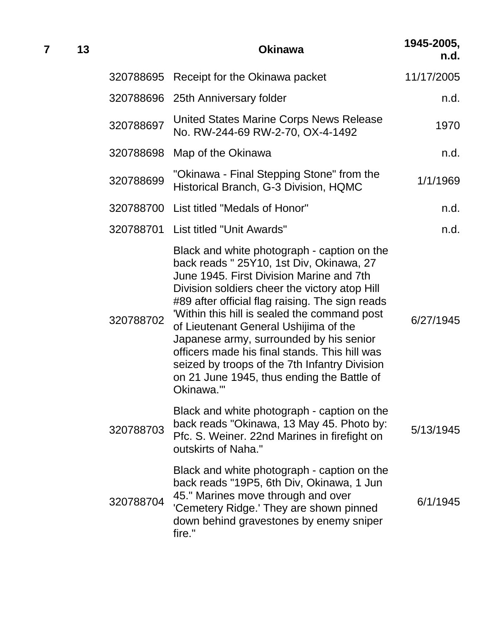| 7 | 13 |           | <b>Okinawa</b>                                                                                                                                                                                                                                                                                                                                                                                                                                                                                                                          | 1945-2005,<br>n.d. |
|---|----|-----------|-----------------------------------------------------------------------------------------------------------------------------------------------------------------------------------------------------------------------------------------------------------------------------------------------------------------------------------------------------------------------------------------------------------------------------------------------------------------------------------------------------------------------------------------|--------------------|
|   |    |           | 320788695 Receipt for the Okinawa packet                                                                                                                                                                                                                                                                                                                                                                                                                                                                                                | 11/17/2005         |
|   |    |           | 320788696 25th Anniversary folder                                                                                                                                                                                                                                                                                                                                                                                                                                                                                                       | n.d.               |
|   |    | 320788697 | United States Marine Corps News Release<br>No. RW-244-69 RW-2-70, OX-4-1492                                                                                                                                                                                                                                                                                                                                                                                                                                                             | 1970               |
|   |    | 320788698 | Map of the Okinawa                                                                                                                                                                                                                                                                                                                                                                                                                                                                                                                      | n.d.               |
|   |    | 320788699 | "Okinawa - Final Stepping Stone" from the<br>Historical Branch, G-3 Division, HQMC                                                                                                                                                                                                                                                                                                                                                                                                                                                      | 1/1/1969           |
|   |    |           | 320788700 List titled "Medals of Honor"                                                                                                                                                                                                                                                                                                                                                                                                                                                                                                 | n.d.               |
|   |    |           | 320788701 List titled "Unit Awards"                                                                                                                                                                                                                                                                                                                                                                                                                                                                                                     | n.d.               |
|   |    | 320788702 | Black and white photograph - caption on the<br>back reads " 25Y10, 1st Div, Okinawa, 27<br>June 1945. First Division Marine and 7th<br>Division soldiers cheer the victory atop Hill<br>#89 after official flag raising. The sign reads<br>Within this hill is sealed the command post<br>of Lieutenant General Ushijima of the<br>Japanese army, surrounded by his senior<br>officers made his final stands. This hill was<br>seized by troops of the 7th Infantry Division<br>on 21 June 1945, thus ending the Battle of<br>Okinawa." | 6/27/1945          |
|   |    | 320788703 | Black and white photograph - caption on the<br>back reads "Okinawa, 13 May 45. Photo by:<br>Pfc. S. Weiner. 22nd Marines in firefight on<br>outskirts of Naha."                                                                                                                                                                                                                                                                                                                                                                         | 5/13/1945          |
|   |    | 320788704 | Black and white photograph - caption on the<br>back reads "19P5, 6th Div, Okinawa, 1 Jun<br>45." Marines move through and over<br>'Cemetery Ridge.' They are shown pinned<br>down behind gravestones by enemy sniper<br>fire."                                                                                                                                                                                                                                                                                                          | 6/1/1945           |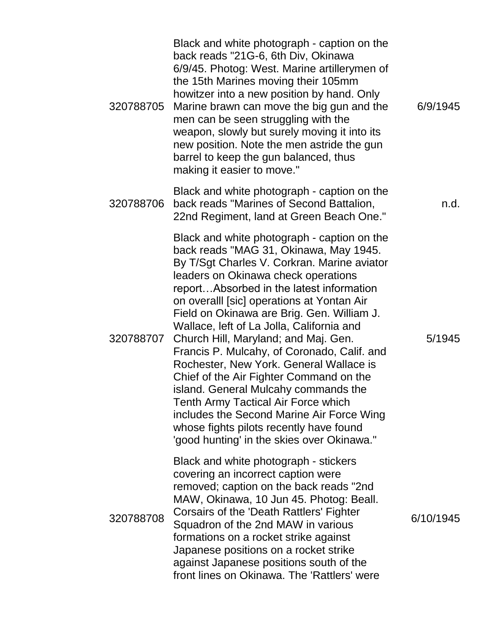| 320788705 | Black and white photograph - caption on the<br>back reads "21G-6, 6th Div, Okinawa<br>6/9/45. Photog: West. Marine artillerymen of<br>the 15th Marines moving their 105mm<br>howitzer into a new position by hand. Only<br>Marine brawn can move the big gun and the<br>men can be seen struggling with the<br>weapon, slowly but surely moving it into its<br>new position. Note the men astride the gun<br>barrel to keep the gun balanced, thus<br>making it easier to move."                                                                                                                                                                                                                                                                                  | 6/9/1945  |
|-----------|-------------------------------------------------------------------------------------------------------------------------------------------------------------------------------------------------------------------------------------------------------------------------------------------------------------------------------------------------------------------------------------------------------------------------------------------------------------------------------------------------------------------------------------------------------------------------------------------------------------------------------------------------------------------------------------------------------------------------------------------------------------------|-----------|
| 320788706 | Black and white photograph - caption on the<br>back reads "Marines of Second Battalion,<br>22nd Regiment, land at Green Beach One."                                                                                                                                                                                                                                                                                                                                                                                                                                                                                                                                                                                                                               | n.d.      |
| 320788707 | Black and white photograph - caption on the<br>back reads "MAG 31, Okinawa, May 1945.<br>By T/Sgt Charles V. Corkran. Marine aviator<br>leaders on Okinawa check operations<br>reportAbsorbed in the latest information<br>on overall [sic] operations at Yontan Air<br>Field on Okinawa are Brig. Gen. William J.<br>Wallace, left of La Jolla, California and<br>Church Hill, Maryland; and Maj. Gen.<br>Francis P. Mulcahy, of Coronado, Calif. and<br>Rochester, New York. General Wallace is<br>Chief of the Air Fighter Command on the<br>island. General Mulcahy commands the<br>Tenth Army Tactical Air Force which<br>includes the Second Marine Air Force Wing<br>whose fights pilots recently have found<br>'good hunting' in the skies over Okinawa." | 5/1945    |
| 320788708 | Black and white photograph - stickers<br>covering an incorrect caption were<br>removed; caption on the back reads "2nd<br>MAW, Okinawa, 10 Jun 45. Photog: Beall.<br>Corsairs of the 'Death Rattlers' Fighter<br>Squadron of the 2nd MAW in various<br>formations on a rocket strike against<br>Japanese positions on a rocket strike<br>against Japanese positions south of the<br>front lines on Okinawa. The 'Rattlers' were                                                                                                                                                                                                                                                                                                                                   | 6/10/1945 |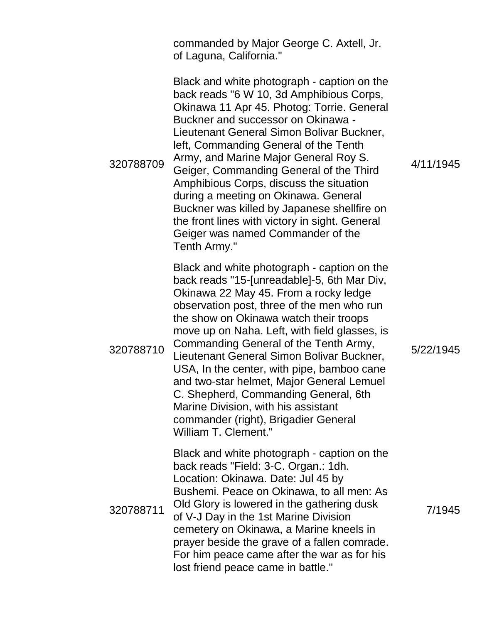commanded by Major George C. Axtell, Jr. of Laguna, California."

320788709 Black and white photograph - caption on the back reads "6 W 10, 3d Amphibious Corps, Okinawa 11 Apr 45. Photog: Torrie. General Buckner and successor on Okinawa - Lieutenant General Simon Bolivar Buckner, left, Commanding General of the Tenth Army, and Marine Major General Roy S. Geiger, Commanding General of the Third Amphibious Corps, discuss the situation during a meeting on Okinawa. General Buckner was killed by Japanese shellfire on the front lines with victory in sight. General Geiger was named Commander of the Tenth Army." 320788710 Black and white photograph - caption on the back reads "15-[unreadable]-5, 6th Mar Div, Okinawa 22 May 45. From a rocky ledge observation post, three of the men who run the show on Okinawa watch their troops move up on Naha. Left, with field glasses, is Commanding General of the Tenth Army, Lieutenant General Simon Bolivar Buckner, USA, In the center, with pipe, bamboo cane and two-star helmet, Major General Lemuel C. Shepherd, Commanding General, 6th Marine Division, with his assistant commander (right), Brigadier General William T. Clement." 320788711 Black and white photograph - caption on the back reads "Field: 3-C. Organ.: 1dh. Location: Okinawa. Date: Jul 45 by Bushemi. Peace on Okinawa, to all men: As Old Glory is lowered in the gathering dusk of V-J Day in the 1st Marine Division cemetery on Okinawa, a Marine kneels in prayer beside the grave of a fallen comrade. For him peace came after the war as for his lost friend peace came in battle."

4/11/1945

5/22/1945

7/1945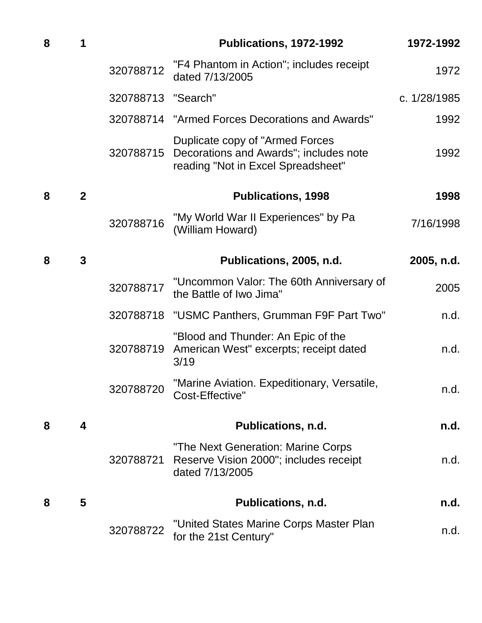| 8 | 1              |                    | Publications, 1972-1992                                                                                                    | 1972-1992    |
|---|----------------|--------------------|----------------------------------------------------------------------------------------------------------------------------|--------------|
|   |                | 320788712          | "F4 Phantom in Action"; includes receipt<br>dated 7/13/2005                                                                | 1972         |
|   |                | 320788713 "Search" |                                                                                                                            | c. 1/28/1985 |
|   |                |                    | 320788714 "Armed Forces Decorations and Awards"                                                                            | 1992         |
|   |                |                    | Duplicate copy of "Armed Forces"<br>320788715 Decorations and Awards"; includes note<br>reading "Not in Excel Spreadsheet" | 1992         |
| 8 | $\overline{2}$ |                    | <b>Publications, 1998</b>                                                                                                  | 1998         |
|   |                | 320788716          | "My World War II Experiences" by Pa<br>(William Howard)                                                                    | 7/16/1998    |
| 8 | $\mathbf{3}$   |                    | Publications, 2005, n.d.                                                                                                   | 2005, n.d.   |
|   |                | 320788717          | "Uncommon Valor: The 60th Anniversary of<br>the Battle of Iwo Jima"                                                        | 2005         |
|   |                |                    | 320788718 "USMC Panthers, Grumman F9F Part Two"                                                                            | n.d.         |
|   |                | 320788719          | "Blood and Thunder: An Epic of the<br>American West" excerpts; receipt dated<br>3/19                                       | n.d.         |
|   |                |                    | 320788720 "Marine Aviation. Expeditionary, Versatile,<br>Cost-Effective"                                                   | n.d.         |
| 8 | 4              |                    | <b>Publications, n.d.</b>                                                                                                  | n.d.         |
|   |                | 320788721          | "The Next Generation: Marine Corps<br>Reserve Vision 2000"; includes receipt<br>dated 7/13/2005                            | n.d.         |
| 8 | 5              |                    | Publications, n.d.                                                                                                         | n.d.         |
|   |                | 320788722          | "United States Marine Corps Master Plan<br>for the 21st Century"                                                           | n.d.         |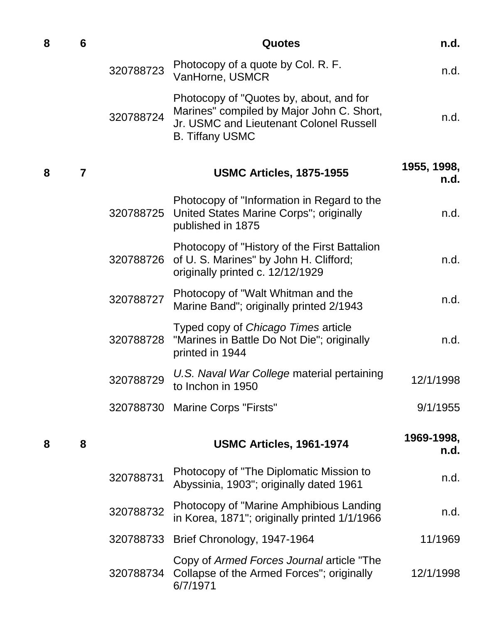| 8 | 6 |           | <b>Quotes</b>                                                                                                                                             | n.d.                |
|---|---|-----------|-----------------------------------------------------------------------------------------------------------------------------------------------------------|---------------------|
|   |   | 320788723 | Photocopy of a quote by Col. R. F.<br>VanHorne, USMCR                                                                                                     | n.d.                |
|   |   | 320788724 | Photocopy of "Quotes by, about, and for<br>Marines" compiled by Major John C. Short,<br>Jr. USMC and Lieutenant Colonel Russell<br><b>B. Tiffany USMC</b> | n.d.                |
| 8 | 7 |           | <b>USMC Articles, 1875-1955</b>                                                                                                                           | 1955, 1998,<br>n.d. |
|   |   | 320788725 | Photocopy of "Information in Regard to the<br>United States Marine Corps"; originally<br>published in 1875                                                | n.d.                |
|   |   | 320788726 | Photocopy of "History of the First Battalion"<br>of U. S. Marines" by John H. Clifford;<br>originally printed c. 12/12/1929                               | n.d.                |
|   |   | 320788727 | Photocopy of "Walt Whitman and the<br>Marine Band"; originally printed 2/1943                                                                             | n.d.                |
|   |   | 320788728 | Typed copy of Chicago Times article<br>"Marines in Battle Do Not Die"; originally<br>printed in 1944                                                      | n.d.                |
|   |   | 320788729 | U.S. Naval War College material pertaining<br>to Inchon in 1950                                                                                           | 12/1/1998           |
|   |   |           | 320788730 Marine Corps "Firsts"                                                                                                                           | 9/1/1955            |
| 8 | 8 |           | <b>USMC Articles, 1961-1974</b>                                                                                                                           | 1969-1998,<br>n.d.  |
|   |   | 320788731 | Photocopy of "The Diplomatic Mission to<br>Abyssinia, 1903"; originally dated 1961                                                                        | n.d.                |
|   |   | 320788732 | Photocopy of "Marine Amphibious Landing"<br>in Korea, 1871"; originally printed 1/1/1966                                                                  | n.d.                |
|   |   |           | 320788733 Brief Chronology, 1947-1964                                                                                                                     | 11/1969             |
|   |   | 320788734 | Copy of Armed Forces Journal article "The<br>Collapse of the Armed Forces"; originally<br>6/7/1971                                                        | 12/1/1998           |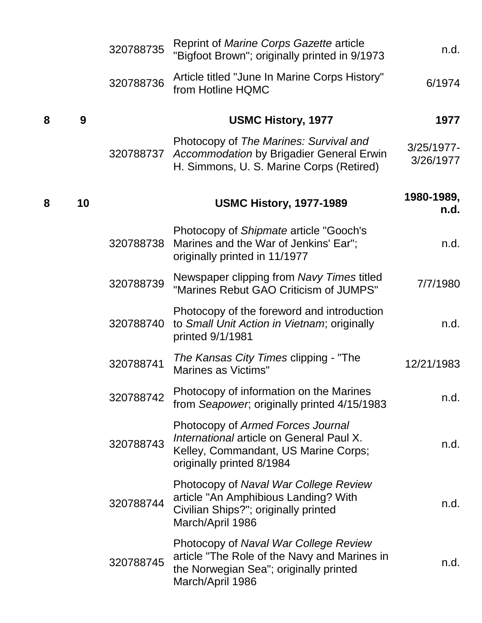|   |    | 320788735 | Reprint of Marine Corps Gazette article<br>"Bigfoot Brown"; originally printed in 9/1973                                                            | n.d.                       |
|---|----|-----------|-----------------------------------------------------------------------------------------------------------------------------------------------------|----------------------------|
|   |    | 320788736 | Article titled "June In Marine Corps History"<br>from Hotline HQMC                                                                                  | 6/1974                     |
| 8 | 9  |           | <b>USMC History, 1977</b>                                                                                                                           | 1977                       |
|   |    | 320788737 | Photocopy of The Marines: Survival and<br>Accommodation by Brigadier General Erwin<br>H. Simmons, U. S. Marine Corps (Retired)                      | $3/25/1977$ -<br>3/26/1977 |
| 8 | 10 |           | <b>USMC History, 1977-1989</b>                                                                                                                      | 1980-1989,<br>n.d.         |
|   |    | 320788738 | Photocopy of Shipmate article "Gooch's<br>Marines and the War of Jenkins' Ear";<br>originally printed in 11/1977                                    | n.d.                       |
|   |    | 320788739 | Newspaper clipping from Navy Times titled<br>"Marines Rebut GAO Criticism of JUMPS"                                                                 | 7/7/1980                   |
|   |    | 320788740 | Photocopy of the foreword and introduction<br>to Small Unit Action in Vietnam; originally<br>printed 9/1/1981                                       | n.d.                       |
|   |    | 320788741 | The Kansas City Times clipping - "The<br><b>Marines as Victims"</b>                                                                                 | 12/21/1983                 |
|   |    | 320788742 | Photocopy of information on the Marines<br>from Seapower, originally printed 4/15/1983                                                              | n.d.                       |
|   |    | 320788743 | Photocopy of Armed Forces Journal<br>International article on General Paul X.<br>Kelley, Commandant, US Marine Corps;<br>originally printed 8/1984  | n.d.                       |
|   |    | 320788744 | Photocopy of Naval War College Review<br>article "An Amphibious Landing? With<br>Civilian Ships?"; originally printed<br>March/April 1986           | n.d.                       |
|   |    | 320788745 | Photocopy of Naval War College Review<br>article "The Role of the Navy and Marines in<br>the Norwegian Sea"; originally printed<br>March/April 1986 | n.d.                       |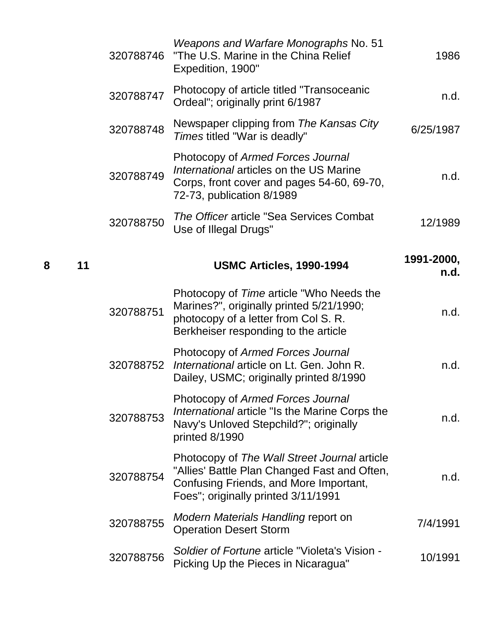| 1986               | Weapons and Warfare Monographs No. 51<br>"The U.S. Marine in the China Relief<br>Expedition, 1900"                                                                            | 320788746 |    |   |
|--------------------|-------------------------------------------------------------------------------------------------------------------------------------------------------------------------------|-----------|----|---|
| n.d.               | Photocopy of article titled "Transoceanic"<br>Ordeal"; originally print 6/1987                                                                                                | 320788747 |    |   |
| 6/25/1987          | Newspaper clipping from The Kansas City<br>Times titled "War is deadly"                                                                                                       | 320788748 |    |   |
| n.d.               | Photocopy of Armed Forces Journal<br>International articles on the US Marine<br>Corps, front cover and pages 54-60, 69-70,<br>72-73, publication 8/1989                       | 320788749 |    |   |
| 12/1989            | The Officer article "Sea Services Combat<br>Use of Illegal Drugs"                                                                                                             | 320788750 |    |   |
| 1991-2000,<br>n.d. | <b>USMC Articles, 1990-1994</b>                                                                                                                                               |           | 11 | 8 |
| n.d.               | Photocopy of Time article "Who Needs the<br>Marines?", originally printed 5/21/1990;<br>photocopy of a letter from Col S. R.<br>Berkheiser responding to the article          | 320788751 |    |   |
| n.d.               | Photocopy of Armed Forces Journal<br>International article on Lt. Gen. John R.<br>Dailey, USMC; originally printed 8/1990                                                     | 320788752 |    |   |
| n.d.               | Photocopy of Armed Forces Journal<br>International article "Is the Marine Corps the<br>Navy's Unloved Stepchild?"; originally<br>printed 8/1990                               | 320788753 |    |   |
| n.d.               | Photocopy of The Wall Street Journal article<br>"Allies' Battle Plan Changed Fast and Often,<br>Confusing Friends, and More Important,<br>Foes"; originally printed 3/11/1991 | 320788754 |    |   |
| 7/4/1991           | Modern Materials Handling report on<br><b>Operation Desert Storm</b>                                                                                                          | 320788755 |    |   |
| 10/1991            | Soldier of Fortune article "Violeta's Vision -<br>Picking Up the Pieces in Nicaragua"                                                                                         | 320788756 |    |   |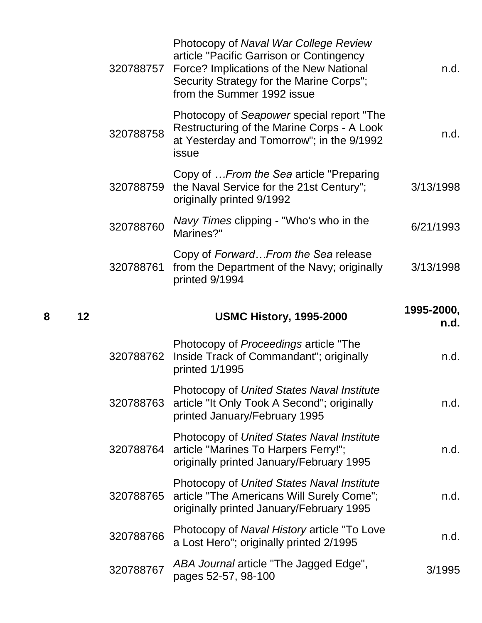|   |    | 320788757 | Photocopy of Naval War College Review<br>article "Pacific Garrison or Contingency<br>Force? Implications of the New National<br>Security Strategy for the Marine Corps";<br>from the Summer 1992 issue | n.d.               |
|---|----|-----------|--------------------------------------------------------------------------------------------------------------------------------------------------------------------------------------------------------|--------------------|
|   |    | 320788758 | Photocopy of Seapower special report "The<br>Restructuring of the Marine Corps - A Look<br>at Yesterday and Tomorrow"; in the 9/1992<br>issue                                                          | n.d.               |
|   |    | 320788759 | Copy of  From the Sea article "Preparing"<br>the Naval Service for the 21st Century";<br>originally printed 9/1992                                                                                     | 3/13/1998          |
|   |    | 320788760 | Navy Times clipping - "Who's who in the<br>Marines?"                                                                                                                                                   | 6/21/1993          |
|   |    | 320788761 | Copy of Forward From the Sea release<br>from the Department of the Navy; originally<br>printed 9/1994                                                                                                  | 3/13/1998          |
|   |    |           |                                                                                                                                                                                                        |                    |
| 8 | 12 |           | <b>USMC History, 1995-2000</b>                                                                                                                                                                         | 1995-2000,<br>n.d. |
|   |    | 320788762 | Photocopy of Proceedings article "The<br>Inside Track of Commandant"; originally<br>printed 1/1995                                                                                                     | n.d.               |
|   |    | 320788763 | Photocopy of United States Naval Institute<br>article "It Only Took A Second"; originally<br>printed January/February 1995                                                                             | n.d.               |
|   |    | 320788764 | Photocopy of United States Naval Institute<br>article "Marines To Harpers Ferry!";<br>originally printed January/February 1995                                                                         | n.d.               |
|   |    | 320788765 | Photocopy of United States Naval Institute<br>article "The Americans Will Surely Come";<br>originally printed January/February 1995                                                                    | n.d.               |
|   |    | 320788766 | Photocopy of Naval History article "To Love"<br>a Lost Hero"; originally printed 2/1995                                                                                                                | n.d.               |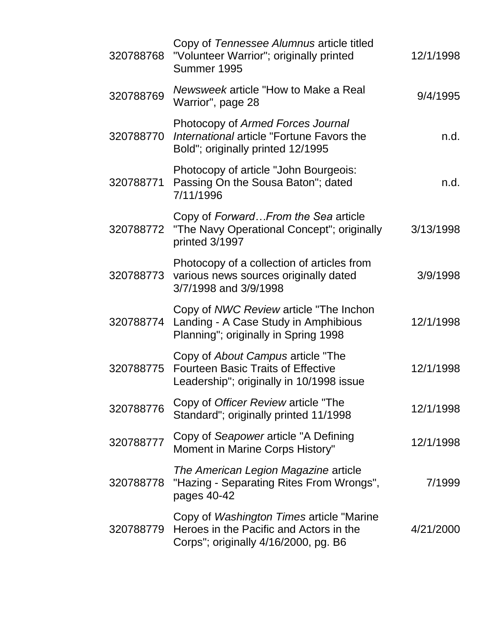| 320788768 | Copy of Tennessee Alumnus article titled<br>"Volunteer Warrior"; originally printed<br>Summer 1995                           | 12/1/1998 |
|-----------|------------------------------------------------------------------------------------------------------------------------------|-----------|
| 320788769 | Newsweek article "How to Make a Real<br>Warrior", page 28                                                                    | 9/4/1995  |
| 320788770 | Photocopy of Armed Forces Journal<br>International article "Fortune Favors the<br>Bold"; originally printed 12/1995          | n.d.      |
| 320788771 | Photocopy of article "John Bourgeois:<br>Passing On the Sousa Baton"; dated<br>7/11/1996                                     | n.d.      |
| 320788772 | Copy of Forward From the Sea article<br>"The Navy Operational Concept"; originally<br>printed 3/1997                         | 3/13/1998 |
| 320788773 | Photocopy of a collection of articles from<br>various news sources originally dated<br>3/7/1998 and 3/9/1998                 | 3/9/1998  |
| 320788774 | Copy of NWC Review article "The Inchon<br>Landing - A Case Study in Amphibious<br>Planning"; originally in Spring 1998       | 12/1/1998 |
| 320788775 | Copy of About Campus article "The<br><b>Fourteen Basic Traits of Effective</b><br>Leadership"; originally in 10/1998 issue   | 12/1/1998 |
| 320788776 | Copy of Officer Review article "The<br>Standard"; originally printed 11/1998                                                 | 12/1/1998 |
| 320788777 | Copy of Seapower article "A Defining<br>Moment in Marine Corps History"                                                      | 12/1/1998 |
| 320788778 | The American Legion Magazine article<br>"Hazing - Separating Rites From Wrongs",<br>pages 40-42                              | 7/1999    |
| 320788779 | Copy of Washington Times article "Marine"<br>Heroes in the Pacific and Actors in the<br>Corps"; originally 4/16/2000, pg. B6 | 4/21/2000 |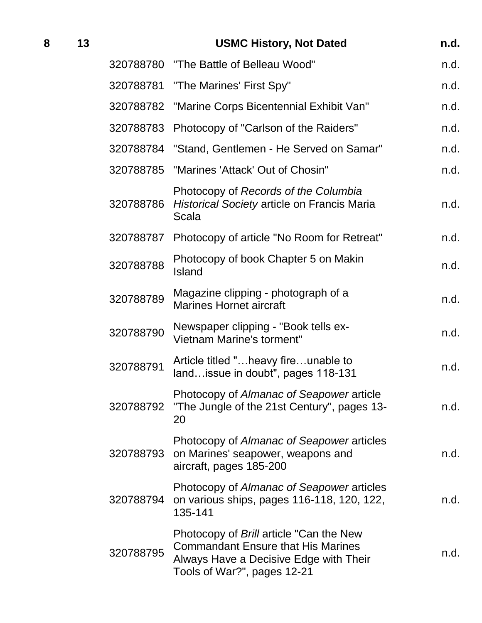| 8 | 13 |           | <b>USMC History, Not Dated</b>                                                                                                                                | n.d. |
|---|----|-----------|---------------------------------------------------------------------------------------------------------------------------------------------------------------|------|
|   |    |           | 320788780 "The Battle of Belleau Wood"                                                                                                                        | n.d. |
|   |    |           | 320788781 "The Marines' First Spy"                                                                                                                            | n.d. |
|   |    |           | 320788782 "Marine Corps Bicentennial Exhibit Van"                                                                                                             | n.d. |
|   |    | 320788783 | Photocopy of "Carlson of the Raiders"                                                                                                                         | n.d. |
|   |    | 320788784 | "Stand, Gentlemen - He Served on Samar"                                                                                                                       | n.d. |
|   |    |           | 320788785 "Marines 'Attack' Out of Chosin"                                                                                                                    | n.d. |
|   |    | 320788786 | Photocopy of Records of the Columbia<br>Historical Society article on Francis Maria<br>Scala                                                                  | n.d. |
|   |    | 320788787 | Photocopy of article "No Room for Retreat"                                                                                                                    | n.d. |
|   |    | 320788788 | Photocopy of book Chapter 5 on Makin<br><b>Island</b>                                                                                                         | n.d. |
|   |    | 320788789 | Magazine clipping - photograph of a<br><b>Marines Hornet aircraft</b>                                                                                         | n.d. |
|   |    | 320788790 | Newspaper clipping - "Book tells ex-<br>Vietnam Marine's torment"                                                                                             | n.d. |
|   |    | 320788791 | Article titled "heavy fireunable to<br>land issue in doubt", pages 118-131                                                                                    | n.d. |
|   |    | 320788792 | Photocopy of Almanac of Seapower article<br>"The Jungle of the 21st Century", pages 13-<br>20                                                                 | n.d. |
|   |    | 320788793 | Photocopy of Almanac of Seapower articles<br>on Marines' seapower, weapons and<br>aircraft, pages 185-200                                                     | n.d. |
|   |    | 320788794 | Photocopy of Almanac of Seapower articles<br>on various ships, pages 116-118, 120, 122,<br>135-141                                                            | n.d. |
|   |    | 320788795 | Photocopy of Brill article "Can the New<br><b>Commandant Ensure that His Marines</b><br>Always Have a Decisive Edge with Their<br>Tools of War?", pages 12-21 | n.d. |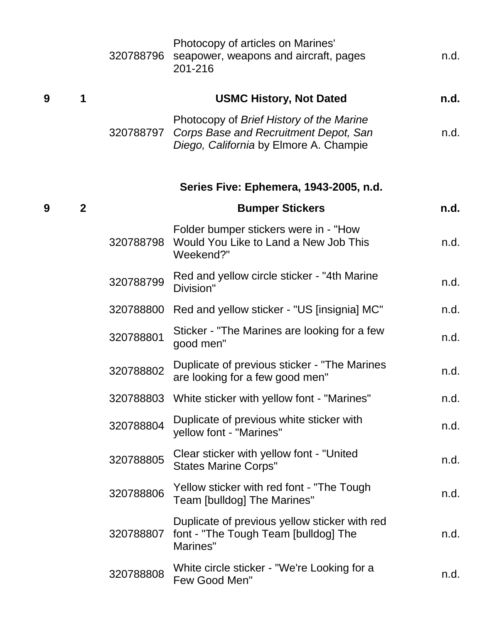|   |              | 320788796 | Photocopy of articles on Marines'<br>seapower, weapons and aircraft, pages<br>201-216                                       | n.d. |
|---|--------------|-----------|-----------------------------------------------------------------------------------------------------------------------------|------|
| 9 | 1            |           | <b>USMC History, Not Dated</b>                                                                                              | n.d. |
|   |              | 320788797 | Photocopy of Brief History of the Marine<br>Corps Base and Recruitment Depot, San<br>Diego, California by Elmore A. Champie | n.d. |
|   |              |           | Series Five: Ephemera, 1943-2005, n.d.                                                                                      |      |
| 9 | $\mathbf{2}$ |           | <b>Bumper Stickers</b>                                                                                                      | n.d. |
|   |              | 320788798 | Folder bumper stickers were in - "How<br>Would You Like to Land a New Job This<br>Weekend?"                                 | n.d. |
|   |              | 320788799 | Red and yellow circle sticker - "4th Marine"<br>Division"                                                                   | n.d. |
|   |              | 320788800 | Red and yellow sticker - "US [insignia] MC"                                                                                 | n.d. |
|   |              | 320788801 | Sticker - "The Marines are looking for a few<br>good men"                                                                   | n.d. |
|   |              | 320788802 | Duplicate of previous sticker - "The Marines"<br>are looking for a few good men"                                            | n.d. |
|   |              |           | 320788803 White sticker with yellow font - "Marines"                                                                        | n.d. |
|   |              | 320788804 | Duplicate of previous white sticker with<br>yellow font - "Marines"                                                         | n.d. |
|   |              | 320788805 | Clear sticker with yellow font - "United"<br><b>States Marine Corps"</b>                                                    | n.d. |
|   |              | 320788806 | Yellow sticker with red font - "The Tough<br>Team [bulldog] The Marines"                                                    | n.d. |
|   |              | 320788807 | Duplicate of previous yellow sticker with red<br>font - "The Tough Team [bulldog] The<br>Marines"                           | n.d. |
|   |              | 320788808 | White circle sticker - "We're Looking for a<br>Few Good Men"                                                                | n.d. |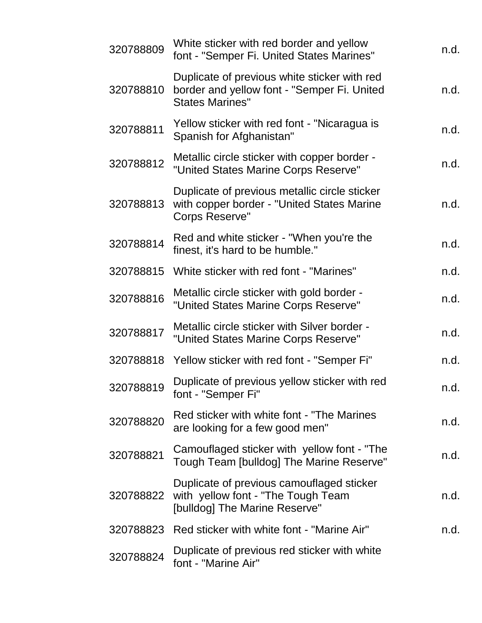| 320788809 | White sticker with red border and yellow<br>font - "Semper Fi. United States Marines"                                 | n.d. |
|-----------|-----------------------------------------------------------------------------------------------------------------------|------|
| 320788810 | Duplicate of previous white sticker with red<br>border and yellow font - "Semper Fi. United<br><b>States Marines"</b> | n.d. |
| 320788811 | Yellow sticker with red font - "Nicaragua is<br>Spanish for Afghanistan"                                              | n.d. |
| 320788812 | Metallic circle sticker with copper border -<br>"United States Marine Corps Reserve"                                  | n.d. |
| 320788813 | Duplicate of previous metallic circle sticker<br>with copper border - "United States Marine<br><b>Corps Reserve"</b>  | n.d. |
| 320788814 | Red and white sticker - "When you're the<br>finest, it's hard to be humble."                                          | n.d. |
| 320788815 | White sticker with red font - "Marines"                                                                               | n.d. |
| 320788816 | Metallic circle sticker with gold border -<br>"United States Marine Corps Reserve"                                    | n.d. |
| 320788817 | Metallic circle sticker with Silver border -<br>"United States Marine Corps Reserve"                                  | n.d. |
| 320788818 | Yellow sticker with red font - "Semper Fi"                                                                            | n.d. |
| 320788819 | Duplicate of previous yellow sticker with red<br>font - "Semper Fi"                                                   | n.d. |
| 320788820 | Red sticker with white font - "The Marines"<br>are looking for a few good men"                                        | n.d. |
| 320788821 | Camouflaged sticker with yellow font - "The<br>Tough Team [bulldog] The Marine Reserve"                               | n.d. |
| 320788822 | Duplicate of previous camouflaged sticker<br>with yellow font - "The Tough Team<br>[bulldog] The Marine Reserve"      | n.d. |
| 320788823 | Red sticker with white font - "Marine Air"                                                                            | n.d. |
| 320788824 | Duplicate of previous red sticker with white<br>font - "Marine Air"                                                   |      |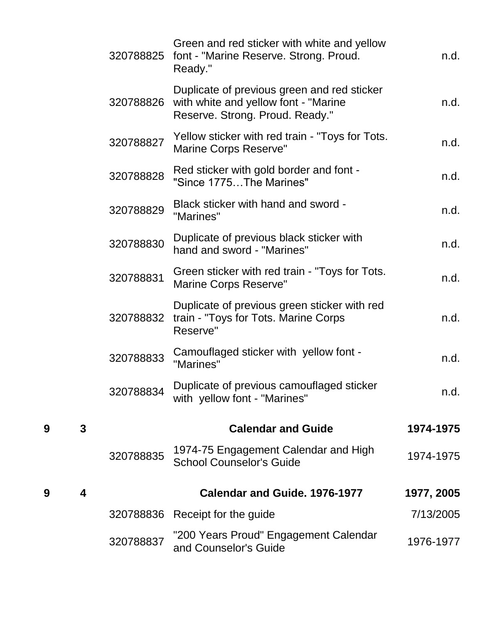|   |                         | 320788825 | Green and red sticker with white and yellow<br>font - "Marine Reserve. Strong. Proud.<br>Ready."                        | n.d.       |
|---|-------------------------|-----------|-------------------------------------------------------------------------------------------------------------------------|------------|
|   |                         | 320788826 | Duplicate of previous green and red sticker<br>with white and yellow font - "Marine"<br>Reserve. Strong. Proud. Ready." | n.d.       |
|   |                         | 320788827 | Yellow sticker with red train - "Toys for Tots.<br>Marine Corps Reserve"                                                | n.d.       |
|   |                         | 320788828 | Red sticker with gold border and font -<br>"Since 1775The Marines"                                                      | n.d.       |
|   |                         | 320788829 | Black sticker with hand and sword -<br>"Marines"                                                                        | n.d.       |
|   |                         | 320788830 | Duplicate of previous black sticker with<br>hand and sword - "Marines"                                                  | n.d.       |
|   |                         | 320788831 | Green sticker with red train - "Toys for Tots.<br><b>Marine Corps Reserve"</b>                                          | n.d.       |
|   |                         | 320788832 | Duplicate of previous green sticker with red<br>train - "Toys for Tots. Marine Corps<br>Reserve"                        | n.d.       |
|   |                         | 320788833 | Camouflaged sticker with yellow font -<br>"Marines"                                                                     | n.d.       |
|   |                         | 320788834 | Duplicate of previous camouflaged sticker<br>with yellow font - "Marines"                                               | n.d.       |
| 9 | 3                       |           | <b>Calendar and Guide</b>                                                                                               | 1974-1975  |
|   |                         | 320788835 | 1974-75 Engagement Calendar and High<br><b>School Counselor's Guide</b>                                                 | 1974-1975  |
| 9 | $\overline{\mathbf{4}}$ |           | <b>Calendar and Guide. 1976-1977</b>                                                                                    | 1977, 2005 |
|   |                         | 320788836 | Receipt for the guide                                                                                                   | 7/13/2005  |
|   |                         | 320788837 | "200 Years Proud" Engagement Calendar<br>and Counselor's Guide                                                          | 1976-1977  |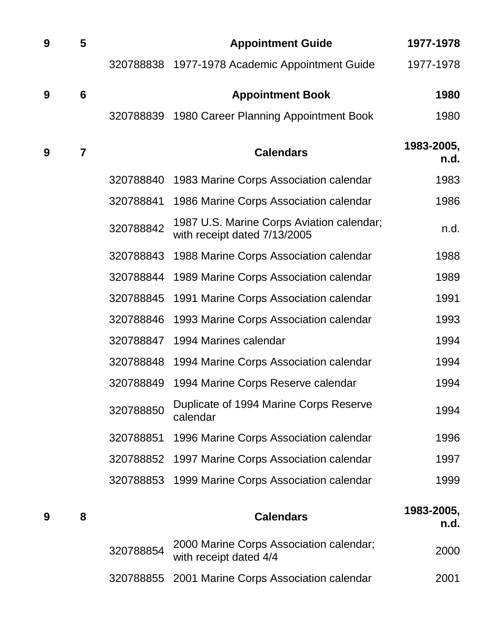| 9 | 5               |           | <b>Appointment Guide</b>                                                  | 1977-1978          |
|---|-----------------|-----------|---------------------------------------------------------------------------|--------------------|
|   |                 | 320788838 | 1977-1978 Academic Appointment Guide                                      | 1977-1978          |
| 9 | $6\phantom{1}6$ |           | <b>Appointment Book</b>                                                   | 1980               |
|   |                 | 320788839 | 1980 Career Planning Appointment Book                                     | 1980               |
| 9 | $\overline{7}$  |           | <b>Calendars</b>                                                          | 1983-2005,<br>n.d. |
|   |                 | 320788840 | 1983 Marine Corps Association calendar                                    | 1983               |
|   |                 | 320788841 | 1986 Marine Corps Association calendar                                    | 1986               |
|   |                 | 320788842 | 1987 U.S. Marine Corps Aviation calendar;<br>with receipt dated 7/13/2005 | n.d.               |
|   |                 | 320788843 | 1988 Marine Corps Association calendar                                    | 1988               |
|   |                 | 320788844 | 1989 Marine Corps Association calendar                                    | 1989               |
|   |                 | 320788845 | 1991 Marine Corps Association calendar                                    | 1991               |
|   |                 | 320788846 | 1993 Marine Corps Association calendar                                    | 1993               |
|   |                 | 320788847 | 1994 Marines calendar                                                     | 1994               |
|   |                 | 320788848 | 1994 Marine Corps Association calendar                                    | 1994               |
|   |                 | 320788849 | 1994 Marine Corps Reserve calendar                                        | 1994               |
|   |                 | 320788850 | Duplicate of 1994 Marine Corps Reserve<br>calendar                        | 1994               |
|   |                 | 320788851 | 1996 Marine Corps Association calendar                                    | 1996               |
|   |                 | 320788852 | 1997 Marine Corps Association calendar                                    | 1997               |
|   |                 | 320788853 | 1999 Marine Corps Association calendar                                    | 1999               |
| 9 | 8               |           | <b>Calendars</b>                                                          | 1983-2005,<br>n.d. |
|   |                 | 320788854 | 2000 Marine Corps Association calendar;<br>with receipt dated 4/4         | 2000               |

2001 Marine Corps Association calendar 2001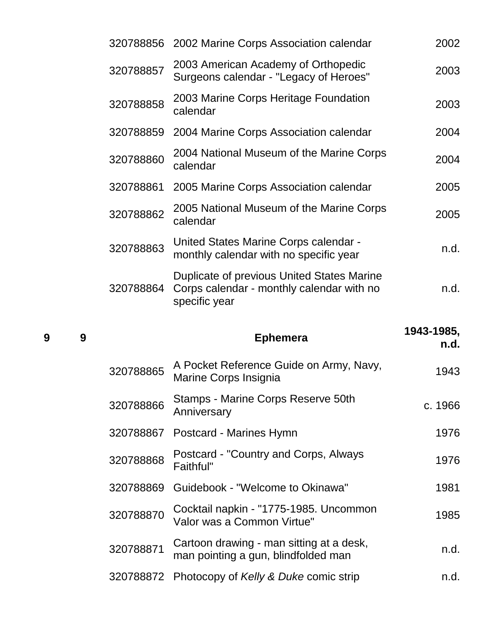|   |   | 320788856 | 2002 Marine Corps Association calendar                                                                   | 2002               |
|---|---|-----------|----------------------------------------------------------------------------------------------------------|--------------------|
|   |   | 320788857 | 2003 American Academy of Orthopedic<br>Surgeons calendar - "Legacy of Heroes"                            | 2003               |
|   |   | 320788858 | 2003 Marine Corps Heritage Foundation<br>calendar                                                        | 2003               |
|   |   | 320788859 | 2004 Marine Corps Association calendar                                                                   | 2004               |
|   |   | 320788860 | 2004 National Museum of the Marine Corps<br>calendar                                                     | 2004               |
|   |   | 320788861 | 2005 Marine Corps Association calendar                                                                   | 2005               |
|   |   | 320788862 | 2005 National Museum of the Marine Corps<br>calendar                                                     | 2005               |
|   |   | 320788863 | United States Marine Corps calendar -<br>monthly calendar with no specific year                          | n.d.               |
|   |   | 320788864 | Duplicate of previous United States Marine<br>Corps calendar - monthly calendar with no<br>specific year | n.d.               |
|   |   |           |                                                                                                          |                    |
| 9 | 9 |           | <b>Ephemera</b>                                                                                          | 1943-1985,<br>n.d. |
|   |   | 320788865 | A Pocket Reference Guide on Army, Navy,<br>Marine Corps Insignia                                         | 1943               |
|   |   | 320788866 | Stamps - Marine Corps Reserve 50th<br>Anniversary                                                        | c. 1966            |
|   |   | 320788867 | Postcard - Marines Hymn                                                                                  | 1976               |
|   |   | 320788868 | Postcard - "Country and Corps, Always<br>Faithful"                                                       | 1976               |
|   |   | 320788869 | Guidebook - "Welcome to Okinawa"                                                                         | 1981               |
|   |   | 320788870 | Cocktail napkin - "1775-1985. Uncommon<br>Valor was a Common Virtue"                                     | 1985               |
|   |   | 320788871 | Cartoon drawing - man sitting at a desk,<br>man pointing a gun, blindfolded man                          | n.d.               |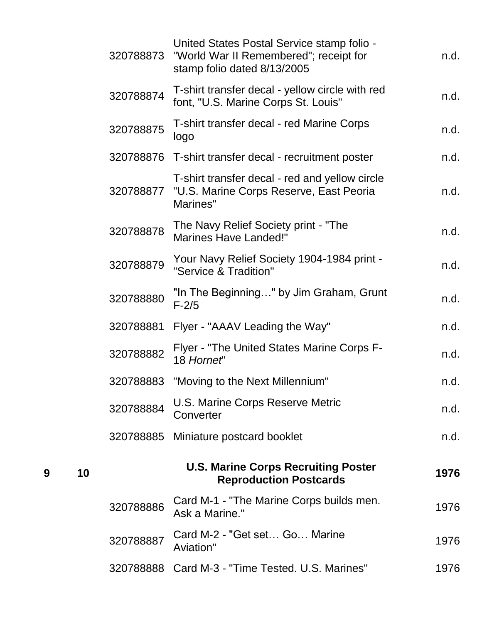|   |    | 320788873 | United States Postal Service stamp folio -<br>"World War II Remembered"; receipt for<br>stamp folio dated 8/13/2005 | n.d. |
|---|----|-----------|---------------------------------------------------------------------------------------------------------------------|------|
|   |    | 320788874 | T-shirt transfer decal - yellow circle with red<br>font, "U.S. Marine Corps St. Louis"                              | n.d. |
|   |    | 320788875 | T-shirt transfer decal - red Marine Corps<br>logo                                                                   | n.d. |
|   |    |           | 320788876 T-shirt transfer decal - recruitment poster                                                               | n.d. |
|   |    | 320788877 | T-shirt transfer decal - red and yellow circle<br>"U.S. Marine Corps Reserve, East Peoria<br>Marines"               | n.d. |
|   |    | 320788878 | The Navy Relief Society print - "The<br><b>Marines Have Landed!"</b>                                                | n.d. |
|   |    | 320788879 | Your Navy Relief Society 1904-1984 print -<br>"Service & Tradition"                                                 | n.d. |
|   |    | 320788880 | "In The Beginning" by Jim Graham, Grunt<br>$F-2/5$                                                                  | n.d. |
|   |    | 320788881 | Flyer - "AAAV Leading the Way"                                                                                      | n.d. |
|   |    | 320788882 | Flyer - "The United States Marine Corps F-<br>18 Hornet"                                                            | n.d. |
|   |    | 320788883 | "Moving to the Next Millennium"                                                                                     | n.d. |
|   |    | 320788884 | U.S. Marine Corps Reserve Metric<br>Converter                                                                       | n.d. |
|   |    | 320788885 | Miniature postcard booklet                                                                                          | n.d. |
| 9 | 10 |           | <b>U.S. Marine Corps Recruiting Poster</b><br><b>Reproduction Postcards</b>                                         | 1976 |
|   |    | 320788886 | Card M-1 - "The Marine Corps builds men.<br>Ask a Marine."                                                          | 1976 |
|   |    | 320788887 | Card M-2 - "Get set Go Marine<br>Aviation"                                                                          | 1976 |
|   |    |           | 320788888 Card M-3 - "Time Tested. U.S. Marines"                                                                    | 1976 |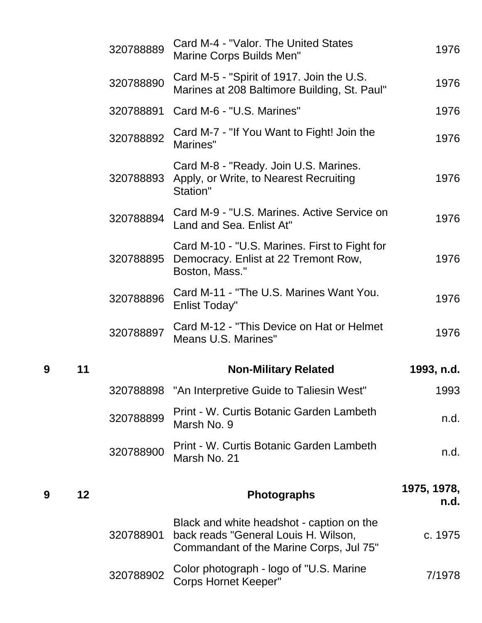|   |    | 320788889 | Card M-4 - "Valor. The United States<br>Marine Corps Builds Men"                                                             | 1976                |
|---|----|-----------|------------------------------------------------------------------------------------------------------------------------------|---------------------|
|   |    | 320788890 | Card M-5 - "Spirit of 1917. Join the U.S.<br>Marines at 208 Baltimore Building, St. Paul"                                    | 1976                |
|   |    | 320788891 | Card M-6 - "U.S. Marines"                                                                                                    | 1976                |
|   |    | 320788892 | Card M-7 - "If You Want to Fight! Join the<br>Marines"                                                                       | 1976                |
|   |    | 320788893 | Card M-8 - "Ready. Join U.S. Marines.<br>Apply, or Write, to Nearest Recruiting<br>Station"                                  | 1976                |
|   |    | 320788894 | Card M-9 - "U.S. Marines. Active Service on<br>Land and Sea. Enlist At"                                                      | 1976                |
|   |    | 320788895 | Card M-10 - "U.S. Marines. First to Fight for<br>Democracy. Enlist at 22 Tremont Row,<br>Boston, Mass."                      | 1976                |
|   |    | 320788896 | Card M-11 - "The U.S. Marines Want You.<br><b>Enlist Today"</b>                                                              | 1976                |
|   |    | 320788897 | Card M-12 - "This Device on Hat or Helmet<br><b>Means U.S. Marines"</b>                                                      | 1976                |
| 9 | 11 |           | <b>Non-Military Related</b>                                                                                                  | 1993, n.d.          |
|   |    | 320788898 | "An Interpretive Guide to Taliesin West"                                                                                     | 1993                |
|   |    | 320788899 | Print - W. Curtis Botanic Garden Lambeth<br>Marsh No. 9                                                                      | n.d.                |
|   |    | 320788900 | Print - W. Curtis Botanic Garden Lambeth<br>Marsh No. 21                                                                     | n.d.                |
| 9 | 12 |           | <b>Photographs</b>                                                                                                           | 1975, 1978,<br>n.d. |
|   |    | 320788901 | Black and white headshot - caption on the<br>back reads "General Louis H. Wilson,<br>Commandant of the Marine Corps, Jul 75" | c. 1975             |
|   |    | 320788902 | Color photograph - logo of "U.S. Marine<br><b>Corps Hornet Keeper"</b>                                                       | 7/1978              |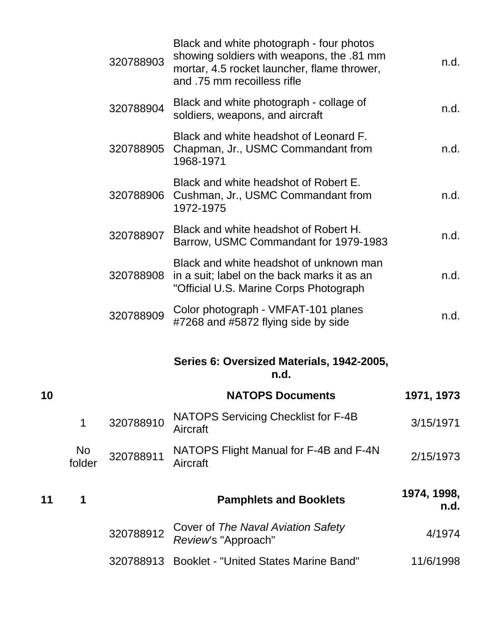|    |              | 320788903 | Black and white photograph - four photos<br>showing soldiers with weapons, the .81 mm<br>mortar, 4.5 rocket launcher, flame thrower,<br>and .75 mm recoilless rifle | n.d.                |
|----|--------------|-----------|---------------------------------------------------------------------------------------------------------------------------------------------------------------------|---------------------|
|    |              | 320788904 | Black and white photograph - collage of<br>soldiers, weapons, and aircraft                                                                                          | n.d.                |
|    |              | 320788905 | Black and white headshot of Leonard F.<br>Chapman, Jr., USMC Commandant from<br>1968-1971                                                                           | n.d.                |
|    |              | 320788906 | Black and white headshot of Robert E.<br>Cushman, Jr., USMC Commandant from<br>1972-1975                                                                            | n.d.                |
|    |              | 320788907 | Black and white headshot of Robert H.<br>Barrow, USMC Commandant for 1979-1983                                                                                      | n.d.                |
|    |              | 320788908 | Black and white headshot of unknown man<br>in a suit; label on the back marks it as an<br>"Official U.S. Marine Corps Photograph                                    | n.d.                |
|    |              | 320788909 | Color photograph - VMFAT-101 planes<br>#7268 and #5872 flying side by side                                                                                          | n.d.                |
|    |              |           | Series 6: Oversized Materials, 1942-2005,<br>n.d.                                                                                                                   |                     |
| 10 |              |           | <b>NATOPS Documents</b>                                                                                                                                             | 1971, 1973          |
|    | $\mathbf 1$  | 320788910 | NATOPS Servicing Checklist for F-4B<br>Aircraft                                                                                                                     | 3/15/1971           |
|    | No<br>folder | 320788911 | NATOPS Flight Manual for F-4B and F-4N<br>Aircraft                                                                                                                  | 2/15/1973           |
| 11 | 1            |           | <b>Pamphlets and Booklets</b>                                                                                                                                       | 1974, 1998,<br>n.d. |
|    |              | 320788912 | Cover of The Naval Aviation Safety<br>Review's "Approach"                                                                                                           | 4/1974              |
|    |              | 320788913 | <b>Booklet - "United States Marine Band"</b>                                                                                                                        | 11/6/1998           |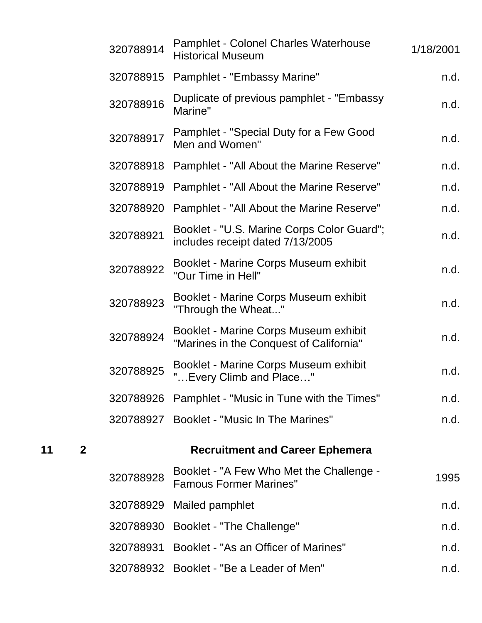| 320788914 | <b>Pamphlet - Colonel Charles Waterhouse</b><br><b>Historical Museum</b>         | 1/18/2001 |
|-----------|----------------------------------------------------------------------------------|-----------|
| 320788915 | Pamphlet - "Embassy Marine"                                                      | n.d.      |
| 320788916 | Duplicate of previous pamphlet - "Embassy"<br>Marine"                            | n.d.      |
| 320788917 | Pamphlet - "Special Duty for a Few Good<br>Men and Women"                        | n.d.      |
| 320788918 | Pamphlet - "All About the Marine Reserve"                                        | n.d.      |
| 320788919 | Pamphlet - "All About the Marine Reserve"                                        | n.d.      |
| 320788920 | Pamphlet - "All About the Marine Reserve"                                        | n.d.      |
| 320788921 | Booklet - "U.S. Marine Corps Color Guard";<br>includes receipt dated 7/13/2005   | n.d.      |
| 320788922 | Booklet - Marine Corps Museum exhibit<br>"Our Time in Hell"                      | n.d.      |
| 320788923 | Booklet - Marine Corps Museum exhibit<br>"Through the Wheat"                     | n.d.      |
| 320788924 | Booklet - Marine Corps Museum exhibit<br>"Marines in the Conquest of California" | n.d.      |
| 320788925 | Booklet - Marine Corps Museum exhibit<br>" Every Climb and Place"                | n.d.      |
|           | 320788926 Pamphlet - "Music in Tune with the Times"                              | n.d.      |
| 320788927 | <b>Booklet - "Music In The Marines"</b>                                          | n.d.      |
|           | <b>Recruitment and Career Ephemera</b>                                           |           |
| 320788928 | Booklet - "A Few Who Met the Challenge -<br><b>Famous Former Marines"</b>        | 1995      |
| 320788929 | Mailed pamphlet                                                                  | n.d.      |
| 320788930 | <b>Booklet - "The Challenge"</b>                                                 | n.d.      |
| 320788931 | Booklet - "As an Officer of Marines"                                             | n.d.      |
| 320788932 | Booklet - "Be a Leader of Men"                                                   | n.d.      |
|           |                                                                                  |           |

**11 2 Recruitment and Career Ephemera**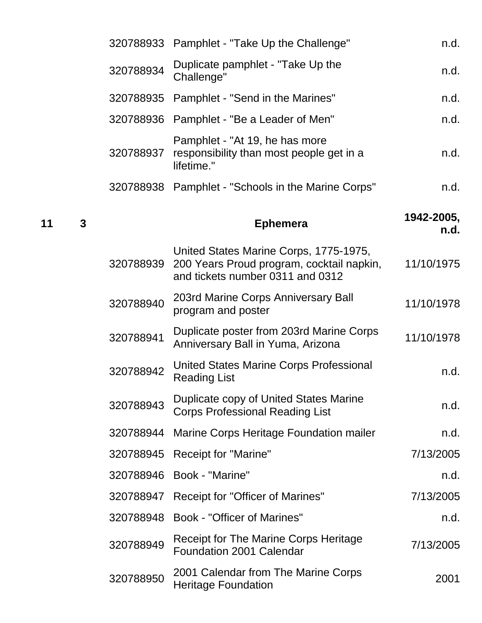| n.d.               | 320788933 Pamphlet - "Take Up the Challenge"                                                                            |           |
|--------------------|-------------------------------------------------------------------------------------------------------------------------|-----------|
| n.d.               | Duplicate pamphlet - "Take Up the<br>Challenge"                                                                         | 320788934 |
| n.d.               | Pamphlet - "Send in the Marines"                                                                                        | 320788935 |
| n.d.               | Pamphlet - "Be a Leader of Men"                                                                                         | 320788936 |
| n.d.               | Pamphlet - "At 19, he has more<br>responsibility than most people get in a<br>lifetime."                                | 320788937 |
| n.d.               | 320788938 Pamphlet - "Schools in the Marine Corps"                                                                      |           |
| 1942-2005,<br>n.d. | <b>Ephemera</b>                                                                                                         |           |
| 11/10/1975         | United States Marine Corps, 1775-1975,<br>200 Years Proud program, cocktail napkin,<br>and tickets number 0311 and 0312 | 320788939 |
| 11/10/1978         | 203rd Marine Corps Anniversary Ball<br>program and poster                                                               | 320788940 |
| 11/10/1978         | Duplicate poster from 203rd Marine Corps<br>Anniversary Ball in Yuma, Arizona                                           | 320788941 |
| n.d.               | United States Marine Corps Professional<br><b>Reading List</b>                                                          | 320788942 |
| n.d.               | Duplicate copy of United States Marine<br><b>Corps Professional Reading List</b>                                        | 320788943 |
| n.d.               | Marine Corps Heritage Foundation mailer                                                                                 | 320788944 |
| 7/13/2005          | <b>Receipt for "Marine"</b>                                                                                             | 320788945 |
| n.d.               | Book - "Marine"                                                                                                         | 320788946 |
| 7/13/2005          | Receipt for "Officer of Marines"                                                                                        | 320788947 |
| n.d.               | <b>Book - "Officer of Marines"</b>                                                                                      | 320788948 |
| 7/13/2005          | <b>Receipt for The Marine Corps Heritage</b><br><b>Foundation 2001 Calendar</b>                                         | 320788949 |
| 2001               | 2001 Calendar from The Marine Corps<br><b>Heritage Foundation</b>                                                       | 320788950 |

**<sup>11</sup> <sup>3</sup> Ephemera 1942-2005,**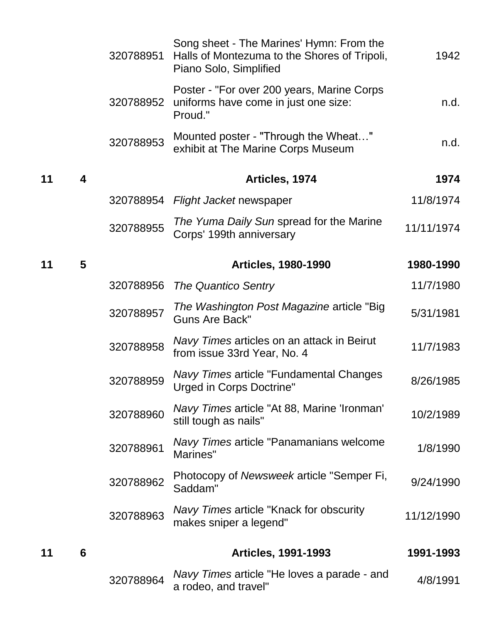|    |   | 320788951 | Song sheet - The Marines' Hymn: From the<br>Halls of Montezuma to the Shores of Tripoli,<br>Piano Solo, Simplified | 1942       |
|----|---|-----------|--------------------------------------------------------------------------------------------------------------------|------------|
|    |   | 320788952 | Poster - "For over 200 years, Marine Corps<br>uniforms have come in just one size:<br>Proud."                      | n.d.       |
|    |   | 320788953 | Mounted poster - "Through the Wheat"<br>exhibit at The Marine Corps Museum                                         | n.d.       |
| 11 | 4 |           | Articles, 1974                                                                                                     | 1974       |
|    |   | 320788954 | Flight Jacket newspaper                                                                                            | 11/8/1974  |
|    |   | 320788955 | The Yuma Daily Sun spread for the Marine<br>Corps' 199th anniversary                                               | 11/11/1974 |
| 11 | 5 |           | <b>Articles, 1980-1990</b>                                                                                         | 1980-1990  |
|    |   | 320788956 | <b>The Quantico Sentry</b>                                                                                         | 11/7/1980  |
|    |   | 320788957 | The Washington Post Magazine article "Big"<br><b>Guns Are Back"</b>                                                | 5/31/1981  |
|    |   | 320788958 | Navy Times articles on an attack in Beirut<br>from issue 33rd Year, No. 4                                          | 11/7/1983  |
|    |   | 320788959 | <b>Navy Times article "Fundamental Changes</b><br><b>Urged in Corps Doctrine"</b>                                  | 8/26/1985  |
|    |   | 320788960 | Navy Times article "At 88, Marine 'Ironman'<br>still tough as nails"                                               | 10/2/1989  |
|    |   | 320788961 | Navy Times article "Panamanians welcome<br>Marines"                                                                | 1/8/1990   |
|    |   | 320788962 | Photocopy of Newsweek article "Semper Fi,<br>Saddam"                                                               | 9/24/1990  |
|    |   | 320788963 | Navy Times article "Knack for obscurity"<br>makes sniper a legend"                                                 | 11/12/1990 |
| 11 | 6 |           | <b>Articles, 1991-1993</b>                                                                                         | 1991-1993  |
|    |   | 320788964 | Navy Times article "He loves a parade - and<br>a rodeo, and travel"                                                | 4/8/1991   |
|    |   |           |                                                                                                                    |            |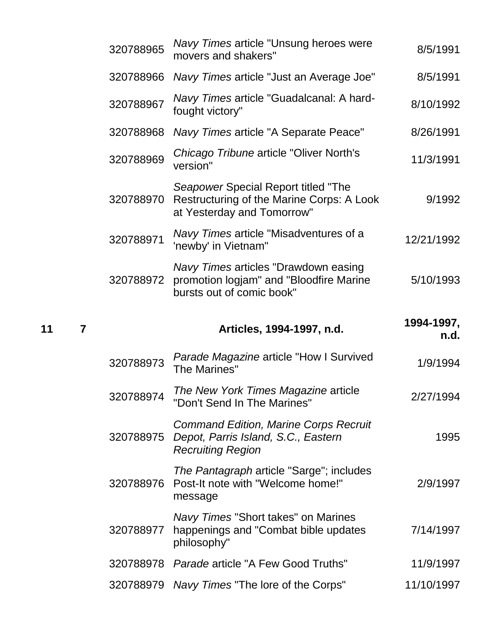| 320788965 | Navy Times article "Unsung heroes were<br>movers and shakers"                                                   | 8/5/1991           |
|-----------|-----------------------------------------------------------------------------------------------------------------|--------------------|
| 320788966 | Navy Times article "Just an Average Joe"                                                                        | 8/5/1991           |
| 320788967 | Navy Times article "Guadalcanal: A hard-<br>fought victory"                                                     | 8/10/1992          |
| 320788968 | Navy Times article "A Separate Peace"                                                                           | 8/26/1991          |
| 320788969 | Chicago Tribune article "Oliver North's<br>version"                                                             | 11/3/1991          |
| 320788970 | Seapower Special Report titled "The<br>Restructuring of the Marine Corps: A Look<br>at Yesterday and Tomorrow"  | 9/1992             |
| 320788971 | Navy Times article "Misadventures of a<br>'newby' in Vietnam"                                                   | 12/21/1992         |
| 320788972 | Navy Times articles "Drawdown easing<br>promotion logjam" and "Bloodfire Marine<br>bursts out of comic book"    | 5/10/1993          |
|           |                                                                                                                 |                    |
|           | Articles, 1994-1997, n.d.                                                                                       | 1994-1997,<br>n.d. |
| 320788973 | <b>Parade Magazine article "How I Survived</b><br><b>The Marines"</b>                                           | 1/9/1994           |
| 320788974 | The New York Times Magazine article<br>"Don't Send In The Marines"                                              | 2/27/1994          |
| 320788975 | <b>Command Edition, Marine Corps Recruit</b><br>Depot, Parris Island, S.C., Eastern<br><b>Recruiting Region</b> | 1995               |
| 320788976 | <i>The Pantagraph</i> article "Sarge"; includes<br>Post-It note with "Welcome home!"<br>message                 | 2/9/1997           |
| 320788977 | Navy Times "Short takes" on Marines<br>happenings and "Combat bible updates<br>philosophy"                      | 7/14/1997          |
| 320788978 | Parade article "A Few Good Truths"                                                                              | 11/9/1997          |

**<sup>11</sup> <sup>7</sup> Articles, 1994-1997, n.d. 1994-1997,**